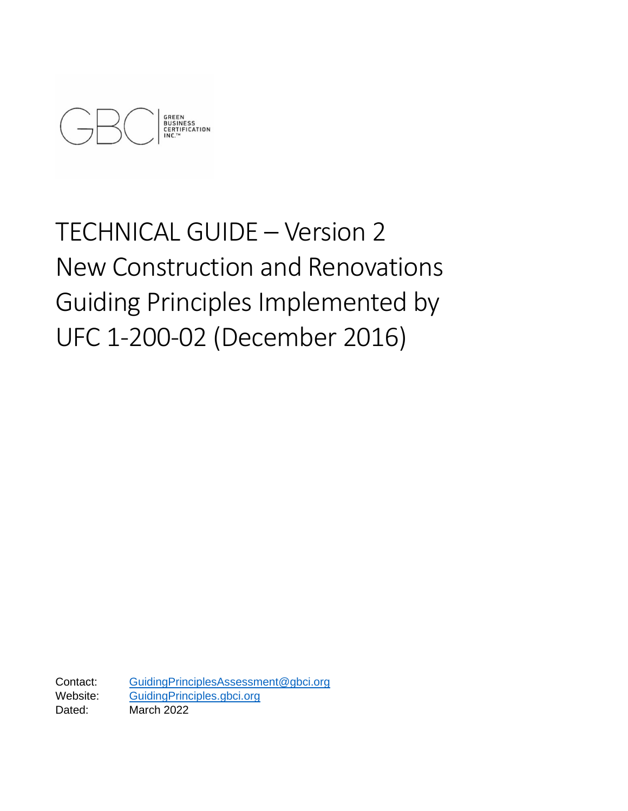

# TECHNICAL GUIDE – Version 2 New Construction and Renovations Guiding Principles Implemented by UFC 1-200-02 (December 2016)

Contact: [GuidingPrinciplesAssessment@gbci.org](mailto:GuidingPrinciplesAssessment@gbci.org)  Website: [GuidingPrinciples.gbci.org](https://guidingprinciples.gbci.org/) Dated: March 2022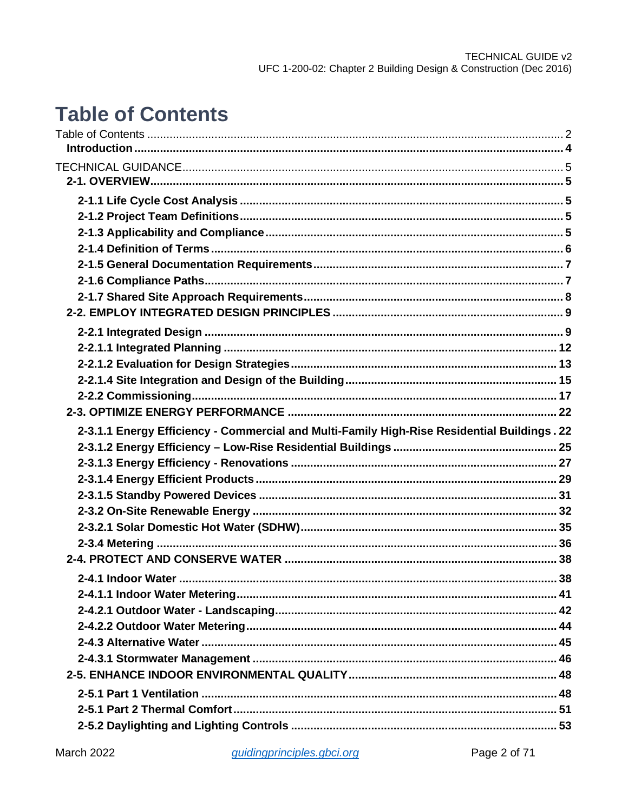# <span id="page-1-0"></span>**Table of Contents**

| 2-3.1.1 Energy Efficiency - Commercial and Multi-Family High-Rise Residential Buildings. 22 |  |
|---------------------------------------------------------------------------------------------|--|
|                                                                                             |  |
|                                                                                             |  |
|                                                                                             |  |
|                                                                                             |  |
|                                                                                             |  |
|                                                                                             |  |
|                                                                                             |  |
|                                                                                             |  |
|                                                                                             |  |
|                                                                                             |  |
|                                                                                             |  |
|                                                                                             |  |
|                                                                                             |  |
|                                                                                             |  |
|                                                                                             |  |
|                                                                                             |  |
|                                                                                             |  |
|                                                                                             |  |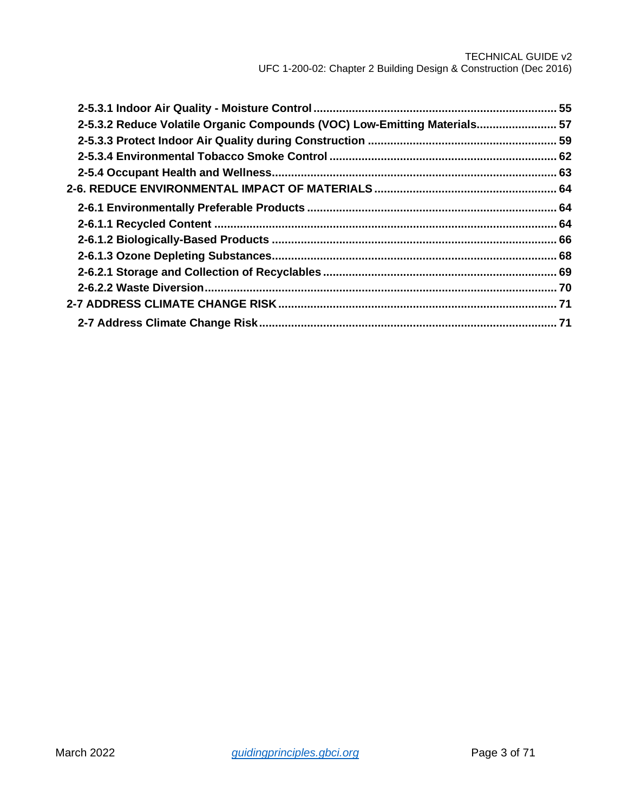| 2-5.3.2 Reduce Volatile Organic Compounds (VOC) Low-Emitting Materials 57 |  |
|---------------------------------------------------------------------------|--|
|                                                                           |  |
|                                                                           |  |
|                                                                           |  |
|                                                                           |  |
|                                                                           |  |
|                                                                           |  |
|                                                                           |  |
|                                                                           |  |
|                                                                           |  |
|                                                                           |  |
|                                                                           |  |
|                                                                           |  |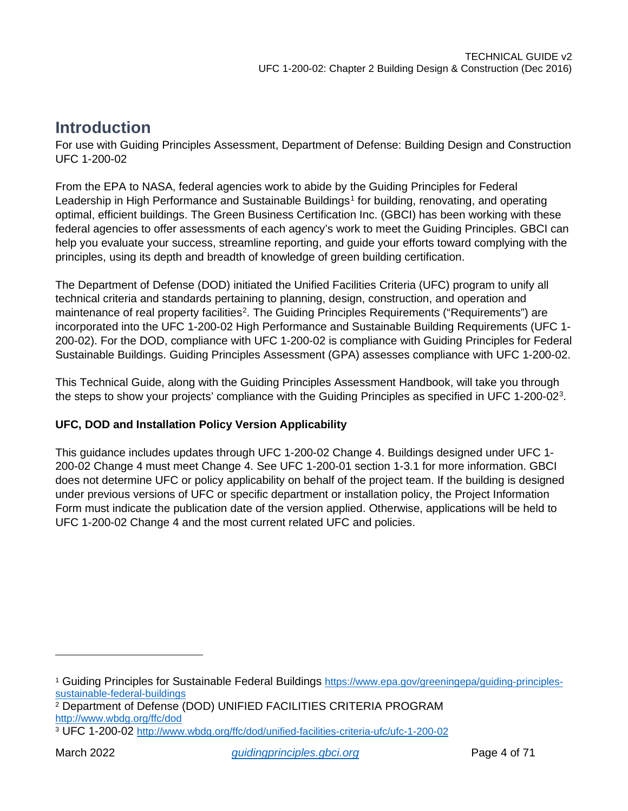## <span id="page-3-0"></span>**Introduction**

For use with Guiding Principles Assessment, Department of Defense: Building Design and Construction UFC 1-200-02

From the EPA to NASA, federal agencies work to abide by the Guiding Principles for Federal Leadership in High Performance and Sustainable Buildings<sup>[1](#page-3-1)</sup> for building, renovating, and operating optimal, efficient buildings. The Green Business Certification Inc. (GBCI) has been working with these federal agencies to offer assessments of each agency's work to meet the Guiding Principles. GBCI can help you evaluate your success, streamline reporting, and guide your efforts toward complying with the principles, using its depth and breadth of knowledge of green building certification.

The Department of Defense (DOD) initiated the Unified Facilities Criteria (UFC) program to unify all technical criteria and standards pertaining to planning, design, construction, and operation and maintenance of real property facilities<sup>[2](#page-3-2)</sup>. The Guiding Principles Requirements ("Requirements") are incorporated into the UFC 1-200-02 High Performance and Sustainable Building Requirements (UFC 1- 200-02). For the DOD, compliance with UFC 1-200-02 is compliance with Guiding Principles for Federal Sustainable Buildings. Guiding Principles Assessment (GPA) assesses compliance with UFC 1-200-02.

This Technical Guide, along with the Guiding Principles Assessment Handbook, will take you through the steps to show your projects' compliance with the Guiding Principles as specified in UFC 1-200-02<sup>[3](#page-3-3)</sup>.

### **UFC, DOD and Installation Policy Version Applicability**

This guidance includes updates through UFC 1-200-02 Change 4. Buildings designed under UFC 1- 200-02 Change 4 must meet Change 4. See UFC 1-200-01 section 1-3.1 for more information. GBCI does not determine UFC or policy applicability on behalf of the project team. If the building is designed under previous versions of UFC or specific department or installation policy, the Project Information Form must indicate the publication date of the version applied. Otherwise, applications will be held to UFC 1-200-02 Change 4 and the most current related UFC and policies.

<span id="page-3-1"></span><sup>1</sup> Guiding Principles for Sustainable Federal Buildings [https://www.epa.gov/greeningepa/guiding-principles](https://www.epa.gov/greeningepa/guiding-principles-sustainable-federal-buildings)[sustainable-federal-buildings](https://www.epa.gov/greeningepa/guiding-principles-sustainable-federal-buildings)

<span id="page-3-2"></span><sup>2</sup> Department of Defense (DOD) UNIFIED FACILITIES CRITERIA PROGRAM <http://www.wbdg.org/ffc/dod>

<span id="page-3-3"></span><sup>3</sup> UFC 1-200-02<http://www.wbdg.org/ffc/dod/unified-facilities-criteria-ufc/ufc-1-200-02>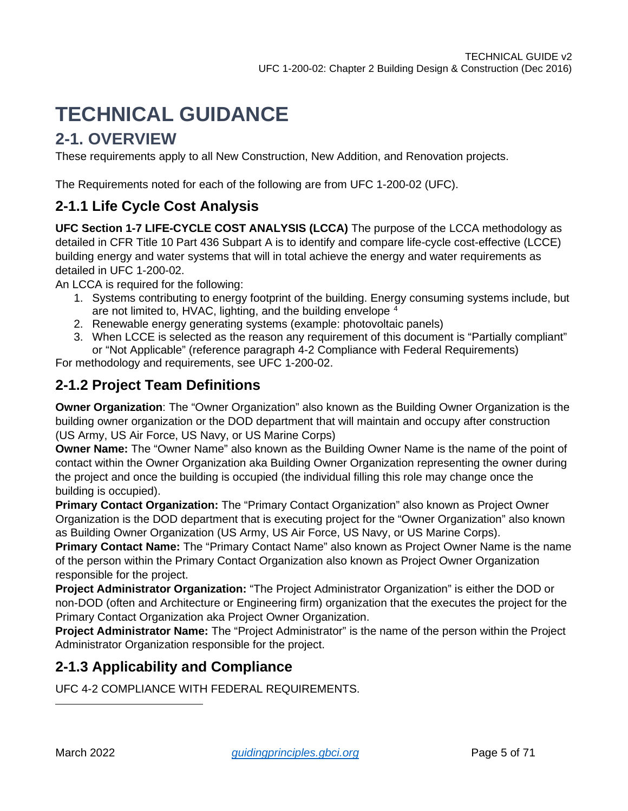# <span id="page-4-0"></span>**TECHNICAL GUIDANCE**

# <span id="page-4-1"></span>**2-1. OVERVIEW**

These requirements apply to all New Construction, New Addition, and Renovation projects.

The Requirements noted for each of the following are from UFC 1-200-02 (UFC).

### <span id="page-4-2"></span>**2-1.1 Life Cycle Cost Analysis**

**UFC Section 1-7 LIFE-CYCLE COST ANALYSIS (LCCA)** The purpose of the LCCA methodology as detailed in CFR Title 10 Part 436 Subpart A is to identify and compare life-cycle cost-effective (LCCE) building energy and water systems that will in total achieve the energy and water requirements as detailed in UFC 1-200-02.

An LCCA is required for the following:

- 1. Systems contributing to energy footprint of the building. Energy consuming systems include, but are not limited to, HVAC, lighting, and the building envelope <sup>[4](#page-4-5)</sup>
- 2. Renewable energy generating systems (example: photovoltaic panels)
- 3. When LCCE is selected as the reason any requirement of this document is "Partially compliant" or "Not Applicable" (reference paragraph 4-2 Compliance with Federal Requirements)

For methodology and requirements, see UFC 1-200-02.

### <span id="page-4-3"></span>**2-1.2 Project Team Definitions**

**Owner Organization**: The "Owner Organization" also known as the Building Owner Organization is the building owner organization or the DOD department that will maintain and occupy after construction (US Army, US Air Force, US Navy, or US Marine Corps)

**Owner Name:** The "Owner Name" also known as the Building Owner Name is the name of the point of contact within the Owner Organization aka Building Owner Organization representing the owner during the project and once the building is occupied (the individual filling this role may change once the building is occupied).

**Primary Contact Organization:** The "Primary Contact Organization" also known as Project Owner Organization is the DOD department that is executing project for the "Owner Organization" also known as Building Owner Organization (US Army, US Air Force, US Navy, or US Marine Corps).

**Primary Contact Name:** The "Primary Contact Name" also known as Project Owner Name is the name of the person within the Primary Contact Organization also known as Project Owner Organization responsible for the project.

**Project Administrator Organization:** "The Project Administrator Organization" is either the DOD or non-DOD (often and Architecture or Engineering firm) organization that the executes the project for the Primary Contact Organization aka Project Owner Organization.

**Project Administrator Name:** The "Project Administrator" is the name of the person within the Project Administrator Organization responsible for the project.

### <span id="page-4-4"></span>**2-1.3 Applicability and Compliance**

<span id="page-4-5"></span>UFC 4-2 COMPLIANCE WITH FEDERAL REQUIREMENTS.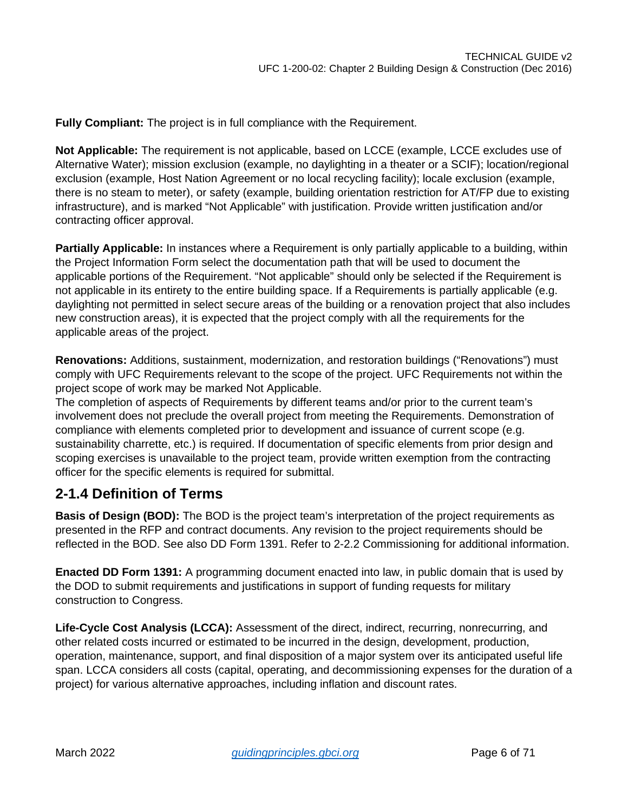**Fully Compliant:** The project is in full compliance with the Requirement.

**Not Applicable:** The requirement is not applicable, based on LCCE (example, LCCE excludes use of Alternative Water); mission exclusion (example, no daylighting in a theater or a SCIF); location/regional exclusion (example, Host Nation Agreement or no local recycling facility); locale exclusion (example, there is no steam to meter), or safety (example, building orientation restriction for AT/FP due to existing infrastructure), and is marked "Not Applicable" with justification. Provide written justification and/or contracting officer approval.

**Partially Applicable:** In instances where a Requirement is only partially applicable to a building, within the Project Information Form select the documentation path that will be used to document the applicable portions of the Requirement. "Not applicable" should only be selected if the Requirement is not applicable in its entirety to the entire building space. If a Requirements is partially applicable (e.g. daylighting not permitted in select secure areas of the building or a renovation project that also includes new construction areas), it is expected that the project comply with all the requirements for the applicable areas of the project.

**Renovations:** Additions, sustainment, modernization, and restoration buildings ("Renovations") must comply with UFC Requirements relevant to the scope of the project. UFC Requirements not within the project scope of work may be marked Not Applicable.

The completion of aspects of Requirements by different teams and/or prior to the current team's involvement does not preclude the overall project from meeting the Requirements. Demonstration of compliance with elements completed prior to development and issuance of current scope (e.g. sustainability charrette, etc.) is required. If documentation of specific elements from prior design and scoping exercises is unavailable to the project team, provide written exemption from the contracting officer for the specific elements is required for submittal.

### <span id="page-5-0"></span>**2-1.4 Definition of Terms**

**Basis of Design (BOD):** The BOD is the project team's interpretation of the project requirements as presented in the RFP and contract documents. Any revision to the project requirements should be reflected in the BOD. See also DD Form 1391. Refer to 2-2.2 Commissioning for additional information.

**Enacted DD Form 1391:** A programming document enacted into law, in public domain that is used by the DOD to submit requirements and justifications in support of funding requests for military construction to Congress.

**Life-Cycle Cost Analysis (LCCA):** Assessment of the direct, indirect, recurring, nonrecurring, and other related costs incurred or estimated to be incurred in the design, development, production, operation, maintenance, support, and final disposition of a major system over its anticipated useful life span. LCCA considers all costs (capital, operating, and decommissioning expenses for the duration of a project) for various alternative approaches, including inflation and discount rates.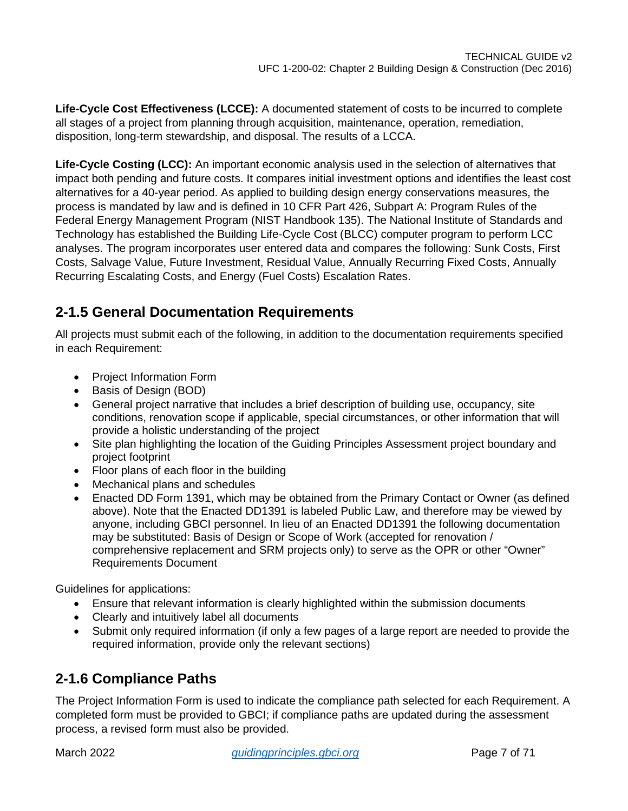**Life-Cycle Cost Effectiveness (LCCE):** A documented statement of costs to be incurred to complete all stages of a project from planning through acquisition, maintenance, operation, remediation, disposition, long-term stewardship, and disposal. The results of a LCCA.

**Life-Cycle Costing (LCC):** An important economic analysis used in the selection of alternatives that impact both pending and future costs. It compares initial investment options and identifies the least cost alternatives for a 40-year period. As applied to building design energy conservations measures, the process is mandated by law and is defined in 10 CFR Part 426, Subpart A: Program Rules of the Federal Energy Management Program (NIST Handbook 135). The National Institute of Standards and Technology has established the Building Life-Cycle Cost (BLCC) computer program to perform LCC analyses. The program incorporates user entered data and compares the following: Sunk Costs, First Costs, Salvage Value, Future Investment, Residual Value, Annually Recurring Fixed Costs, Annually Recurring Escalating Costs, and Energy (Fuel Costs) Escalation Rates.

### <span id="page-6-0"></span>**2-1.5 General Documentation Requirements**

All projects must submit each of the following, in addition to the documentation requirements specified in each Requirement:

- Project Information Form
- Basis of Design (BOD)
- General project narrative that includes a brief description of building use, occupancy, site conditions, renovation scope if applicable, special circumstances, or other information that will provide a holistic understanding of the project
- Site plan highlighting the location of the Guiding Principles Assessment project boundary and project footprint
- Floor plans of each floor in the building
- Mechanical plans and schedules
- Enacted DD Form 1391, which may be obtained from the Primary Contact or Owner (as defined above). Note that the Enacted DD1391 is labeled Public Law, and therefore may be viewed by anyone, including GBCI personnel. In lieu of an Enacted DD1391 the following documentation may be substituted: Basis of Design or Scope of Work (accepted for renovation / comprehensive replacement and SRM projects only) to serve as the OPR or other "Owner" Requirements Document

Guidelines for applications:

- Ensure that relevant information is clearly highlighted within the submission documents
- Clearly and intuitively label all documents
- Submit only required information (if only a few pages of a large report are needed to provide the required information, provide only the relevant sections)

### <span id="page-6-1"></span>**2-1.6 Compliance Paths**

The Project Information Form is used to indicate the compliance path selected for each Requirement. A completed form must be provided to GBCI; if compliance paths are updated during the assessment process, a revised form must also be provided.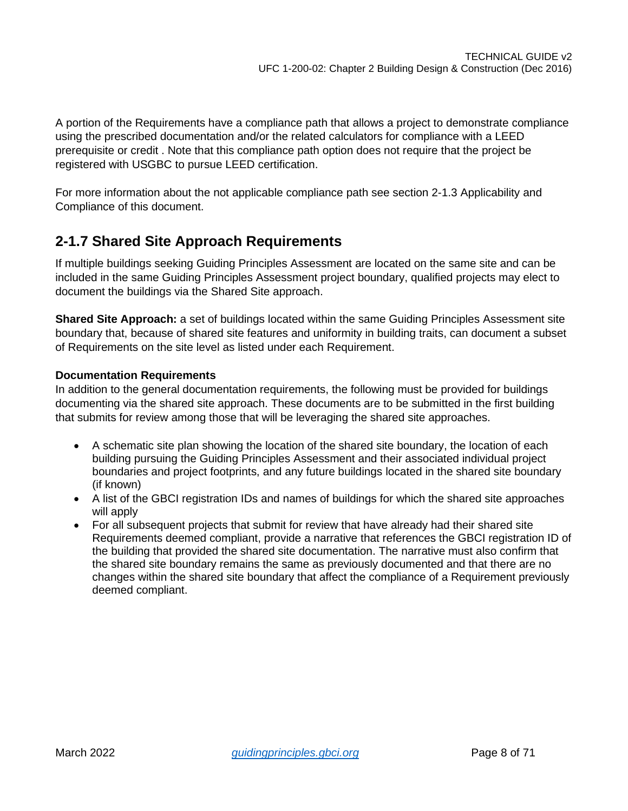A portion of the Requirements have a compliance path that allows a project to demonstrate compliance using the prescribed documentation and/or the related calculators for compliance with a LEED prerequisite or credit . Note that this compliance path option does not require that the project be registered with USGBC to pursue LEED certification.

For more information about the not applicable compliance path see section 2-1.3 Applicability and Compliance of this document.

### <span id="page-7-0"></span>**2-1.7 Shared Site Approach Requirements**

If multiple buildings seeking Guiding Principles Assessment are located on the same site and can be included in the same Guiding Principles Assessment project boundary, qualified projects may elect to document the buildings via the Shared Site approach.

**Shared Site Approach:** a set of buildings located within the same Guiding Principles Assessment site boundary that, because of shared site features and uniformity in building traits, can document a subset of Requirements on the site level as listed under each Requirement.

### **Documentation Requirements**

In addition to the general documentation requirements, the following must be provided for buildings documenting via the shared site approach. These documents are to be submitted in the first building that submits for review among those that will be leveraging the shared site approaches.

- A schematic site plan showing the location of the shared site boundary, the location of each building pursuing the Guiding Principles Assessment and their associated individual project boundaries and project footprints, and any future buildings located in the shared site boundary (if known)
- A list of the GBCI registration IDs and names of buildings for which the shared site approaches will apply
- For all subsequent projects that submit for review that have already had their shared site Requirements deemed compliant, provide a narrative that references the GBCI registration ID of the building that provided the shared site documentation. The narrative must also confirm that the shared site boundary remains the same as previously documented and that there are no changes within the shared site boundary that affect the compliance of a Requirement previously deemed compliant.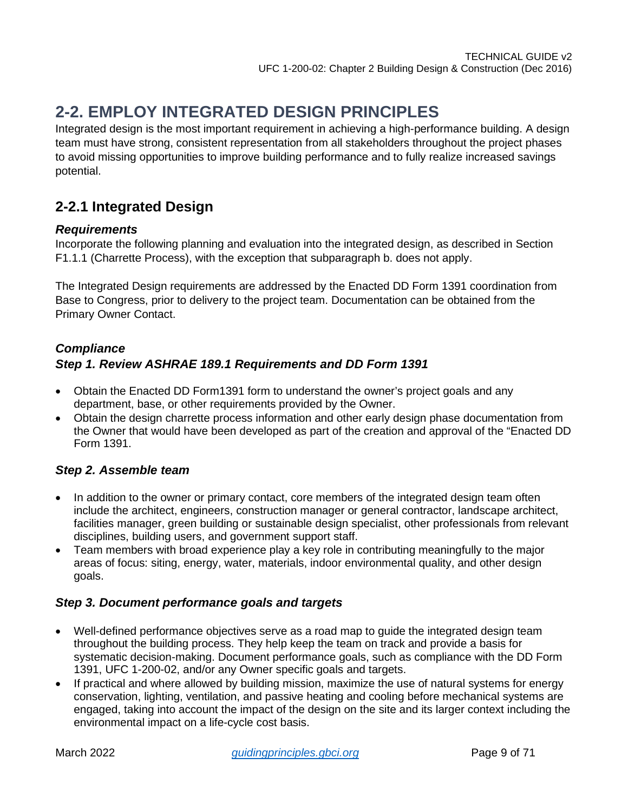# <span id="page-8-0"></span>**2-2. EMPLOY INTEGRATED DESIGN PRINCIPLES**

Integrated design is the most important requirement in achieving a high-performance building. A design team must have strong, consistent representation from all stakeholders throughout the project phases to avoid missing opportunities to improve building performance and to fully realize increased savings potential.

### <span id="page-8-1"></span>**2-2.1 Integrated Design**

### *Requirements*

Incorporate the following planning and evaluation into the integrated design, as described in Section F1.1.1 (Charrette Process), with the exception that subparagraph b. does not apply.

The Integrated Design requirements are addressed by the Enacted DD Form 1391 coordination from Base to Congress, prior to delivery to the project team. Documentation can be obtained from the Primary Owner Contact.

### *Compliance Step 1. Review ASHRAE 189.1 Requirements and DD Form 1391*

- Obtain the Enacted DD Form1391 form to understand the owner's project goals and any department, base, or other requirements provided by the Owner.
- Obtain the design charrette process information and other early design phase documentation from the Owner that would have been developed as part of the creation and approval of the "Enacted DD Form 1391.

### *Step 2. Assemble team*

- In addition to the owner or primary contact, core members of the integrated design team often include the architect, engineers, construction manager or general contractor, landscape architect, facilities manager, green building or sustainable design specialist, other professionals from relevant disciplines, building users, and government support staff.
- Team members with broad experience play a key role in contributing meaningfully to the major areas of focus: siting, energy, water, materials, indoor environmental quality, and other design goals.

### *Step 3. Document performance goals and targets*

- Well-defined performance objectives serve as a road map to guide the integrated design team throughout the building process. They help keep the team on track and provide a basis for systematic decision-making. Document performance goals, such as compliance with the DD Form 1391, UFC 1-200-02, and/or any Owner specific goals and targets.
- If practical and where allowed by building mission, maximize the use of natural systems for energy conservation, lighting, ventilation, and passive heating and cooling before mechanical systems are engaged, taking into account the impact of the design on the site and its larger context including the environmental impact on a life-cycle cost basis.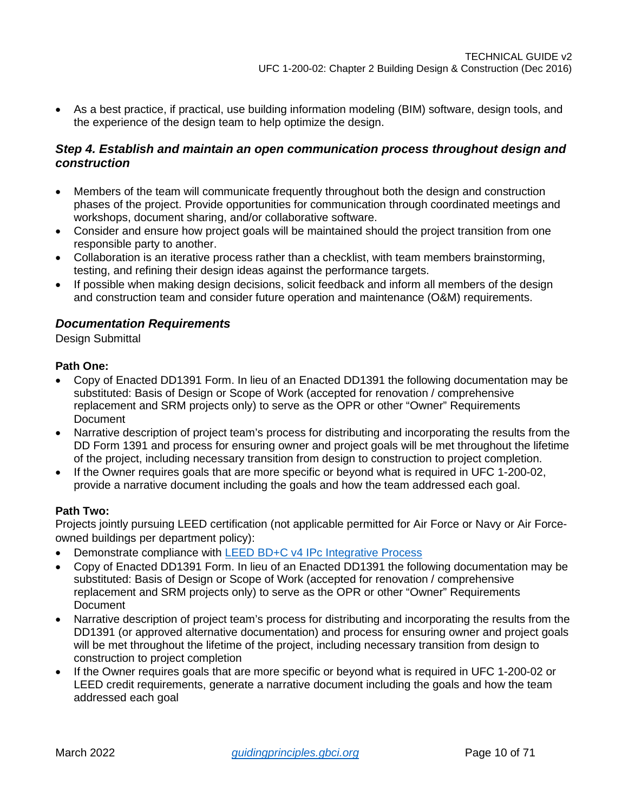• As a best practice, if practical, use building information modeling (BIM) software, design tools, and the experience of the design team to help optimize the design.

### *Step 4. Establish and maintain an open communication process throughout design and construction*

- Members of the team will communicate frequently throughout both the design and construction phases of the project. Provide opportunities for communication through coordinated meetings and workshops, document sharing, and/or collaborative software.
- Consider and ensure how project goals will be maintained should the project transition from one responsible party to another.
- Collaboration is an iterative process rather than a checklist, with team members brainstorming, testing, and refining their design ideas against the performance targets.
- If possible when making design decisions, solicit feedback and inform all members of the design and construction team and consider future operation and maintenance (O&M) requirements.

### *Documentation Requirements*

Design Submittal

### **Path One:**

- Copy of Enacted DD1391 Form. In lieu of an Enacted DD1391 the following documentation may be substituted: Basis of Design or Scope of Work (accepted for renovation / comprehensive replacement and SRM projects only) to serve as the OPR or other "Owner" Requirements **Document**
- Narrative description of project team's process for distributing and incorporating the results from the DD Form 1391 and process for ensuring owner and project goals will be met throughout the lifetime of the project, including necessary transition from design to construction to project completion.
- If the Owner requires goals that are more specific or beyond what is required in UFC 1-200-02, provide a narrative document including the goals and how the team addressed each goal.

### **Path Two:**

Projects jointly pursuing LEED certification (not applicable permitted for Air Force or Navy or Air Forceowned buildings per department policy):

- Demonstrate compliance with [LEED BD+C v4 IPc Integrative Process](http://www.usgbc.org/node/2613097?return=/credits/new-construction/v4)
- Copy of Enacted DD1391 Form. In lieu of an Enacted DD1391 the following documentation may be substituted: Basis of Design or Scope of Work (accepted for renovation / comprehensive replacement and SRM projects only) to serve as the OPR or other "Owner" Requirements **Document**
- Narrative description of project team's process for distributing and incorporating the results from the DD1391 (or approved alternative documentation) and process for ensuring owner and project goals will be met throughout the lifetime of the project, including necessary transition from design to construction to project completion
- If the Owner requires goals that are more specific or beyond what is required in UFC 1-200-02 or LEED credit requirements, generate a narrative document including the goals and how the team addressed each goal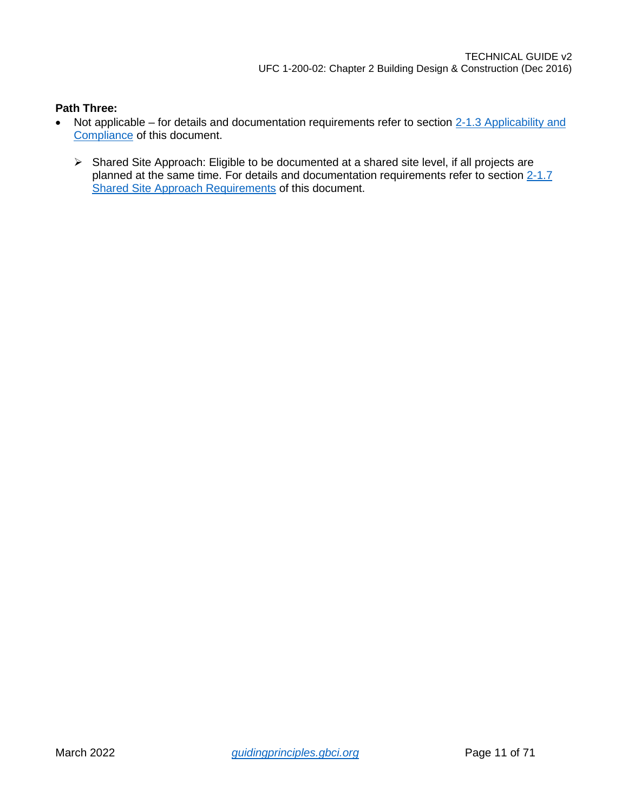- Not applicable for details and documentation requirements refer to section 2-1.3 Applicability and [Compliance](#page-4-4) of this document.
	- Shared Site Approach: Eligible to be documented at a shared site level, if all projects are planned at the same time. For details and documentation requirements refer to section [2-1.7](#page-7-0)  [Shared Site Approach Requirements](#page-7-0) of this document.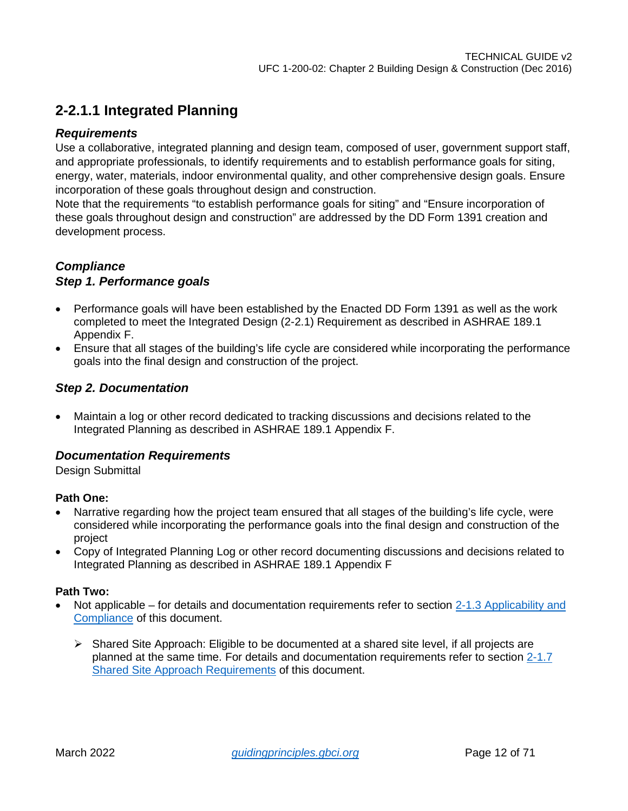### <span id="page-11-0"></span>**2-2.1.1 Integrated Planning**

### *Requirements*

Use a collaborative, integrated planning and design team, composed of user, government support staff, and appropriate professionals, to identify requirements and to establish performance goals for siting, energy, water, materials, indoor environmental quality, and other comprehensive design goals. Ensure incorporation of these goals throughout design and construction.

Note that the requirements "to establish performance goals for siting" and "Ensure incorporation of these goals throughout design and construction" are addressed by the DD Form 1391 creation and development process.

### *Compliance*

### *Step 1. Performance goals*

- Performance goals will have been established by the Enacted DD Form 1391 as well as the work completed to meet the Integrated Design (2-2.1) Requirement as described in ASHRAE 189.1 Appendix F.
- Ensure that all stages of the building's life cycle are considered while incorporating the performance goals into the final design and construction of the project.

### *Step 2. Documentation*

• Maintain a log or other record dedicated to tracking discussions and decisions related to the Integrated Planning as described in ASHRAE 189.1 Appendix F.

### *Documentation Requirements*

Design Submittal

### **Path One:**

- Narrative regarding how the project team ensured that all stages of the building's life cycle, were considered while incorporating the performance goals into the final design and construction of the project
- Copy of Integrated Planning Log or other record documenting discussions and decisions related to Integrated Planning as described in ASHRAE 189.1 Appendix F

- Not applicable for details and documentation requirements refer to section [2-1.3 Applicability and](#page-4-4)  [Compliance](#page-4-4) of this document.
	- $\triangleright$  Shared Site Approach: Eligible to be documented at a shared site level, if all projects are planned at the same time. For details and documentation requirements refer to section [2-1.7](#page-7-0)  [Shared Site Approach Requirements](#page-7-0) of this document.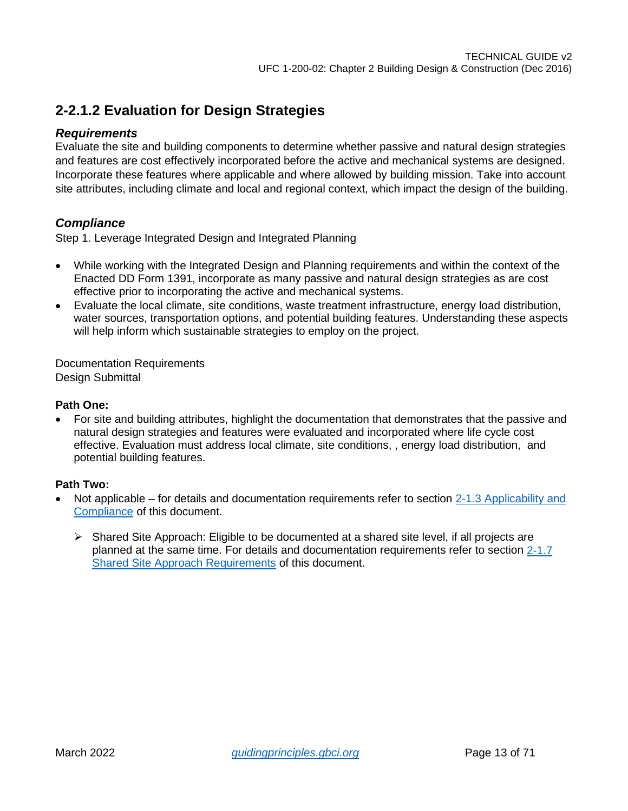### <span id="page-12-0"></span>**2-2.1.2 Evaluation for Design Strategies**

### *Requirements*

Evaluate the site and building components to determine whether passive and natural design strategies and features are cost effectively incorporated before the active and mechanical systems are designed. Incorporate these features where applicable and where allowed by building mission. Take into account site attributes, including climate and local and regional context, which impact the design of the building.

### *Compliance*

Step 1. Leverage Integrated Design and Integrated Planning

- While working with the Integrated Design and Planning requirements and within the context of the Enacted DD Form 1391, incorporate as many passive and natural design strategies as are cost effective prior to incorporating the active and mechanical systems.
- Evaluate the local climate, site conditions, waste treatment infrastructure, energy load distribution, water sources, transportation options, and potential building features. Understanding these aspects will help inform which sustainable strategies to employ on the project.

Documentation Requirements Design Submittal

#### **Path One:**

• For site and building attributes, highlight the documentation that demonstrates that the passive and natural design strategies and features were evaluated and incorporated where life cycle cost effective. Evaluation must address local climate, site conditions, , energy load distribution, and potential building features.

- Not applicable for details and documentation requirements refer to section 2-1.3 Applicability and [Compliance](#page-4-4) of this document.
	- $\triangleright$  Shared Site Approach: Eligible to be documented at a shared site level, if all projects are planned at the same time. For details and documentation requirements refer to section [2-1.7](#page-7-0)  [Shared Site Approach Requirements](#page-7-0) of this document.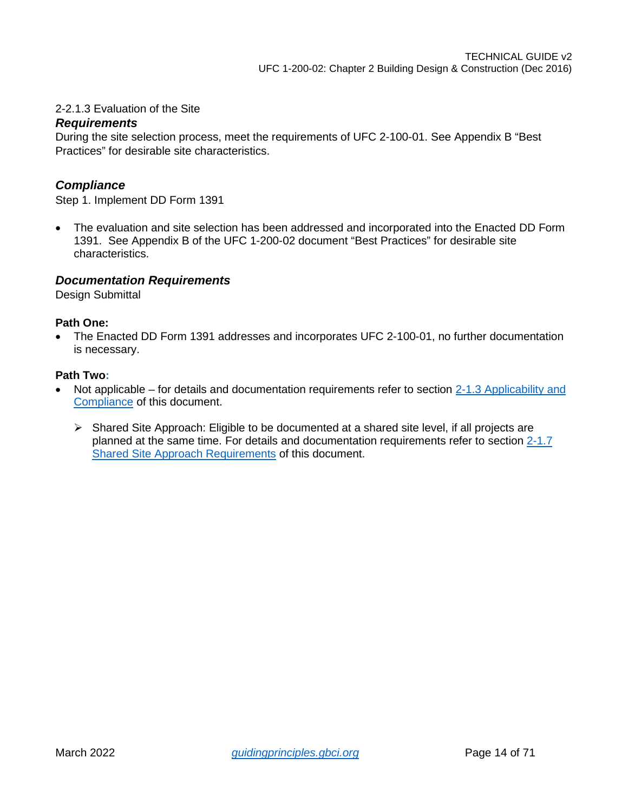### 2-2.1.3 Evaluation of the Site

### *Requirements*

During the site selection process, meet the requirements of UFC 2-100-01. See Appendix B "Best Practices" for desirable site characteristics.

### *Compliance*

Step 1. Implement DD Form 1391

• The evaluation and site selection has been addressed and incorporated into the Enacted DD Form 1391. See Appendix B of the UFC 1-200-02 document "Best Practices" for desirable site characteristics.

### *Documentation Requirements*

Design Submittal

#### **Path One:**

• The Enacted DD Form 1391 addresses and incorporates UFC 2-100-01, no further documentation is necessary.

- Not applicable for details and documentation requirements refer to section 2-1.3 Applicability and [Compliance](#page-4-4) of this document.
	- $\triangleright$  Shared Site Approach: Eligible to be documented at a shared site level, if all projects are planned at the same time. For details and documentation requirements refer to section [2-1.7](#page-7-0)  [Shared Site Approach Requirements](#page-7-0) of this document.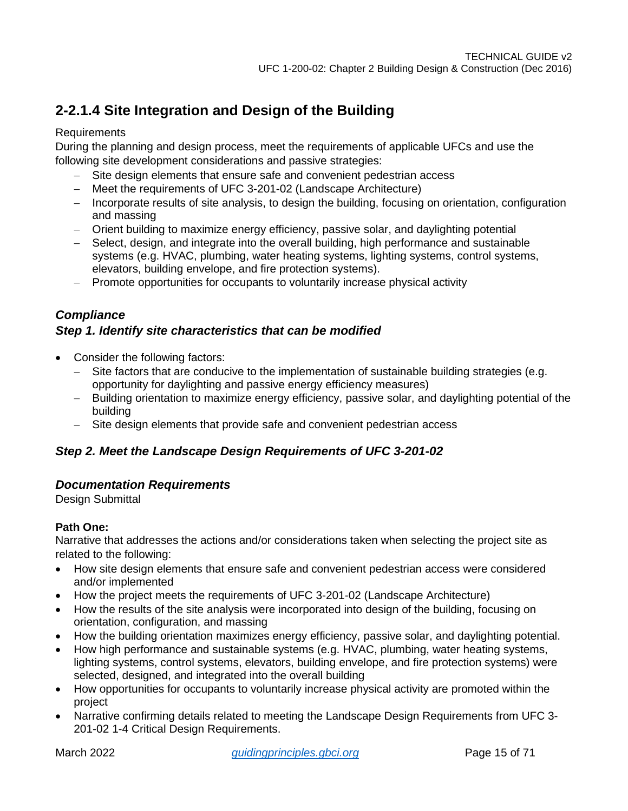## <span id="page-14-0"></span>**2-2.1.4 Site Integration and Design of the Building**

### **Requirements**

During the planning and design process, meet the requirements of applicable UFCs and use the following site development considerations and passive strategies:

- − Site design elements that ensure safe and convenient pedestrian access
- − Meet the requirements of UFC 3-201-02 (Landscape Architecture)
- − Incorporate results of site analysis, to design the building, focusing on orientation, configuration and massing
- − Orient building to maximize energy efficiency, passive solar, and daylighting potential
- − Select, design, and integrate into the overall building, high performance and sustainable systems (e.g. HVAC, plumbing, water heating systems, lighting systems, control systems, elevators, building envelope, and fire protection systems).
- − Promote opportunities for occupants to voluntarily increase physical activity

### *Compliance Step 1. Identify site characteristics that can be modified*

- Consider the following factors:
	- − Site factors that are conducive to the implementation of sustainable building strategies (e.g. opportunity for daylighting and passive energy efficiency measures)
	- − Building orientation to maximize energy efficiency, passive solar, and daylighting potential of the building
	- − Site design elements that provide safe and convenient pedestrian access

### *Step 2. Meet the Landscape Design Requirements of UFC 3-201-02*

### *Documentation Requirements*

Design Submittal

### **Path One:**

Narrative that addresses the actions and/or considerations taken when selecting the project site as related to the following:

- How site design elements that ensure safe and convenient pedestrian access were considered and/or implemented
- How the project meets the requirements of UFC 3-201-02 (Landscape Architecture)
- How the results of the site analysis were incorporated into design of the building, focusing on orientation, configuration, and massing
- How the building orientation maximizes energy efficiency, passive solar, and daylighting potential.
- How high performance and sustainable systems (e.g. HVAC, plumbing, water heating systems, lighting systems, control systems, elevators, building envelope, and fire protection systems) were selected, designed, and integrated into the overall building
- How opportunities for occupants to voluntarily increase physical activity are promoted within the project
- Narrative confirming details related to meeting the Landscape Design Requirements from UFC 3- 201-02 1-4 Critical Design Requirements.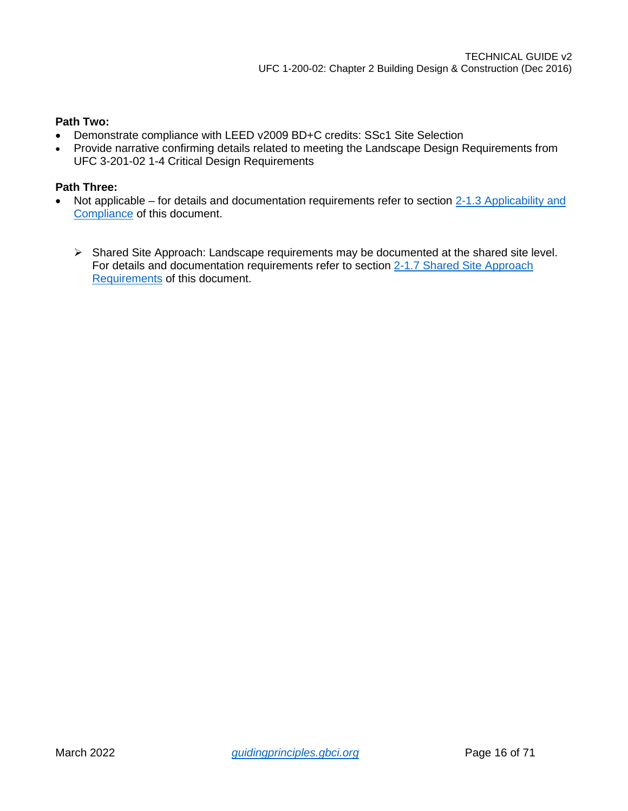### **Path Two:**

- Demonstrate compliance with LEED v2009 BD+C credits: SSc1 Site Selection
- Provide narrative confirming details related to meeting the Landscape Design Requirements from UFC 3-201-02 1-4 Critical Design Requirements

- Not applicable for details and documentation requirements refer to section 2-1.3 Applicability and [Compliance](#page-4-4) of this document.
	- $\triangleright$  Shared Site Approach: Landscape requirements may be documented at the shared site level. For details and documentation requirements refer to section [2-1.7 Shared Site Approach](#page-7-0)  [Requirements](#page-7-0) of this document.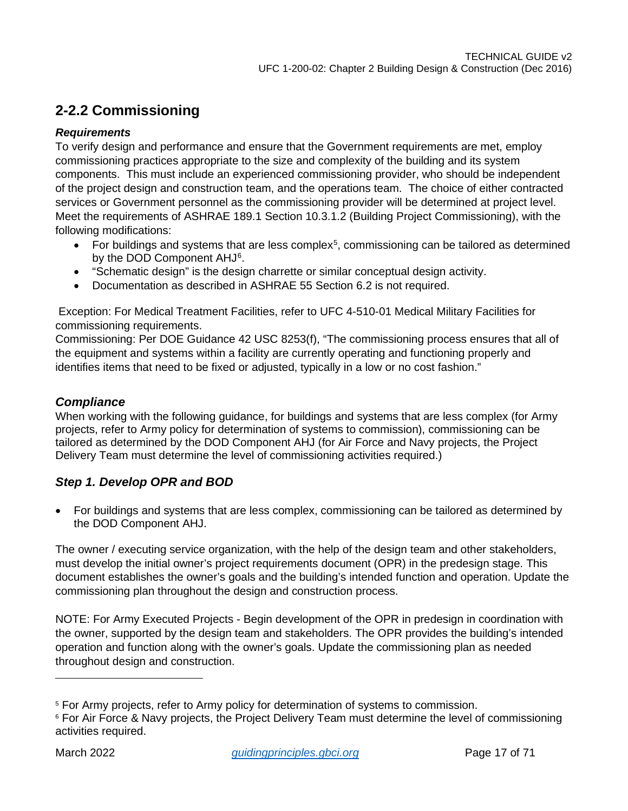### <span id="page-16-0"></span>**2-2.2 Commissioning**

### *Requirements*

To verify design and performance and ensure that the Government requirements are met, employ commissioning practices appropriate to the size and complexity of the building and its system components. This must include an experienced commissioning provider, who should be independent of the project design and construction team, and the operations team. The choice of either contracted services or Government personnel as the commissioning provider will be determined at project level. Meet the requirements of ASHRAE 189.1 Section 10.3.1.2 (Building Project Commissioning), with the following modifications:

- $\bullet$  For buildings and systems that are less complex<sup>[5](#page-16-1)</sup>, commissioning can be tailored as determined by the DOD Component AHJ<sup>[6](#page-16-2)</sup>.
- "Schematic design" is the design charrette or similar conceptual design activity.
- Documentation as described in ASHRAE 55 Section 6.2 is not required.

Exception: For Medical Treatment Facilities, refer to UFC 4-510-01 Medical Military Facilities for commissioning requirements.

Commissioning: Per DOE Guidance 42 USC 8253(f), "The commissioning process ensures that all of the equipment and systems within a facility are currently operating and functioning properly and identifies items that need to be fixed or adjusted, typically in a low or no cost fashion."

### *Compliance*

When working with the following guidance, for buildings and systems that are less complex (for Army projects, refer to Army policy for determination of systems to commission), commissioning can be tailored as determined by the DOD Component AHJ (for Air Force and Navy projects, the Project Delivery Team must determine the level of commissioning activities required.)

### *Step 1. Develop OPR and BOD*

• For buildings and systems that are less complex, commissioning can be tailored as determined by the DOD Component AHJ.

The owner / executing service organization, with the help of the design team and other stakeholders, must develop the initial owner's project requirements document (OPR) in the predesign stage. This document establishes the owner's goals and the building's intended function and operation. Update the commissioning plan throughout the design and construction process.

NOTE: For Army Executed Projects - Begin development of the OPR in predesign in coordination with the owner, supported by the design team and stakeholders. The OPR provides the building's intended operation and function along with the owner's goals. Update the commissioning plan as needed throughout design and construction.

<span id="page-16-1"></span><sup>5</sup> For Army projects, refer to Army policy for determination of systems to commission.

<span id="page-16-2"></span><sup>&</sup>lt;sup>6</sup> For Air Force & Navy projects, the Project Delivery Team must determine the level of commissioning activities required.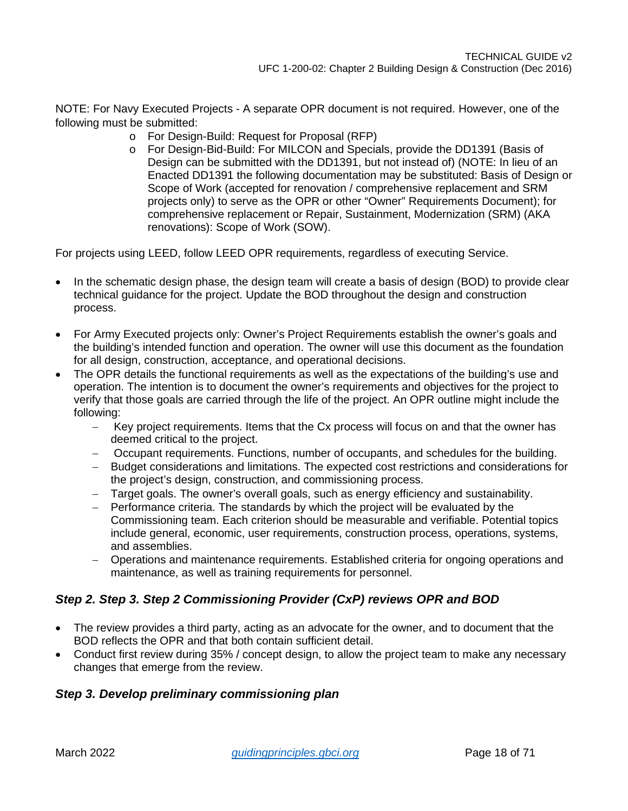NOTE: For Navy Executed Projects - A separate OPR document is not required. However, one of the following must be submitted:

- o For Design-Build: Request for Proposal (RFP)
- o For Design-Bid-Build: For MILCON and Specials, provide the DD1391 (Basis of Design can be submitted with the DD1391, but not instead of) (NOTE: In lieu of an Enacted DD1391 the following documentation may be substituted: Basis of Design or Scope of Work (accepted for renovation / comprehensive replacement and SRM projects only) to serve as the OPR or other "Owner" Requirements Document); for comprehensive replacement or Repair, Sustainment, Modernization (SRM) (AKA renovations): Scope of Work (SOW).

For projects using LEED, follow LEED OPR requirements, regardless of executing Service.

- In the schematic design phase, the design team will create a basis of design (BOD) to provide clear technical guidance for the project. Update the BOD throughout the design and construction process.
- For Army Executed projects only: Owner's Project Requirements establish the owner's goals and the building's intended function and operation. The owner will use this document as the foundation for all design, construction, acceptance, and operational decisions.
- The OPR details the functional requirements as well as the expectations of the building's use and operation. The intention is to document the owner's requirements and objectives for the project to verify that those goals are carried through the life of the project. An OPR outline might include the following:
	- − Key project requirements. Items that the Cx process will focus on and that the owner has deemed critical to the project.
	- − Occupant requirements. Functions, number of occupants, and schedules for the building.
	- − Budget considerations and limitations. The expected cost restrictions and considerations for the project's design, construction, and commissioning process.
	- − Target goals. The owner's overall goals, such as energy efficiency and sustainability.
	- − Performance criteria. The standards by which the project will be evaluated by the Commissioning team. Each criterion should be measurable and verifiable. Potential topics include general, economic, user requirements, construction process, operations, systems, and assemblies.
	- − Operations and maintenance requirements. Established criteria for ongoing operations and maintenance, as well as training requirements for personnel.

### *Step 2. Step 3. Step 2 Commissioning Provider (CxP) reviews OPR and BOD*

- The review provides a third party, acting as an advocate for the owner, and to document that the BOD reflects the OPR and that both contain sufficient detail.
- Conduct first review during 35% / concept design, to allow the project team to make any necessary changes that emerge from the review.

### *Step 3. Develop preliminary commissioning plan*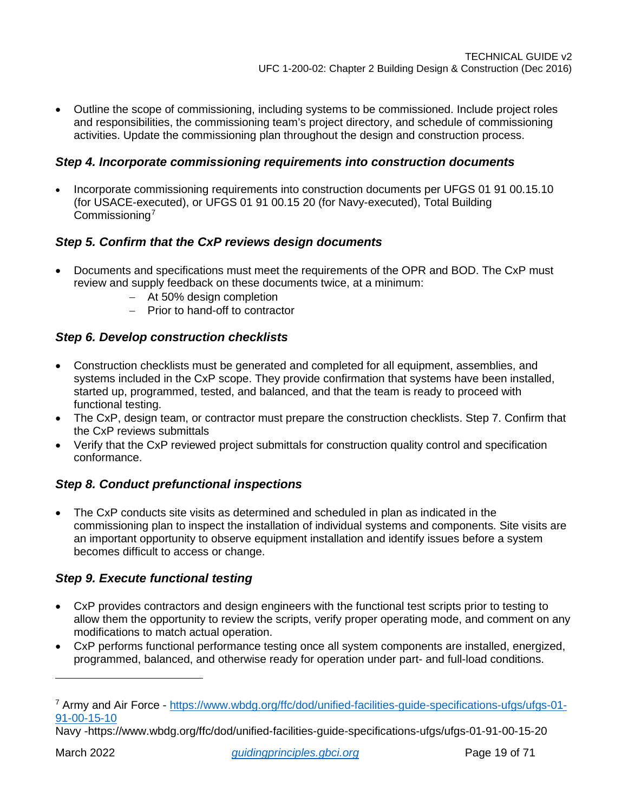• Outline the scope of commissioning, including systems to be commissioned. Include project roles and responsibilities, the commissioning team's project directory, and schedule of commissioning activities. Update the commissioning plan throughout the design and construction process.

### *Step 4. Incorporate commissioning requirements into construction documents*

• Incorporate commissioning requirements into construction documents per UFGS 01 91 00.15.10 (for USACE-executed), or UFGS 01 91 00.15 20 (for Navy-executed), Total Building Commissioning[7](#page-18-0)

### *Step 5. Confirm that the CxP reviews design documents*

- Documents and specifications must meet the requirements of the OPR and BOD. The CxP must review and supply feedback on these documents twice, at a minimum:
	- − At 50% design completion
	- − Prior to hand-off to contractor

### *Step 6. Develop construction checklists*

- Construction checklists must be generated and completed for all equipment, assemblies, and systems included in the CxP scope. They provide confirmation that systems have been installed, started up, programmed, tested, and balanced, and that the team is ready to proceed with functional testing.
- The CxP, design team, or contractor must prepare the construction checklists. Step 7. Confirm that the CxP reviews submittals
- Verify that the CxP reviewed project submittals for construction quality control and specification conformance.

### *Step 8. Conduct prefunctional inspections*

The CxP conducts site visits as determined and scheduled in plan as indicated in the commissioning plan to inspect the installation of individual systems and components. Site visits are an important opportunity to observe equipment installation and identify issues before a system becomes difficult to access or change.

### *Step 9. Execute functional testing*

- CxP provides contractors and design engineers with the functional test scripts prior to testing to allow them the opportunity to review the scripts, verify proper operating mode, and comment on any modifications to match actual operation.
- CxP performs functional performance testing once all system components are installed, energized, programmed, balanced, and otherwise ready for operation under part- and full-load conditions.

<span id="page-18-0"></span><sup>7</sup> Army and Air Force - [https://www.wbdg.org/ffc/dod/unified-facilities-guide-specifications-ufgs/ufgs-01-](https://www.wbdg.org/ffc/dod/unified-facilities-guide-specifications-ufgs/ufgs-01-91-00-15-10) [91-00-15-10](https://www.wbdg.org/ffc/dod/unified-facilities-guide-specifications-ufgs/ufgs-01-91-00-15-10)

Navy -https://www.wbdg.org/ffc/dod/unified-facilities-guide-specifications-ufgs/ufgs-01-91-00-15-20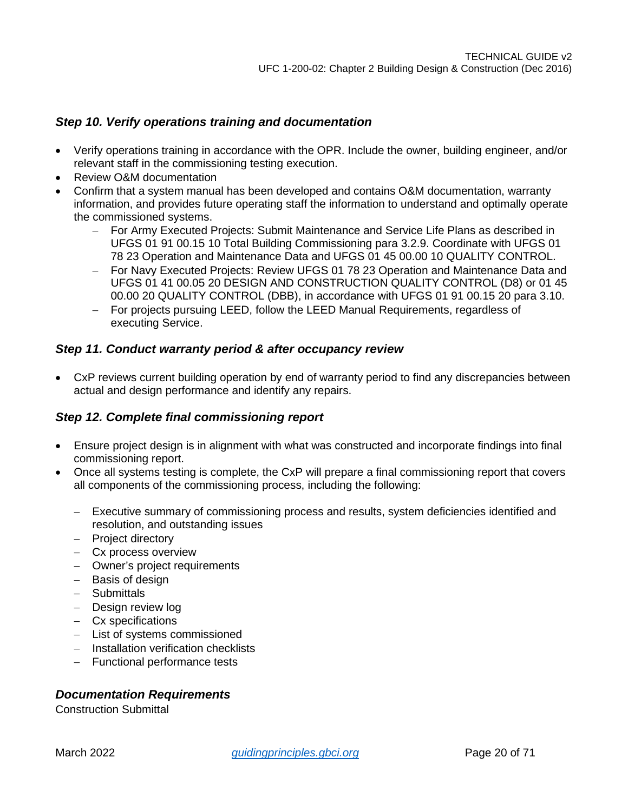### *Step 10. Verify operations training and documentation*

- Verify operations training in accordance with the OPR. Include the owner, building engineer, and/or relevant staff in the commissioning testing execution.
- Review O&M documentation
- Confirm that a system manual has been developed and contains O&M documentation, warranty information, and provides future operating staff the information to understand and optimally operate the commissioned systems.
	- − For Army Executed Projects: Submit Maintenance and Service Life Plans as described in UFGS 01 91 00.15 10 Total Building Commissioning para 3.2.9. Coordinate with UFGS 01 78 23 Operation and Maintenance Data and UFGS 01 45 00.00 10 QUALITY CONTROL.
	- − For Navy Executed Projects: Review UFGS 01 78 23 Operation and Maintenance Data and UFGS 01 41 00.05 20 DESIGN AND CONSTRUCTION QUALITY CONTROL (D8) or 01 45 00.00 20 QUALITY CONTROL (DBB), in accordance with UFGS 01 91 00.15 20 para 3.10.
	- − For projects pursuing LEED, follow the LEED Manual Requirements, regardless of executing Service.

### *Step 11. Conduct warranty period & after occupancy review*

• CxP reviews current building operation by end of warranty period to find any discrepancies between actual and design performance and identify any repairs.

### *Step 12. Complete final commissioning report*

- Ensure project design is in alignment with what was constructed and incorporate findings into final commissioning report.
- Once all systems testing is complete, the CxP will prepare a final commissioning report that covers all components of the commissioning process, including the following:
	- − Executive summary of commissioning process and results, system deficiencies identified and resolution, and outstanding issues
	- − Project directory
	- − Cx process overview
	- − Owner's project requirements
	- − Basis of design
	- − Submittals
	- − Design review log
	- − Cx specifications
	- − List of systems commissioned
	- − Installation verification checklists
	- − Functional performance tests

### *Documentation Requirements*

Construction Submittal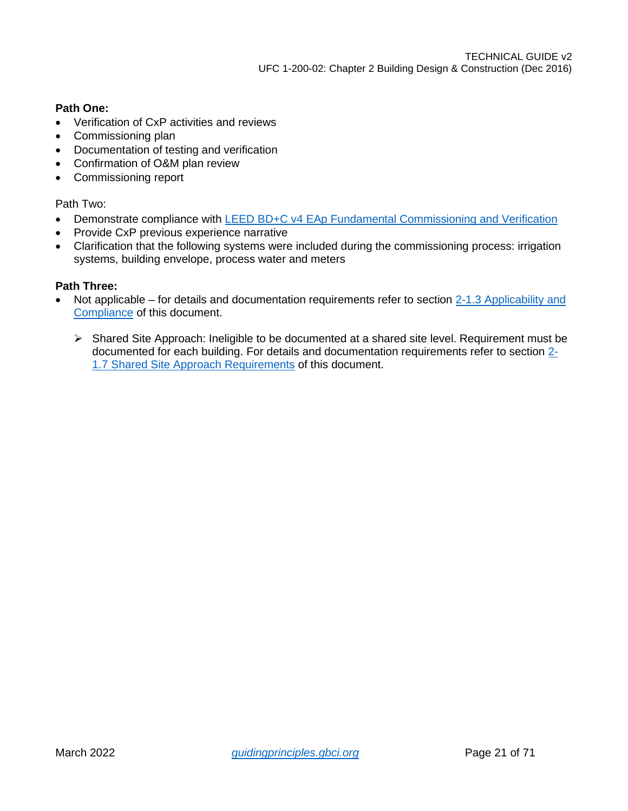### **Path One:**

- Verification of CxP activities and reviews
- Commissioning plan
- Documentation of testing and verification
- Confirmation of O&M plan review
- Commissioning report

Path Two:

- Demonstrate compliance with [LEED BD+C v4 EAp Fundamental Commissioning and Verification](https://www.usgbc.org/node/2612328?return=/credits/new-construction/v4/energy-%26amp%3B-atmosphere)
- Provide CxP previous experience narrative
- Clarification that the following systems were included during the commissioning process: irrigation systems, building envelope, process water and meters

- Not applicable for details and documentation requirements refer to section 2-1.3 Applicability and [Compliance](#page-4-4) of this document.
	- $\triangleright$  Shared Site Approach: Ineligible to be documented at a shared site level. Requirement must be documented for each building. For details and documentation requirements refer to section [2-](#page-7-0) [1.7 Shared Site Approach Requirements](#page-7-0) of this document.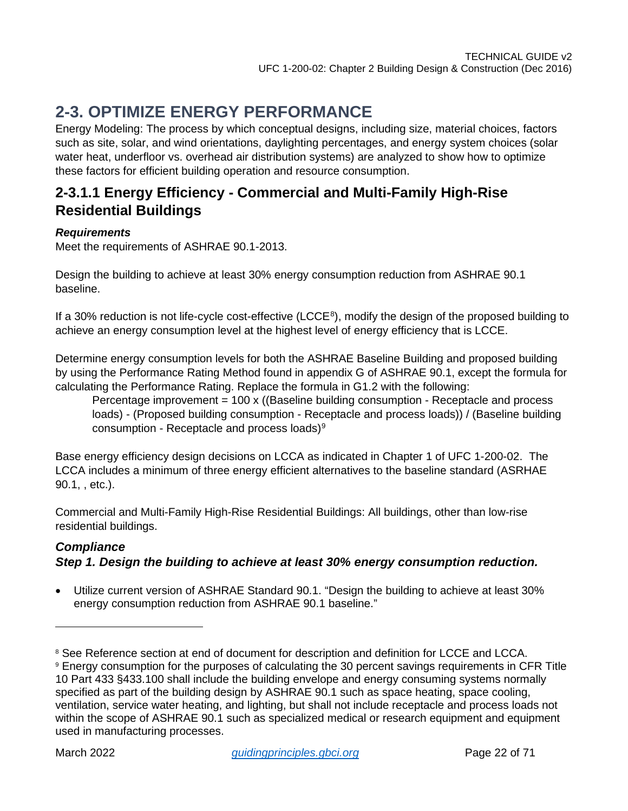# <span id="page-21-0"></span>**2-3. OPTIMIZE ENERGY PERFORMANCE**

Energy Modeling: The process by which conceptual designs, including size, material choices, factors such as site, solar, and wind orientations, daylighting percentages, and energy system choices (solar water heat, underfloor vs. overhead air distribution systems) are analyzed to show how to optimize these factors for efficient building operation and resource consumption.

### <span id="page-21-1"></span>**2-3.1.1 Energy Efficiency - Commercial and Multi-Family High-Rise Residential Buildings**

### *Requirements*

Meet the requirements of ASHRAE 90.1-2013.

Design the building to achieve at least 30% energy consumption reduction from ASHRAE 90.1 baseline.

If a 30% reduction is not life-cycle cost-effective (LCCE<sup>[8](#page-21-2)</sup>), modify the design of the proposed building to achieve an energy consumption level at the highest level of energy efficiency that is LCCE.

Determine energy consumption levels for both the ASHRAE Baseline Building and proposed building by using the Performance Rating Method found in appendix G of ASHRAE 90.1, except the formula for calculating the Performance Rating. Replace the formula in G1.2 with the following:

Percentage improvement = 100 x ((Baseline building consumption - Receptacle and process loads) - (Proposed building consumption - Receptacle and process loads)) / (Baseline building consumption - Receptacle and process loads)<sup>[9](#page-21-3)</sup>

Base energy efficiency design decisions on LCCA as indicated in Chapter 1 of UFC 1-200-02. The LCCA includes a minimum of three energy efficient alternatives to the baseline standard (ASRHAE 90.1, , etc.).

Commercial and Multi-Family High-Rise Residential Buildings: All buildings, other than low-rise residential buildings.

### *Compliance Step 1. Design the building to achieve at least 30% energy consumption reduction.*

• Utilize current version of ASHRAE Standard 90.1. "Design the building to achieve at least 30% energy consumption reduction from ASHRAE 90.1 baseline."

<span id="page-21-2"></span><sup>&</sup>lt;sup>8</sup> See Reference section at end of document for description and definition for LCCE and LCCA.

<span id="page-21-3"></span><sup>9</sup> Energy consumption for the purposes of calculating the 30 percent savings requirements in CFR Title 10 Part 433 §433.100 shall include the building envelope and energy consuming systems normally specified as part of the building design by ASHRAE 90.1 such as space heating, space cooling, ventilation, service water heating, and lighting, but shall not include receptacle and process loads not within the scope of ASHRAE 90.1 such as specialized medical or research equipment and equipment used in manufacturing processes.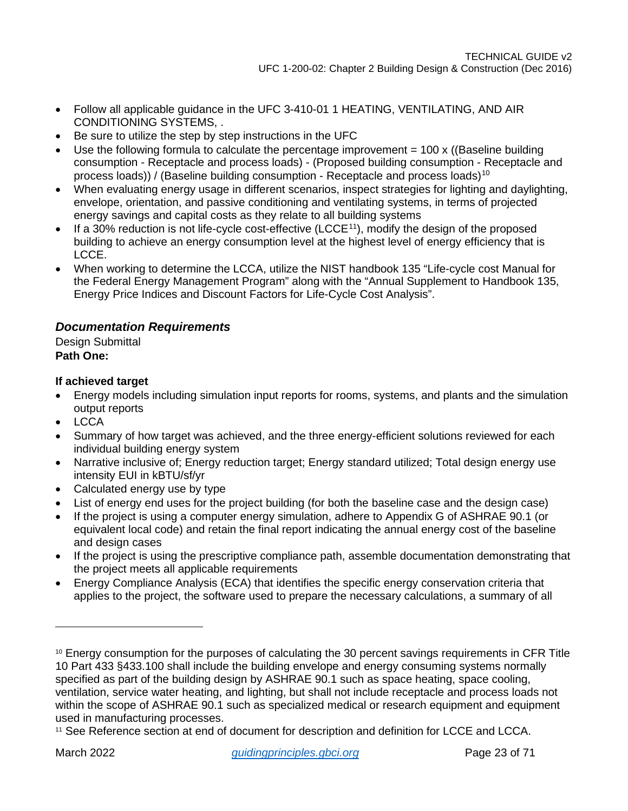- Follow all applicable guidance in the UFC 3-410-01 1 HEATING, VENTILATING, AND AIR CONDITIONING SYSTEMS, .
- Be sure to utilize the step by step instructions in the UFC
- Use the following formula to calculate the percentage improvement  $= 100 \times$  ((Baseline building consumption - Receptacle and process loads) - (Proposed building consumption - Receptacle and process loads)) / (Baseline building consumption - Receptacle and process loads)<sup>[10](#page-22-0)</sup>
- When evaluating energy usage in different scenarios, inspect strategies for lighting and daylighting, envelope, orientation, and passive conditioning and ventilating systems, in terms of projected energy savings and capital costs as they relate to all building systems
- If a 30% reduction is not life-cycle cost-effective (LCCE<sup>[11](#page-22-1)</sup>), modify the design of the proposed building to achieve an energy consumption level at the highest level of energy efficiency that is LCCE.
- When working to determine the LCCA, utilize the NIST handbook 135 "Life-cycle cost Manual for the Federal Energy Management Program" along with the "Annual Supplement to Handbook 135, Energy Price Indices and Discount Factors for Life-Cycle Cost Analysis".

### *Documentation Requirements*

Design Submittal **Path One:** 

### **If achieved target**

- Energy models including simulation input reports for rooms, systems, and plants and the simulation output reports
- LCCA
- Summary of how target was achieved, and the three energy-efficient solutions reviewed for each individual building energy system
- Narrative inclusive of; Energy reduction target; Energy standard utilized; Total design energy use intensity EUI in kBTU/sf/yr
- Calculated energy use by type
- List of energy end uses for the project building (for both the baseline case and the design case)
- If the project is using a computer energy simulation, adhere to Appendix G of ASHRAE 90.1 (or equivalent local code) and retain the final report indicating the annual energy cost of the baseline and design cases
- If the project is using the prescriptive compliance path, assemble documentation demonstrating that the project meets all applicable requirements
- Energy Compliance Analysis (ECA) that identifies the specific energy conservation criteria that applies to the project, the software used to prepare the necessary calculations, a summary of all

<span id="page-22-0"></span><sup>10</sup> Energy consumption for the purposes of calculating the 30 percent savings requirements in CFR Title 10 Part 433 §433.100 shall include the building envelope and energy consuming systems normally specified as part of the building design by ASHRAE 90.1 such as space heating, space cooling, ventilation, service water heating, and lighting, but shall not include receptacle and process loads not within the scope of ASHRAE 90.1 such as specialized medical or research equipment and equipment used in manufacturing processes.

<span id="page-22-1"></span><sup>11</sup> See Reference section at end of document for description and definition for LCCE and LCCA.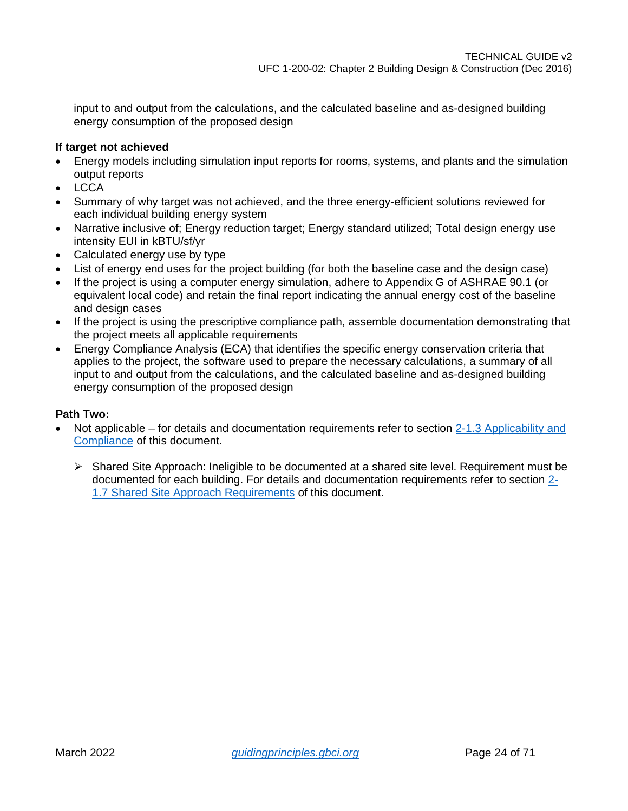input to and output from the calculations, and the calculated baseline and as-designed building energy consumption of the proposed design

### **If target not achieved**

- Energy models including simulation input reports for rooms, systems, and plants and the simulation output reports
- LCCA
- Summary of why target was not achieved, and the three energy-efficient solutions reviewed for each individual building energy system
- Narrative inclusive of; Energy reduction target; Energy standard utilized; Total design energy use intensity EUI in kBTU/sf/yr
- Calculated energy use by type
- List of energy end uses for the project building (for both the baseline case and the design case)
- If the project is using a computer energy simulation, adhere to Appendix G of ASHRAE 90.1 (or equivalent local code) and retain the final report indicating the annual energy cost of the baseline and design cases
- If the project is using the prescriptive compliance path, assemble documentation demonstrating that the project meets all applicable requirements
- Energy Compliance Analysis (ECA) that identifies the specific energy conservation criteria that applies to the project, the software used to prepare the necessary calculations, a summary of all input to and output from the calculations, and the calculated baseline and as-designed building energy consumption of the proposed design

- Not applicable for details and documentation requirements refer to section 2-1.3 Applicability and [Compliance](#page-4-4) of this document.
	- $\triangleright$  Shared Site Approach: Ineligible to be documented at a shared site level. Requirement must be documented for each building. For details and documentation requirements refer to section [2-](#page-7-0) [1.7 Shared Site Approach Requirements](#page-7-0) of this document.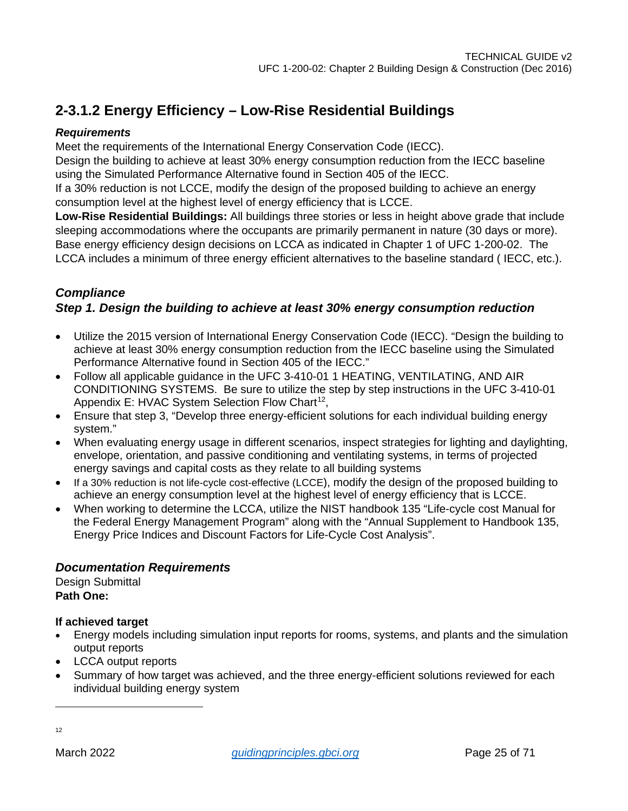## <span id="page-24-0"></span>**2-3.1.2 Energy Efficiency – Low-Rise Residential Buildings**

### *Requirements*

Meet the requirements of the International Energy Conservation Code (IECC).

Design the building to achieve at least 30% energy consumption reduction from the IECC baseline using the Simulated Performance Alternative found in Section 405 of the IECC.

If a 30% reduction is not LCCE, modify the design of the proposed building to achieve an energy consumption level at the highest level of energy efficiency that is LCCE.

**Low-Rise Residential Buildings:** All buildings three stories or less in height above grade that include sleeping accommodations where the occupants are primarily permanent in nature (30 days or more). Base energy efficiency design decisions on LCCA as indicated in Chapter 1 of UFC 1-200-02. The LCCA includes a minimum of three energy efficient alternatives to the baseline standard ( IECC, etc.).

### *Compliance*

### *Step 1. Design the building to achieve at least 30% energy consumption reduction*

- Utilize the 2015 version of International Energy Conservation Code (IECC). "Design the building to achieve at least 30% energy consumption reduction from the IECC baseline using the Simulated Performance Alternative found in Section 405 of the IECC."
- Follow all applicable guidance in the UFC 3-410-01 1 HEATING, VENTILATING, AND AIR CONDITIONING SYSTEMS. Be sure to utilize the step by step instructions in the UFC 3-410-01 Appendix E: HVAC System Selection Flow Chart<sup>[12](#page-24-1)</sup>,
- Ensure that step 3, "Develop three energy-efficient solutions for each individual building energy system."
- When evaluating energy usage in different scenarios, inspect strategies for lighting and daylighting, envelope, orientation, and passive conditioning and ventilating systems, in terms of projected energy savings and capital costs as they relate to all building systems
- If a 30% reduction is not life-cycle cost-effective (LCCE), modify the design of the proposed building to achieve an energy consumption level at the highest level of energy efficiency that is LCCE.
- When working to determine the LCCA, utilize the NIST handbook 135 "Life-cycle cost Manual for the Federal Energy Management Program" along with the "Annual Supplement to Handbook 135, Energy Price Indices and Discount Factors for Life-Cycle Cost Analysis".

### *Documentation Requirements*

Design Submittal **Path One:** 

### **If achieved target**

- Energy models including simulation input reports for rooms, systems, and plants and the simulation output reports
- LCCA output reports
- Summary of how target was achieved, and the three energy-efficient solutions reviewed for each individual building energy system

<span id="page-24-1"></span>12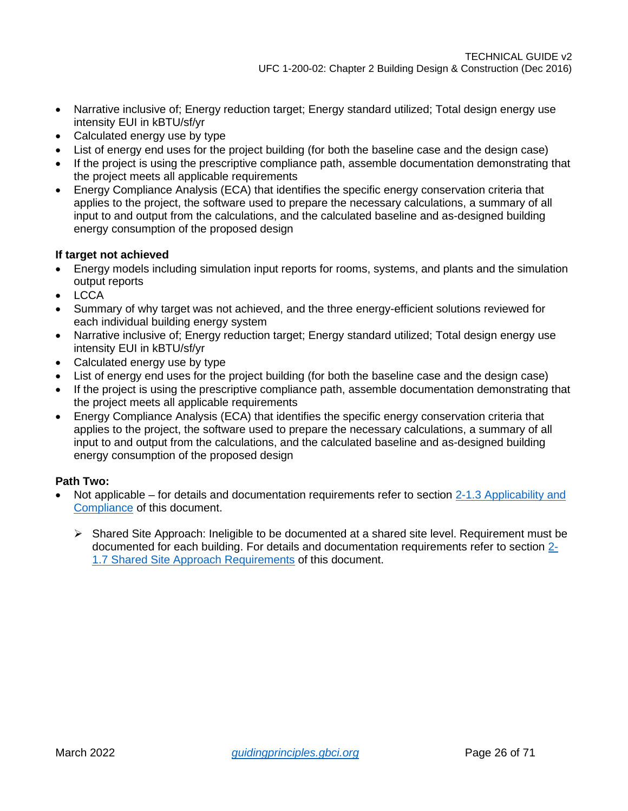- Narrative inclusive of; Energy reduction target; Energy standard utilized; Total design energy use intensity EUI in kBTU/sf/yr
- Calculated energy use by type
- List of energy end uses for the project building (for both the baseline case and the design case)
- If the project is using the prescriptive compliance path, assemble documentation demonstrating that the project meets all applicable requirements
- Energy Compliance Analysis (ECA) that identifies the specific energy conservation criteria that applies to the project, the software used to prepare the necessary calculations, a summary of all input to and output from the calculations, and the calculated baseline and as-designed building energy consumption of the proposed design

#### **If target not achieved**

- Energy models including simulation input reports for rooms, systems, and plants and the simulation output reports
- LCCA
- Summary of why target was not achieved, and the three energy-efficient solutions reviewed for each individual building energy system
- Narrative inclusive of; Energy reduction target; Energy standard utilized; Total design energy use intensity EUI in kBTU/sf/yr
- Calculated energy use by type
- List of energy end uses for the project building (for both the baseline case and the design case)
- If the project is using the prescriptive compliance path, assemble documentation demonstrating that the project meets all applicable requirements
- Energy Compliance Analysis (ECA) that identifies the specific energy conservation criteria that applies to the project, the software used to prepare the necessary calculations, a summary of all input to and output from the calculations, and the calculated baseline and as-designed building energy consumption of the proposed design

- Not applicable for details and documentation requirements refer to section [2-1.3 Applicability and](#page-4-4)  [Compliance](#page-4-4) of this document.
	- $\triangleright$  Shared Site Approach: Ineligible to be documented at a shared site level. Requirement must be documented for each building. For details and documentation requirements refer to section [2-](#page-7-0) [1.7 Shared Site Approach Requirements](#page-7-0) of this document.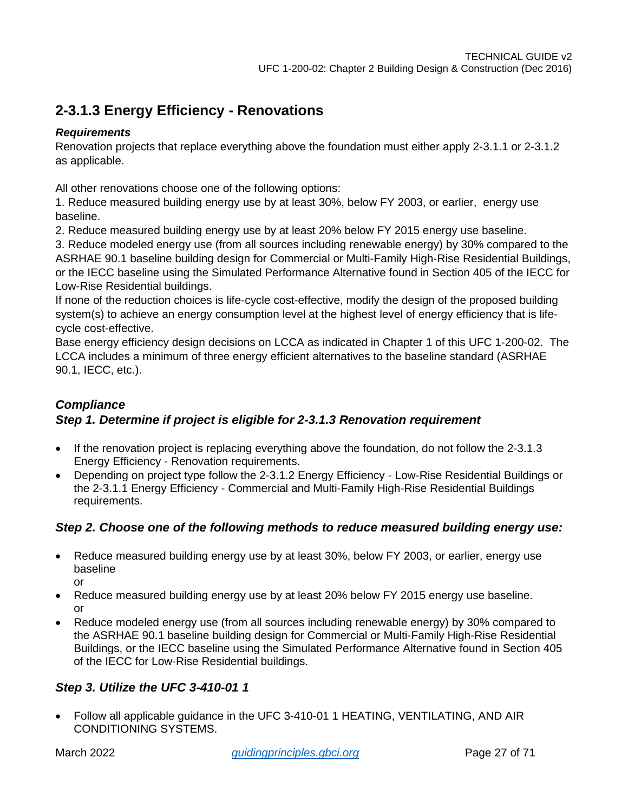### <span id="page-26-0"></span>**2-3.1.3 Energy Efficiency - Renovations**

### *Requirements*

Renovation projects that replace everything above the foundation must either apply 2-3.1.1 or 2-3.1.2 as applicable.

All other renovations choose one of the following options:

1. Reduce measured building energy use by at least 30%, below FY 2003, or earlier, energy use baseline.

2. Reduce measured building energy use by at least 20% below FY 2015 energy use baseline.

3. Reduce modeled energy use (from all sources including renewable energy) by 30% compared to the ASRHAE 90.1 baseline building design for Commercial or Multi-Family High-Rise Residential Buildings, or the IECC baseline using the Simulated Performance Alternative found in Section 405 of the IECC for Low-Rise Residential buildings.

If none of the reduction choices is life-cycle cost-effective, modify the design of the proposed building system(s) to achieve an energy consumption level at the highest level of energy efficiency that is lifecycle cost-effective.

Base energy efficiency design decisions on LCCA as indicated in Chapter 1 of this UFC 1-200-02. The LCCA includes a minimum of three energy efficient alternatives to the baseline standard (ASRHAE 90.1, IECC, etc.).

### *Compliance Step 1. Determine if project is eligible for 2-3.1.3 Renovation requirement*

- If the renovation project is replacing everything above the foundation, do not follow the 2-3.1.3 Energy Efficiency - Renovation requirements.
- Depending on project type follow the 2-3.1.2 Energy Efficiency Low-Rise Residential Buildings or the 2-3.1.1 Energy Efficiency - Commercial and Multi-Family High-Rise Residential Buildings requirements.

### *Step 2. Choose one of the following methods to reduce measured building energy use:*

• Reduce measured building energy use by at least 30%, below FY 2003, or earlier, energy use baseline

or

- Reduce measured building energy use by at least 20% below FY 2015 energy use baseline. or
- Reduce modeled energy use (from all sources including renewable energy) by 30% compared to the ASRHAE 90.1 baseline building design for Commercial or Multi-Family High-Rise Residential Buildings, or the IECC baseline using the Simulated Performance Alternative found in Section 405 of the IECC for Low-Rise Residential buildings.

### *Step 3. Utilize the UFC 3-410-01 1*

• Follow all applicable guidance in the UFC 3-410-01 1 HEATING, VENTILATING, AND AIR CONDITIONING SYSTEMS.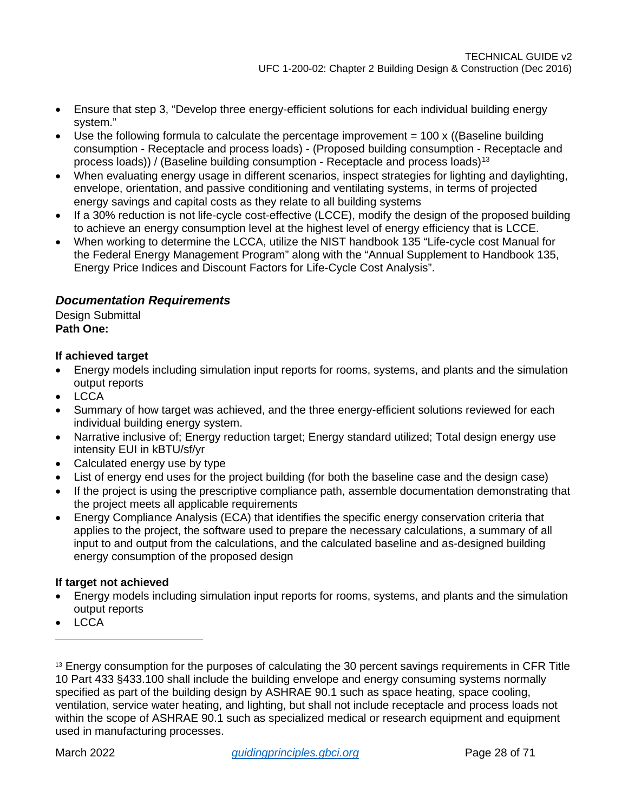- Ensure that step 3, "Develop three energy-efficient solutions for each individual building energy system."
- Use the following formula to calculate the percentage improvement  $= 100 \times$  ((Baseline building consumption - Receptacle and process loads) - (Proposed building consumption - Receptacle and process loads)) / (Baseline building consumption - Receptacle and process loads)<sup>[13](#page-27-0)</sup>
- When evaluating energy usage in different scenarios, inspect strategies for lighting and daylighting, envelope, orientation, and passive conditioning and ventilating systems, in terms of projected energy savings and capital costs as they relate to all building systems
- If a 30% reduction is not life-cycle cost-effective (LCCE), modify the design of the proposed building to achieve an energy consumption level at the highest level of energy efficiency that is LCCE.
- When working to determine the LCCA, utilize the NIST handbook 135 "Life-cycle cost Manual for the Federal Energy Management Program" along with the "Annual Supplement to Handbook 135, Energy Price Indices and Discount Factors for Life-Cycle Cost Analysis".

### *Documentation Requirements*

Design Submittal **Path One:** 

### **If achieved target**

- Energy models including simulation input reports for rooms, systems, and plants and the simulation output reports
- LCCA
- Summary of how target was achieved, and the three energy-efficient solutions reviewed for each individual building energy system.
- Narrative inclusive of; Energy reduction target; Energy standard utilized; Total design energy use intensity EUI in kBTU/sf/yr
- Calculated energy use by type
- List of energy end uses for the project building (for both the baseline case and the design case)
- If the project is using the prescriptive compliance path, assemble documentation demonstrating that the project meets all applicable requirements
- Energy Compliance Analysis (ECA) that identifies the specific energy conservation criteria that applies to the project, the software used to prepare the necessary calculations, a summary of all input to and output from the calculations, and the calculated baseline and as-designed building energy consumption of the proposed design

### **If target not achieved**

- Energy models including simulation input reports for rooms, systems, and plants and the simulation output reports
- LCCA

<span id="page-27-0"></span><sup>&</sup>lt;sup>13</sup> Energy consumption for the purposes of calculating the 30 percent savings requirements in CFR Title 10 Part 433 §433.100 shall include the building envelope and energy consuming systems normally specified as part of the building design by ASHRAE 90.1 such as space heating, space cooling, ventilation, service water heating, and lighting, but shall not include receptacle and process loads not within the scope of ASHRAE 90.1 such as specialized medical or research equipment and equipment used in manufacturing processes.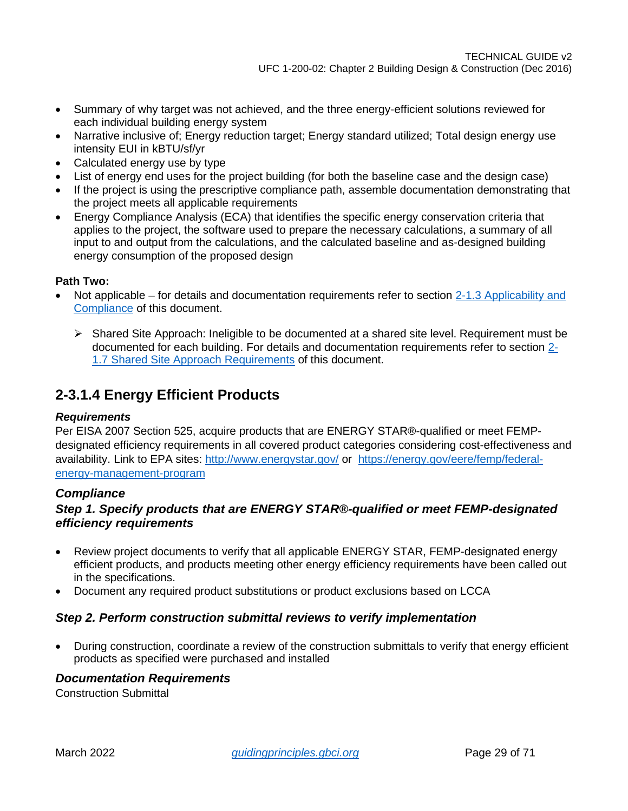- Summary of why target was not achieved, and the three energy-efficient solutions reviewed for each individual building energy system
- Narrative inclusive of; Energy reduction target; Energy standard utilized; Total design energy use intensity EUI in kBTU/sf/yr
- Calculated energy use by type
- List of energy end uses for the project building (for both the baseline case and the design case)
- If the project is using the prescriptive compliance path, assemble documentation demonstrating that the project meets all applicable requirements
- Energy Compliance Analysis (ECA) that identifies the specific energy conservation criteria that applies to the project, the software used to prepare the necessary calculations, a summary of all input to and output from the calculations, and the calculated baseline and as-designed building energy consumption of the proposed design

### **Path Two:**

- Not applicable for details and documentation requirements refer to section 2-1.3 Applicability and [Compliance](#page-4-4) of this document.
	- $\triangleright$  Shared Site Approach: Ineligible to be documented at a shared site level. Requirement must be documented for each building. For details and documentation requirements refer to section [2-](#page-7-0) [1.7 Shared Site Approach Requirements](#page-7-0) of this document.

### <span id="page-28-0"></span>**2-3.1.4 Energy Efficient Products**

### *Requirements*

Per EISA 2007 Section 525, acquire products that are ENERGY STAR®-qualified or meet FEMPdesignated efficiency requirements in all covered product categories considering cost-effectiveness and availability. Link to EPA sites:<http://www.energystar.gov/> or [https://energy.gov/eere/femp/federal](https://energy.gov/eere/femp/federal-energy-management-program)[energy-management-program](https://energy.gov/eere/femp/federal-energy-management-program)

### *Compliance*

### *Step 1. Specify products that are ENERGY STAR®-qualified or meet FEMP-designated efficiency requirements*

- Review project documents to verify that all applicable ENERGY STAR, FEMP-designated energy efficient products, and products meeting other energy efficiency requirements have been called out in the specifications.
- Document any required product substitutions or product exclusions based on LCCA

### *Step 2. Perform construction submittal reviews to verify implementation*

• During construction, coordinate a review of the construction submittals to verify that energy efficient products as specified were purchased and installed

### *Documentation Requirements*

Construction Submittal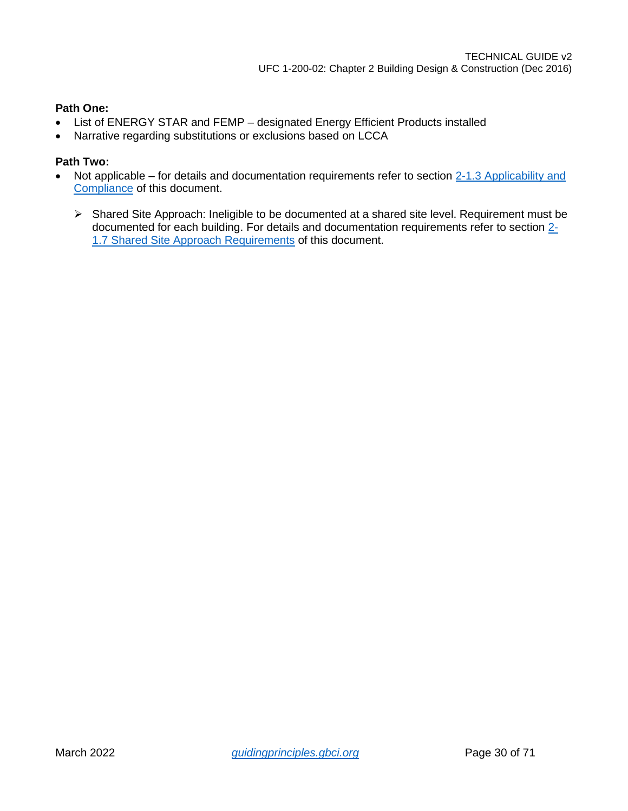### **Path One:**

- List of ENERGY STAR and FEMP designated Energy Efficient Products installed
- Narrative regarding substitutions or exclusions based on LCCA

- Not applicable for details and documentation requirements refer to section 2-1.3 Applicability and [Compliance](#page-4-4) of this document.
	- Shared Site Approach: Ineligible to be documented at a shared site level. Requirement must be documented for each building. For details and documentation requirements refer to section [2-](#page-7-0) [1.7 Shared Site Approach Requirements](#page-7-0) of this document.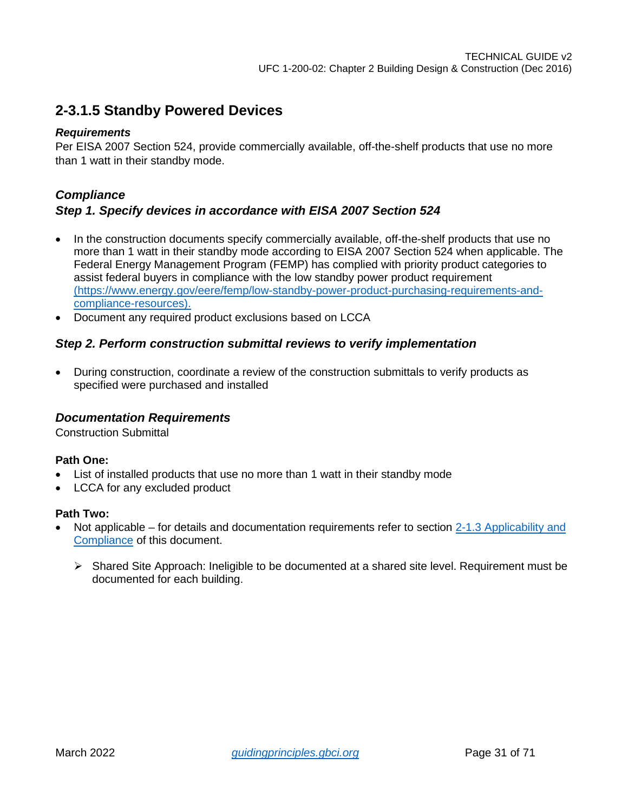### <span id="page-30-0"></span>**2-3.1.5 Standby Powered Devices**

### *Requirements*

Per EISA 2007 Section 524, provide commercially available, off-the-shelf products that use no more than 1 watt in their standby mode.

### *Compliance Step 1. Specify devices in accordance with EISA 2007 Section 524*

- In the construction documents specify commercially available, off-the-shelf products that use no more than 1 watt in their standby mode according to EISA 2007 Section 524 when applicable. The Federal Energy Management Program (FEMP) has complied with priority product categories to assist federal buyers in compliance with the low standby power product requirement (https://www.energy.gov/eere/femp/low-standby-power-product-purchasing-requirements-andcompliance-resources).
- Document any required product exclusions based on LCCA

### *Step 2. Perform construction submittal reviews to verify implementation*

• During construction, coordinate a review of the construction submittals to verify products as specified were purchased and installed

### *Documentation Requirements*

Construction Submittal

### **Path One:**

- List of installed products that use no more than 1 watt in their standby mode
- LCCA for any excluded product

- Not applicable for details and documentation requirements refer to section 2-1.3 Applicability and [Compliance](#page-4-4) of this document.
	- $\triangleright$  Shared Site Approach: Ineligible to be documented at a shared site level. Requirement must be documented for each building.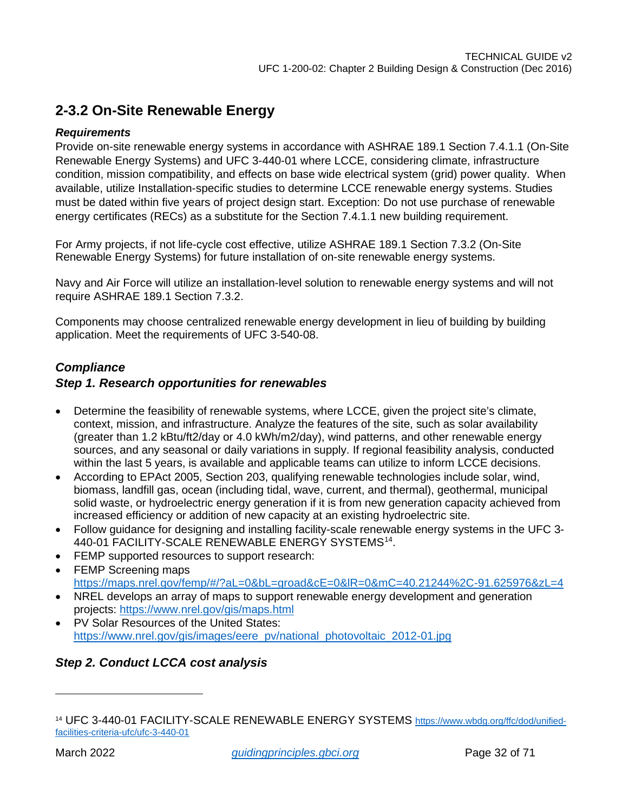### <span id="page-31-0"></span>**2-3.2 On-Site Renewable Energy**

### *Requirements*

Provide on-site renewable energy systems in accordance with ASHRAE 189.1 Section 7.4.1.1 (On-Site Renewable Energy Systems) and UFC 3-440-01 where LCCE, considering climate, infrastructure condition, mission compatibility, and effects on base wide electrical system (grid) power quality. When available, utilize Installation-specific studies to determine LCCE renewable energy systems. Studies must be dated within five years of project design start. Exception: Do not use purchase of renewable energy certificates (RECs) as a substitute for the Section 7.4.1.1 new building requirement.

For Army projects, if not life-cycle cost effective, utilize ASHRAE 189.1 Section 7.3.2 (On-Site Renewable Energy Systems) for future installation of on-site renewable energy systems.

Navy and Air Force will utilize an installation-level solution to renewable energy systems and will not require ASHRAE 189.1 Section 7.3.2.

Components may choose centralized renewable energy development in lieu of building by building application. Meet the requirements of UFC 3-540-08.

### *Compliance*

### *Step 1. Research opportunities for renewables*

- Determine the feasibility of renewable systems, where LCCE, given the project site's climate, context, mission, and infrastructure. Analyze the features of the site, such as solar availability (greater than 1.2 kBtu/ft2/day or 4.0 kWh/m2/day), wind patterns, and other renewable energy sources, and any seasonal or daily variations in supply. If regional feasibility analysis, conducted within the last 5 years, is available and applicable teams can utilize to inform LCCE decisions.
- According to EPAct 2005, Section 203, qualifying renewable technologies include solar, wind, biomass, landfill gas, ocean (including tidal, wave, current, and thermal), geothermal, municipal solid waste, or hydroelectric energy generation if it is from new generation capacity achieved from increased efficiency or addition of new capacity at an existing hydroelectric site.
- Follow guidance for designing and installing facility-scale renewable energy systems in the UFC 3- 440-01 FACILITY-SCALE RENEWABLE ENERGY SYSTEMS[14.](#page-31-1)
- FEMP supported resources to support research:
- FEMP Screening maps <https://maps.nrel.gov/femp/#/?aL=0&bL=groad&cE=0&lR=0&mC=40.21244%2C-91.625976&zL=4>
- NREL develops an array of maps to support renewable energy development and generation projects:<https://www.nrel.gov/gis/maps.html>
- PV Solar Resources of the United States: [https://www.nrel.gov/gis/images/eere\\_pv/national\\_photovoltaic\\_2012-01.jpg](https://www.nrel.gov/gis/images/eere_pv/national_photovoltaic_2012-01.jpg)

### *Step 2. Conduct LCCA cost analysis*

<span id="page-31-1"></span><sup>&</sup>lt;sup>14</sup> UFC 3-440-01 FACILITY-SCALE RENEWABLE ENERGY SYSTEMS [https://www.wbdg.org/ffc/dod/unified](https://www.wbdg.org/ffc/dod/unified-facilities-criteria-ufc/ufc-3-440-01)[facilities-criteria-ufc/ufc-3-440-01](https://www.wbdg.org/ffc/dod/unified-facilities-criteria-ufc/ufc-3-440-01)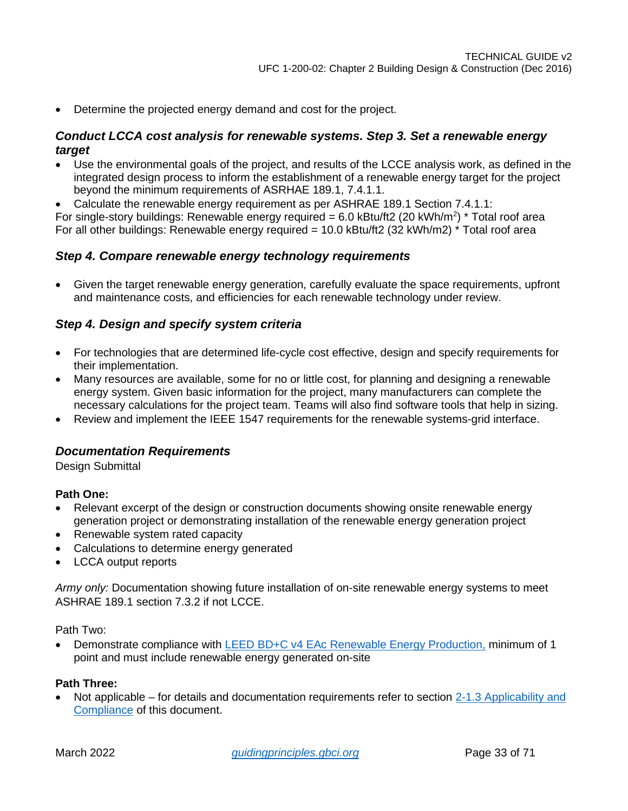• Determine the projected energy demand and cost for the project.

### *Conduct LCCA cost analysis for renewable systems. Step 3. Set a renewable energy target*

• Use the environmental goals of the project, and results of the LCCE analysis work, as defined in the integrated design process to inform the establishment of a renewable energy target for the project beyond the minimum requirements of ASRHAE 189.1, 7.4.1.1.

• Calculate the renewable energy requirement as per ASHRAE 189.1 Section 7.4.1.1: For single-story buildings: Renewable energy required = 6.0 kBtu/ft2 (20 kWh/m<sup>2</sup>) \* Total roof area

For all other buildings: Renewable energy required = 10.0 kBtu/ft2 (32 kWh/m2) \* Total roof area

### *Step 4. Compare renewable energy technology requirements*

• Given the target renewable energy generation, carefully evaluate the space requirements, upfront and maintenance costs, and efficiencies for each renewable technology under review.

### *Step 4. Design and specify system criteria*

- For technologies that are determined life-cycle cost effective, design and specify requirements for their implementation.
- Many resources are available, some for no or little cost, for planning and designing a renewable energy system. Given basic information for the project, many manufacturers can complete the necessary calculations for the project team. Teams will also find software tools that help in sizing.
- Review and implement the IEEE 1547 requirements for the renewable systems-grid interface.

### *Documentation Requirements*

Design Submittal

### **Path One:**

- Relevant excerpt of the design or construction documents showing onsite renewable energy generation project or demonstrating installation of the renewable energy generation project
- Renewable system rated capacity
- Calculations to determine energy generated
- LCCA output reports

*Army only:* Documentation showing future installation of on-site renewable energy systems to meet ASHRAE 189.1 section 7.3.2 if not LCCE.

Path Two:

• Demonstrate compliance with [LEED BD+C v4 EAc Renewable Energy Production,](https://www.usgbc.org/node/2612988?return=/credits/new-construction/v4/energy-%26amp%3B-atmosphere) minimum of 1 point and must include renewable energy generated on-site

### **Path Three:**

Not applicable – for details and documentation requirements refer to section 2-1.3 Applicability and [Compliance](#page-4-4) of this document.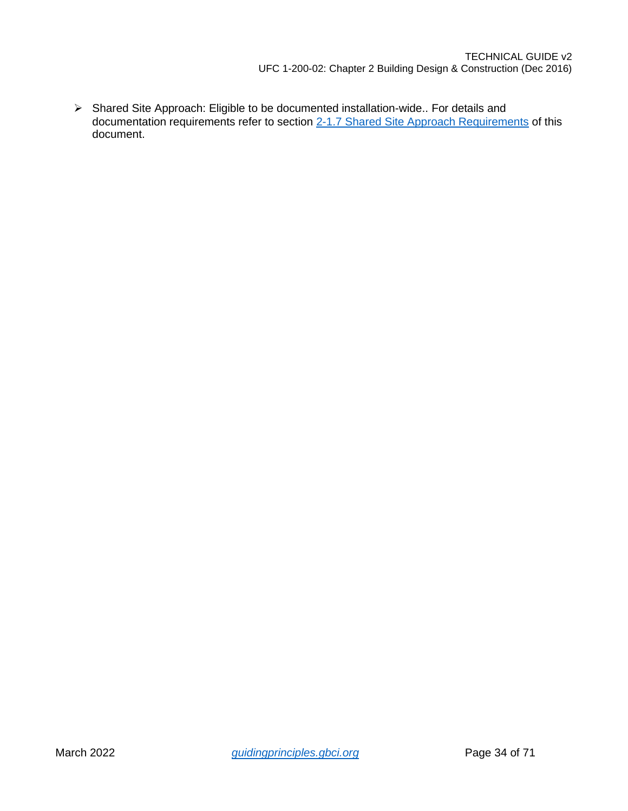Shared Site Approach: Eligible to be documented installation-wide.. For details and documentation requirements refer to section [2-1.7 Shared Site Approach Requirements](#page-7-0) of this document.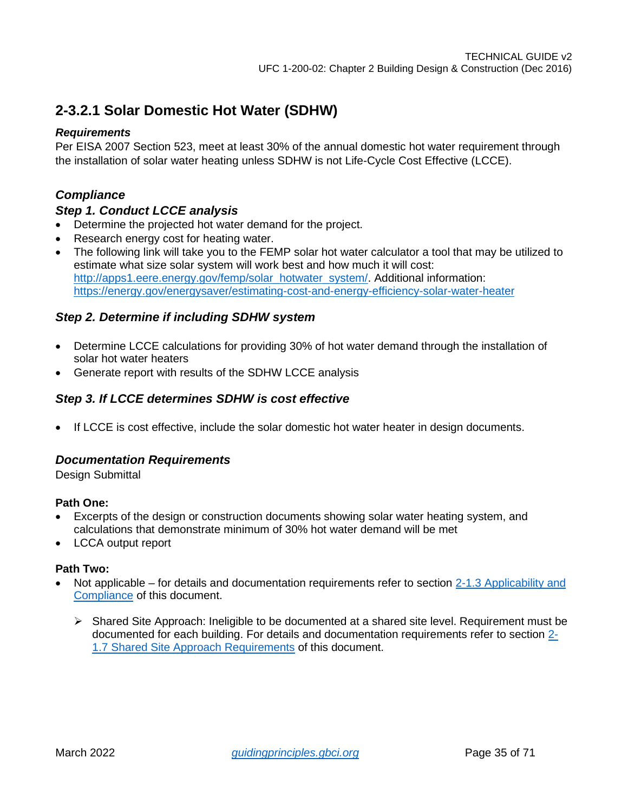### <span id="page-34-0"></span>**2-3.2.1 Solar Domestic Hot Water (SDHW)**

### *Requirements*

Per EISA 2007 Section 523, meet at least 30% of the annual domestic hot water requirement through the installation of solar water heating unless SDHW is not Life-Cycle Cost Effective (LCCE).

### *Compliance*

### *Step 1. Conduct LCCE analysis*

- Determine the projected hot water demand for the project.
- Research energy cost for heating water.
- The following link will take you to the FEMP solar hot water calculator a tool that may be utilized to estimate what size solar system will work best and how much it will cost: [http://apps1.eere.energy.gov/femp/solar\\_hotwater\\_system/.](http://apps1.eere.energy.gov/femp/solar_hotwater_system/) Additional information: <https://energy.gov/energysaver/estimating-cost-and-energy-efficiency-solar-water-heater>

### *Step 2. Determine if including SDHW system*

- Determine LCCE calculations for providing 30% of hot water demand through the installation of solar hot water heaters
- Generate report with results of the SDHW LCCE analysis

### *Step 3. If LCCE determines SDHW is cost effective*

• If LCCE is cost effective, include the solar domestic hot water heater in design documents.

### *Documentation Requirements*

Design Submittal

### **Path One:**

- Excerpts of the design or construction documents showing solar water heating system, and calculations that demonstrate minimum of 30% hot water demand will be met
- LCCA output report

- Not applicable for details and documentation requirements refer to section 2-1.3 Applicability and [Compliance](#page-4-4) of this document.
	- $\triangleright$  Shared Site Approach: Ineligible to be documented at a shared site level. Requirement must be documented for each building. For details and documentation requirements refer to section [2-](#page-7-0) [1.7 Shared Site Approach Requirements](#page-7-0) of this document.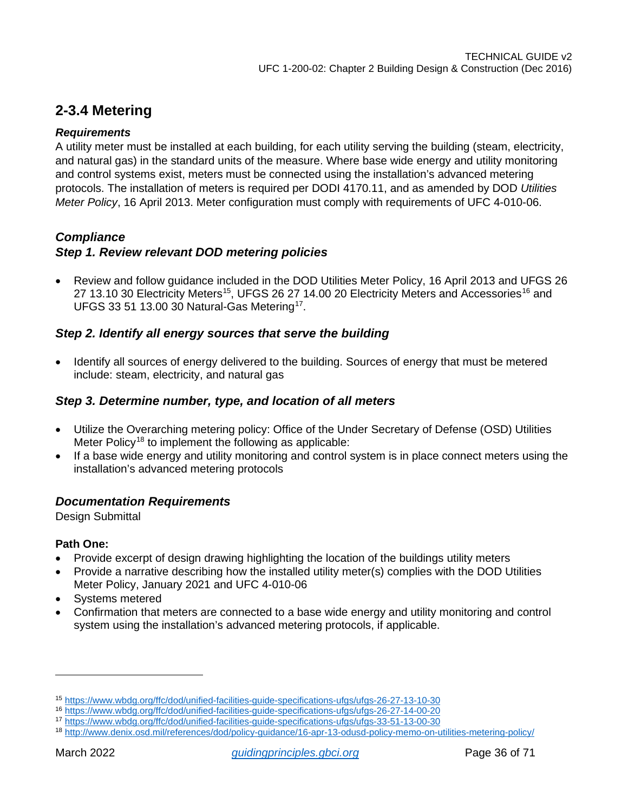### <span id="page-35-0"></span>**2-3.4 Metering**

### *Requirements*

A utility meter must be installed at each building, for each utility serving the building (steam, electricity, and natural gas) in the standard units of the measure. Where base wide energy and utility monitoring and control systems exist, meters must be connected using the installation's advanced metering protocols. The installation of meters is required per DODI 4170.11, and as amended by DOD *Utilities Meter Policy*, 16 April 2013. Meter configuration must comply with requirements of UFC 4-010-06.

### *Compliance*

### *Step 1. Review relevant DOD metering policies*

• Review and follow guidance included in the DOD Utilities Meter Policy, 16 April 2013 and UFGS 26 27 13.10 30 Electricity Meters<sup>15</sup>, UFGS 26 27 14.00 20 Electricity Meters and Accessories<sup>[16](#page-35-2)</sup> and UFGS 33 51 13.00 30 Natural-Gas Metering[17](#page-35-3).

### *Step 2. Identify all energy sources that serve the building*

• Identify all sources of energy delivered to the building. Sources of energy that must be metered include: steam, electricity, and natural gas

### *Step 3. Determine number, type, and location of all meters*

- Utilize the Overarching metering policy: Office of the Under Secretary of Defense (OSD) Utilities Meter Policy<sup>[18](#page-35-4)</sup> to implement the following as applicable:
- If a base wide energy and utility monitoring and control system is in place connect meters using the installation's advanced metering protocols

### *Documentation Requirements*

Design Submittal

### **Path One:**

- Provide excerpt of design drawing highlighting the location of the buildings utility meters
- Provide a narrative describing how the installed utility meter(s) complies with the DOD Utilities Meter Policy, January 2021 and UFC 4-010-06
- Systems metered
- Confirmation that meters are connected to a base wide energy and utility monitoring and control system using the installation's advanced metering protocols, if applicable.

<span id="page-35-1"></span><sup>15</sup> <https://www.wbdg.org/ffc/dod/unified-facilities-guide-specifications-ufgs/ufgs-26-27-13-10-30>

<span id="page-35-2"></span><sup>16</sup> <https://www.wbdg.org/ffc/dod/unified-facilities-guide-specifications-ufgs/ufgs-26-27-14-00-20>

<span id="page-35-3"></span><sup>17</sup> <https://www.wbdg.org/ffc/dod/unified-facilities-guide-specifications-ufgs/ufgs-33-51-13-00-30>

<span id="page-35-4"></span><sup>18</sup> <http://www.denix.osd.mil/references/dod/policy-guidance/16-apr-13-odusd-policy-memo-on-utilities-metering-policy/>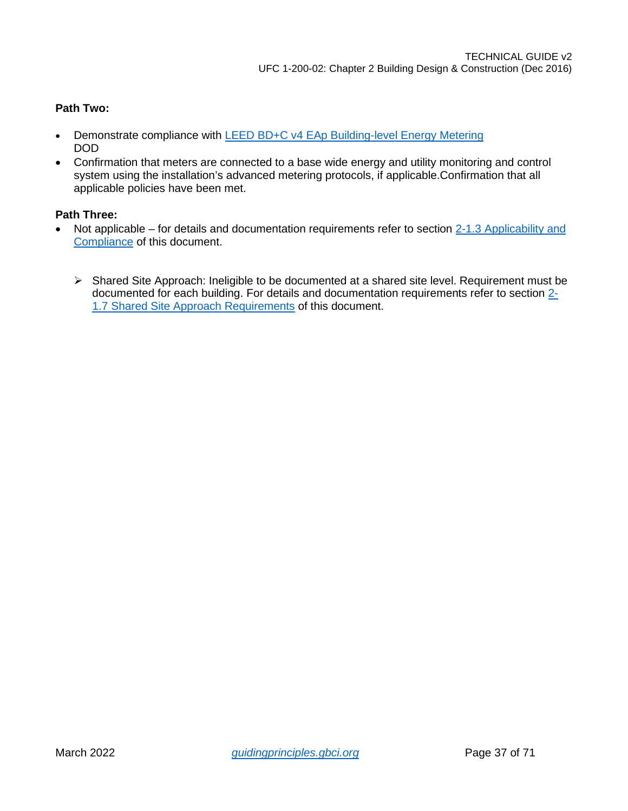### **Path Two:**

- Demonstrate compliance with [LEED BD+C v4 EAp Building-level Energy Metering](https://www.usgbc.org/node/2613018?return=/credits/new-construction/v4/energy-%26amp%3B-atmosphere) DOD
- Confirmation that meters are connected to a base wide energy and utility monitoring and control system using the installation's advanced metering protocols, if applicable.Confirmation that all applicable policies have been met.

- Not applicable for details and documentation requirements refer to section 2-1.3 Applicability and [Compliance](#page-4-4) of this document.
	- $\triangleright$  Shared Site Approach: Ineligible to be documented at a shared site level. Requirement must be documented for each building. For details and documentation requirements refer to section [2-](#page-7-0) [1.7 Shared Site Approach Requirements](#page-7-0) of this document.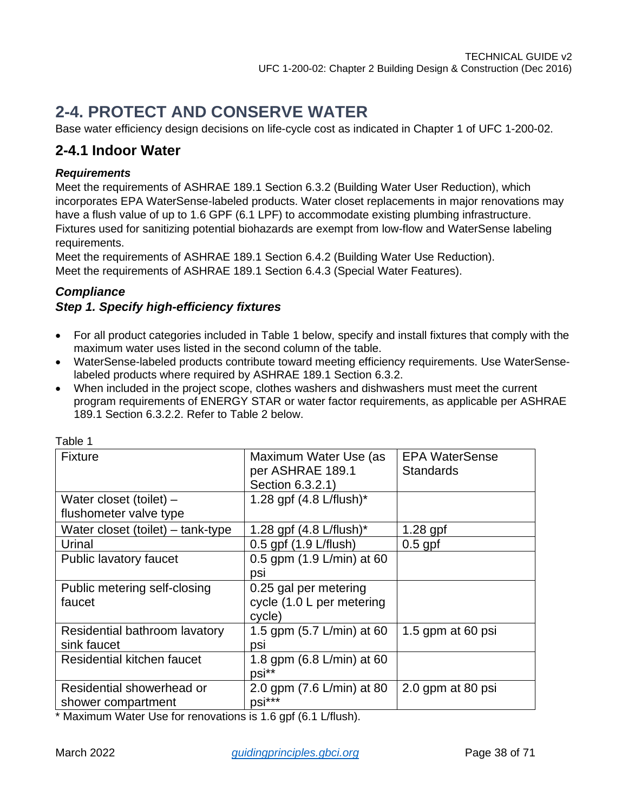# <span id="page-37-0"></span>**2-4. PROTECT AND CONSERVE WATER**

Base water efficiency design decisions on life-cycle cost as indicated in Chapter 1 of UFC 1-200-02.

### <span id="page-37-1"></span>**2-4.1 Indoor Water**

### *Requirements*

Meet the requirements of ASHRAE 189.1 Section 6.3.2 (Building Water User Reduction), which incorporates EPA WaterSense-labeled products. Water closet replacements in major renovations may have a flush value of up to 1.6 GPF (6.1 LPF) to accommodate existing plumbing infrastructure. Fixtures used for sanitizing potential biohazards are exempt from low-flow and WaterSense labeling requirements.

Meet the requirements of ASHRAE 189.1 Section 6.4.2 (Building Water Use Reduction). Meet the requirements of ASHRAE 189.1 Section 6.4.3 (Special Water Features).

### *Compliance*

### *Step 1. Specify high-efficiency fixtures*

- For all product categories included in Table 1 below, specify and install fixtures that comply with the maximum water uses listed in the second column of the table.
- WaterSense-labeled products contribute toward meeting efficiency requirements. Use WaterSenselabeled products where required by ASHRAE 189.1 Section 6.3.2.
- When included in the project scope, clothes washers and dishwashers must meet the current program requirements of ENERGY STAR or water factor requirements, as applicable per ASHRAE 189.1 Section 6.3.2.2. Refer to Table 2 below.

| rapie i                           |                                        |                       |
|-----------------------------------|----------------------------------------|-----------------------|
| <b>Fixture</b>                    | Maximum Water Use (as                  | <b>EPA WaterSense</b> |
|                                   | per ASHRAE 189.1                       | <b>Standards</b>      |
|                                   | Section 6.3.2.1)                       |                       |
| Water closet (toilet) $-$         | 1.28 gpf $(4.8 \text{ L/flux})^*$      |                       |
| flushometer valve type            |                                        |                       |
| Water closet (toilet) – tank-type | 1.28 gpf $(4.8 \text{ L/flux})^*$      | $1.28$ gpf            |
| Urinal                            | 0.5 gpf (1.9 L/flush)                  | $0.5$ gpf             |
| Public lavatory faucet            | 0.5 gpm $(1.9 \text{ L/min})$ at 60    |                       |
|                                   | psi                                    |                       |
| Public metering self-closing      | 0.25 gal per metering                  |                       |
| faucet                            | cycle (1.0 L per metering              |                       |
|                                   | cycle)                                 |                       |
| Residential bathroom lavatory     | 1.5 gpm (5.7 L/min) at 60              | 1.5 gpm at 60 psi     |
| sink faucet                       | psi                                    |                       |
| Residential kitchen faucet        | 1.8 gpm (6.8 L/min) at 60              |                       |
|                                   | psi**                                  |                       |
| Residential showerhead or         | 2.0 gpm (7.6 L/min) at 80              | 2.0 gpm at 80 psi     |
| shower compartment                | psi***                                 |                       |
|                                   | $\epsilon$ is $\epsilon$ in $\epsilon$ |                       |

Table 1

\* Maximum Water Use for renovations is 1.6 gpf (6.1 L/flush).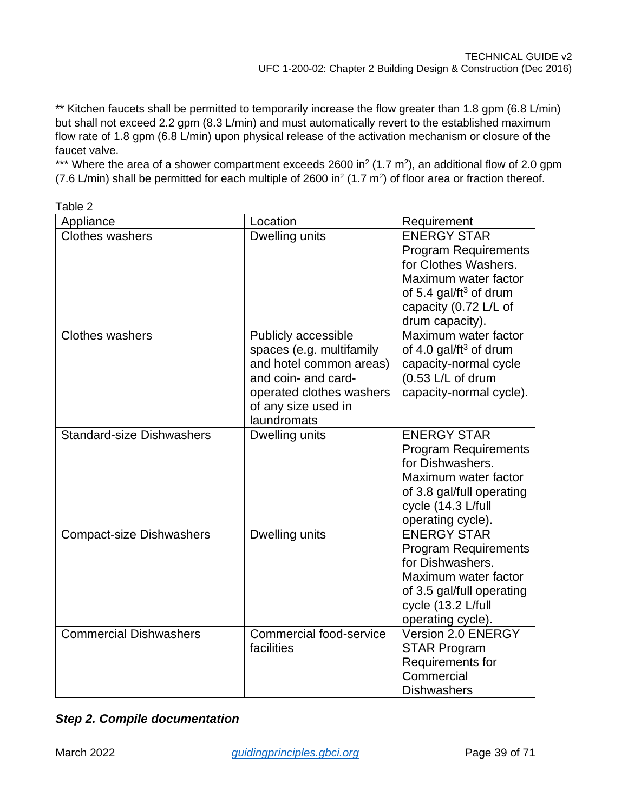\*\* Kitchen faucets shall be permitted to temporarily increase the flow greater than 1.8 gpm (6.8 L/min) but shall not exceed 2.2 gpm (8.3 L/min) and must automatically revert to the established maximum flow rate of 1.8 gpm (6.8 L/min) upon physical release of the activation mechanism or closure of the faucet valve.

\*\*\* Where the area of a shower compartment exceeds 2600 in<sup>2</sup> (1.7 m<sup>2</sup>), an additional flow of 2.0 gpm (7.6 L/min) shall be permitted for each multiple of 2600 in<sup>2</sup> (1.7 m<sup>2</sup>) of floor area or fraction thereof.

| Appliance                        | Location                                        | Requirement                                         |
|----------------------------------|-------------------------------------------------|-----------------------------------------------------|
| <b>Clothes washers</b>           | Dwelling units                                  | <b>ENERGY STAR</b>                                  |
|                                  |                                                 | <b>Program Requirements</b><br>for Clothes Washers. |
|                                  |                                                 | Maximum water factor                                |
|                                  |                                                 | of 5.4 gal/ft <sup>3</sup> of drum                  |
|                                  |                                                 | capacity (0.72 L/L of                               |
|                                  |                                                 | drum capacity).                                     |
| <b>Clothes washers</b>           | Publicly accessible                             | Maximum water factor                                |
|                                  | spaces (e.g. multifamily                        | of 4.0 gal/ft <sup>3</sup> of drum                  |
|                                  | and hotel common areas)                         | capacity-normal cycle                               |
|                                  | and coin- and card-                             | $(0.53 L/L)$ of drum                                |
|                                  | operated clothes washers<br>of any size used in | capacity-normal cycle).                             |
|                                  | laundromats                                     |                                                     |
| <b>Standard-size Dishwashers</b> | Dwelling units                                  | <b>ENERGY STAR</b>                                  |
|                                  |                                                 | <b>Program Requirements</b>                         |
|                                  |                                                 | for Dishwashers.                                    |
|                                  |                                                 | Maximum water factor                                |
|                                  |                                                 | of 3.8 gal/full operating                           |
|                                  |                                                 | cycle (14.3 L/full                                  |
|                                  |                                                 | operating cycle).<br><b>ENERGY STAR</b>             |
| <b>Compact-size Dishwashers</b>  | Dwelling units                                  | <b>Program Requirements</b>                         |
|                                  |                                                 | for Dishwashers.                                    |
|                                  |                                                 | Maximum water factor                                |
|                                  |                                                 | of 3.5 gal/full operating                           |
|                                  |                                                 | cycle (13.2 L/full                                  |
|                                  |                                                 | operating cycle).                                   |
| <b>Commercial Dishwashers</b>    | <b>Commercial food-service</b>                  | Version 2.0 ENERGY                                  |
|                                  | facilities                                      | <b>STAR Program</b>                                 |
|                                  |                                                 | Requirements for                                    |
|                                  |                                                 | Commercial                                          |
|                                  |                                                 | <b>Dishwashers</b>                                  |

Table 2

|  |  |  | <b>Step 2. Compile documentation</b> |
|--|--|--|--------------------------------------|
|--|--|--|--------------------------------------|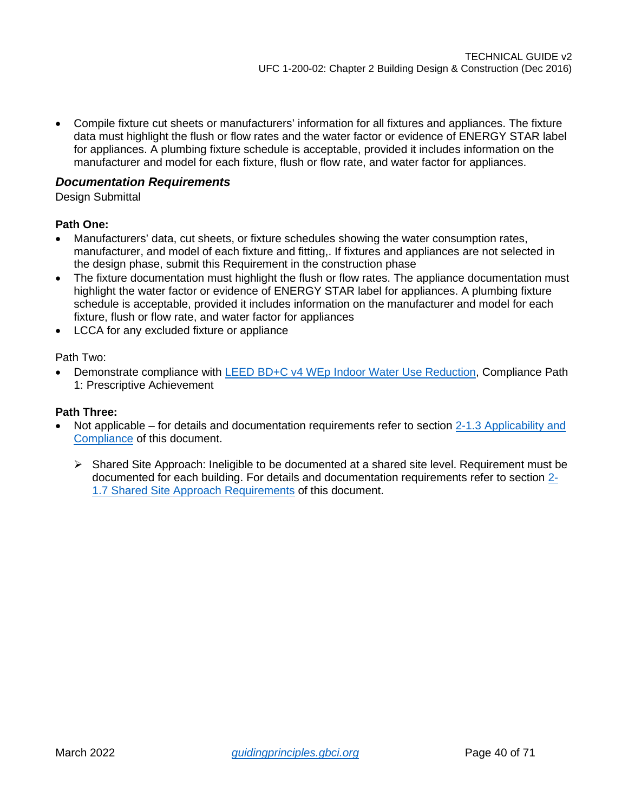• Compile fixture cut sheets or manufacturers' information for all fixtures and appliances. The fixture data must highlight the flush or flow rates and the water factor or evidence of ENERGY STAR label for appliances. A plumbing fixture schedule is acceptable, provided it includes information on the manufacturer and model for each fixture, flush or flow rate, and water factor for appliances.

### *Documentation Requirements*

Design Submittal

### **Path One:**

- Manufacturers' data, cut sheets, or fixture schedules showing the water consumption rates, manufacturer, and model of each fixture and fitting,. If fixtures and appliances are not selected in the design phase, submit this Requirement in the construction phase
- The fixture documentation must highlight the flush or flow rates. The appliance documentation must highlight the water factor or evidence of ENERGY STAR label for appliances. A plumbing fixture schedule is acceptable, provided it includes information on the manufacturer and model for each fixture, flush or flow rate, and water factor for appliances
- LCCA for any excluded fixture or appliance

Path Two:

• Demonstrate compliance with [LEED BD+C v4 WEp Indoor Water Use Reduction,](https://www.usgbc.org/node/1734960?return=/credits/new-construction/v4/water-efficiency) Compliance Path 1: Prescriptive Achievement

- Not applicable for details and documentation requirements refer to section [2-1.3 Applicability and](#page-4-4)  [Compliance](#page-4-4) of this document.
	- $\triangleright$  Shared Site Approach: Ineligible to be documented at a shared site level. Requirement must be documented for each building. For details and documentation requirements refer to section [2-](#page-7-0) [1.7 Shared Site Approach Requirements](#page-7-0) of this document.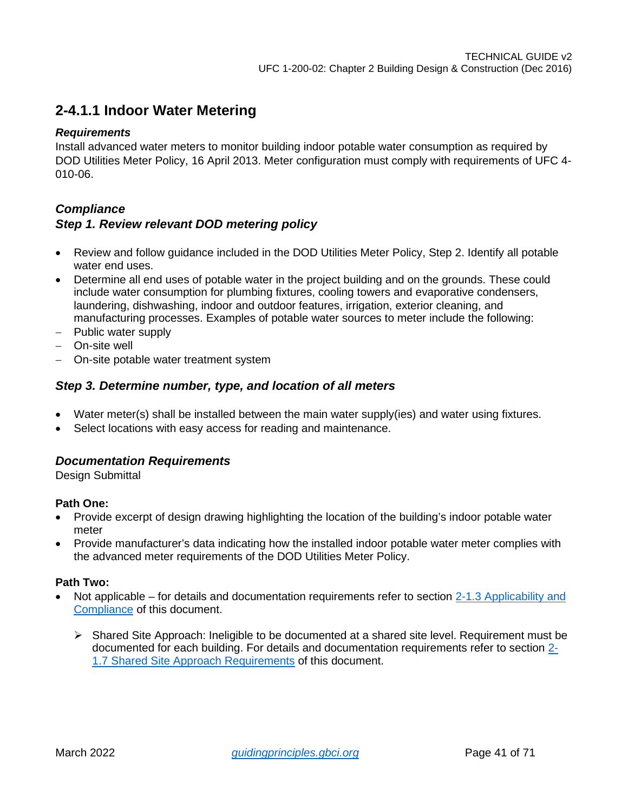### <span id="page-40-0"></span>**2-4.1.1 Indoor Water Metering**

### *Requirements*

Install advanced water meters to monitor building indoor potable water consumption as required by DOD Utilities Meter Policy, 16 April 2013. Meter configuration must comply with requirements of UFC 4- 010-06.

### *Compliance*

### *Step 1. Review relevant DOD metering policy*

- Review and follow guidance included in the DOD Utilities Meter Policy, Step 2. Identify all potable water end uses.
- Determine all end uses of potable water in the project building and on the grounds. These could include water consumption for plumbing fixtures, cooling towers and evaporative condensers, laundering, dishwashing, indoor and outdoor features, irrigation, exterior cleaning, and manufacturing processes. Examples of potable water sources to meter include the following:
- − Public water supply
- − On-site well
- − On-site potable water treatment system

### *Step 3. Determine number, type, and location of all meters*

- Water meter(s) shall be installed between the main water supply(ies) and water using fixtures.
- Select locations with easy access for reading and maintenance.

### *Documentation Requirements*

Design Submittal

### **Path One:**

- Provide excerpt of design drawing highlighting the location of the building's indoor potable water meter
- Provide manufacturer's data indicating how the installed indoor potable water meter complies with the advanced meter requirements of the DOD Utilities Meter Policy.

- Not applicable for details and documentation requirements refer to section 2-1.3 Applicability and [Compliance](#page-4-4) of this document.
	- $\triangleright$  Shared Site Approach: Ineligible to be documented at a shared site level. Requirement must be documented for each building. For details and documentation requirements refer to section [2-](#page-7-0) [1.7 Shared Site Approach Requirements](#page-7-0) of this document.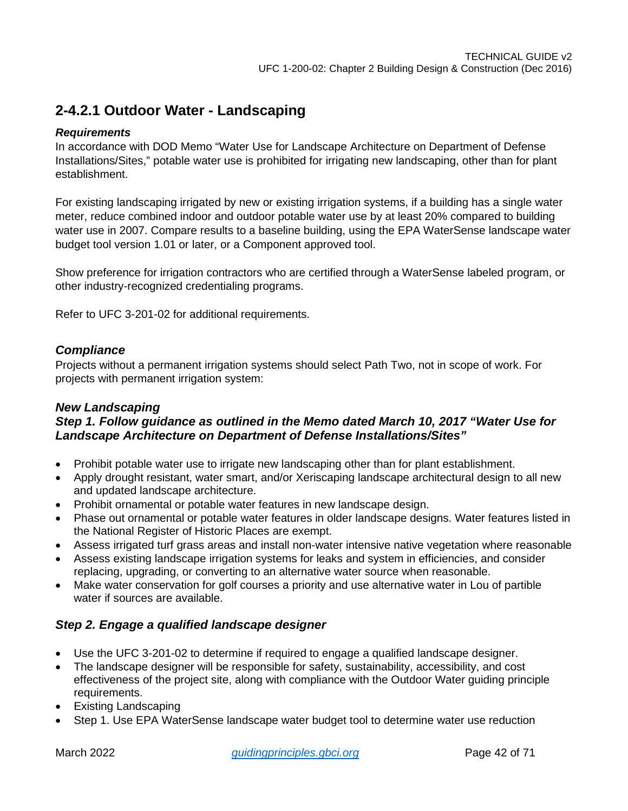### <span id="page-41-0"></span>**2-4.2.1 Outdoor Water - Landscaping**

### *Requirements*

In accordance with DOD Memo "Water Use for Landscape Architecture on Department of Defense Installations/Sites," potable water use is prohibited for irrigating new landscaping, other than for plant establishment.

For existing landscaping irrigated by new or existing irrigation systems, if a building has a single water meter, reduce combined indoor and outdoor potable water use by at least 20% compared to building water use in 2007. Compare results to a baseline building, using the EPA WaterSense landscape water budget tool version 1.01 or later, or a Component approved tool.

Show preference for irrigation contractors who are certified through a WaterSense labeled program, or other industry-recognized credentialing programs.

Refer to UFC 3-201-02 for additional requirements.

### *Compliance*

Projects without a permanent irrigation systems should select Path Two, not in scope of work. For projects with permanent irrigation system:

#### *New Landscaping Step 1. Follow guidance as outlined in the Memo dated March 10, 2017 "Water Use for Landscape Architecture on Department of Defense Installations/Sites"*

- Prohibit potable water use to irrigate new landscaping other than for plant establishment.
- Apply drought resistant, water smart, and/or Xeriscaping landscape architectural design to all new and updated landscape architecture.
- Prohibit ornamental or potable water features in new landscape design.
- Phase out ornamental or potable water features in older landscape designs. Water features listed in the National Register of Historic Places are exempt.
- Assess irrigated turf grass areas and install non-water intensive native vegetation where reasonable
- Assess existing landscape irrigation systems for leaks and system in efficiencies, and consider replacing, upgrading, or converting to an alternative water source when reasonable.
- Make water conservation for golf courses a priority and use alternative water in Lou of partible water if sources are available.

### *Step 2. Engage a qualified landscape designer*

- Use the UFC 3-201-02 to determine if required to engage a qualified landscape designer.
- The landscape designer will be responsible for safety, sustainability, accessibility, and cost effectiveness of the project site, along with compliance with the Outdoor Water guiding principle requirements.
- Existing Landscaping
- Step 1. Use EPA WaterSense landscape water budget tool to determine water use reduction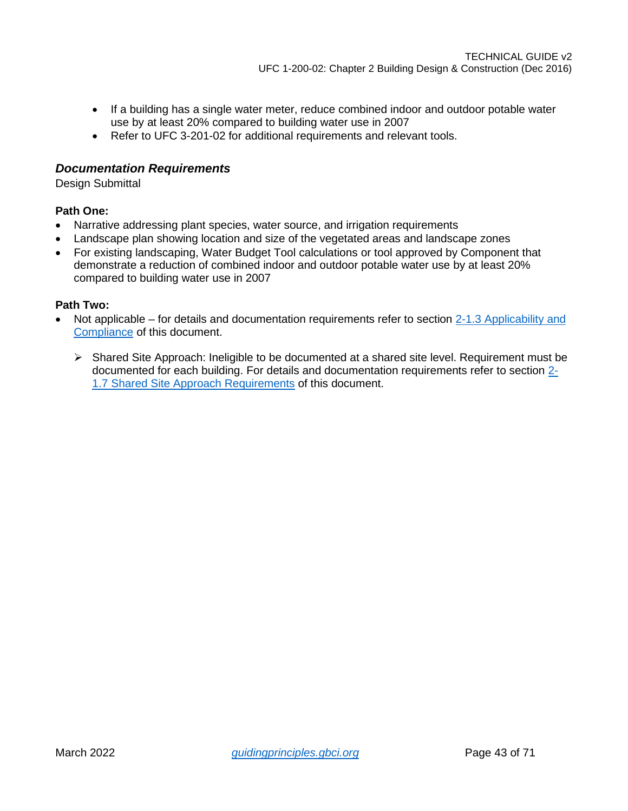- If a building has a single water meter, reduce combined indoor and outdoor potable water use by at least 20% compared to building water use in 2007
- Refer to UFC 3-201-02 for additional requirements and relevant tools.

### *Documentation Requirements*

Design Submittal

### **Path One:**

- Narrative addressing plant species, water source, and irrigation requirements
- Landscape plan showing location and size of the vegetated areas and landscape zones
- For existing landscaping, Water Budget Tool calculations or tool approved by Component that demonstrate a reduction of combined indoor and outdoor potable water use by at least 20% compared to building water use in 2007

- Not applicable for details and documentation requirements refer to section 2-1.3 Applicability and [Compliance](#page-4-4) of this document.
	- Shared Site Approach: Ineligible to be documented at a shared site level. Requirement must be documented for each building. For details and documentation requirements refer to section [2-](#page-7-0) [1.7 Shared Site Approach Requirements](#page-7-0) of this document.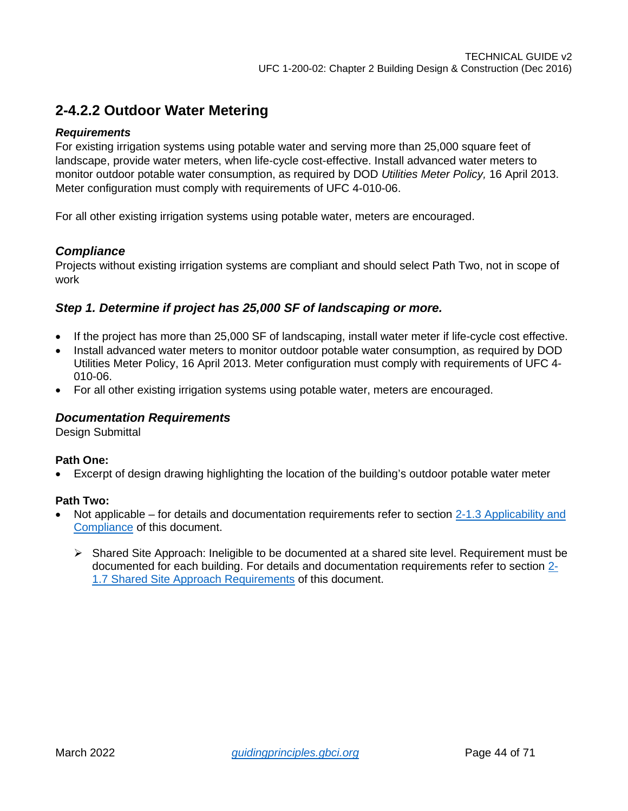### <span id="page-43-0"></span>**2-4.2.2 Outdoor Water Metering**

### *Requirements*

For existing irrigation systems using potable water and serving more than 25,000 square feet of landscape, provide water meters, when life-cycle cost-effective. Install advanced water meters to monitor outdoor potable water consumption, as required by DOD *Utilities Meter Policy,* 16 April 2013. Meter configuration must comply with requirements of UFC 4-010-06.

For all other existing irrigation systems using potable water, meters are encouraged.

### *Compliance*

Projects without existing irrigation systems are compliant and should select Path Two, not in scope of work

### *Step 1. Determine if project has 25,000 SF of landscaping or more.*

- If the project has more than 25,000 SF of landscaping, install water meter if life-cycle cost effective.
- Install advanced water meters to monitor outdoor potable water consumption, as required by DOD Utilities Meter Policy, 16 April 2013. Meter configuration must comply with requirements of UFC 4- 010-06.
- For all other existing irrigation systems using potable water, meters are encouraged.

### *Documentation Requirements*

Design Submittal

### **Path One:**

• Excerpt of design drawing highlighting the location of the building's outdoor potable water meter

- Not applicable for details and documentation requirements refer to section 2-1.3 Applicability and [Compliance](#page-4-4) of this document.
	- $\triangleright$  Shared Site Approach: Ineligible to be documented at a shared site level. Requirement must be documented for each building. For details and documentation requirements refer to section [2-](#page-7-0) [1.7 Shared Site Approach Requirements](#page-7-0) of this document.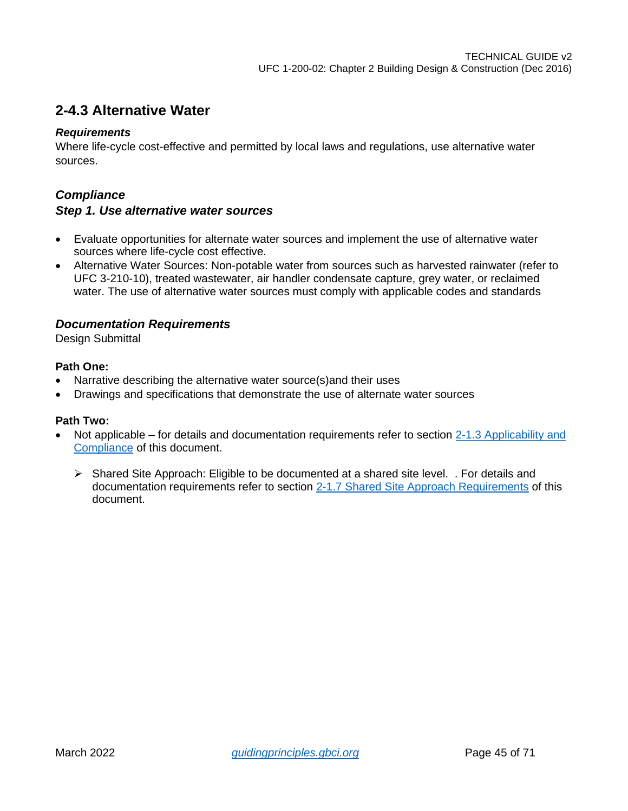### <span id="page-44-0"></span>**2-4.3 Alternative Water**

#### *Requirements*

Where life-cycle cost-effective and permitted by local laws and regulations, use alternative water sources.

### *Compliance*

### *Step 1. Use alternative water sources*

- Evaluate opportunities for alternate water sources and implement the use of alternative water sources where life-cycle cost effective.
- Alternative Water Sources: Non-potable water from sources such as harvested rainwater (refer to UFC 3-210-10), treated wastewater, air handler condensate capture, grey water, or reclaimed water. The use of alternative water sources must comply with applicable codes and standards

### *Documentation Requirements*

Design Submittal

### **Path One:**

- Narrative describing the alternative water source(s)and their uses
- Drawings and specifications that demonstrate the use of alternate water sources

- Not applicable for details and documentation requirements refer to section 2-1.3 Applicability and [Compliance](#page-4-4) of this document.
	- $\triangleright$  Shared Site Approach: Eligible to be documented at a shared site level. . For details and documentation requirements refer to section [2-1.7 Shared Site Approach Requirements](#page-7-0) of this document.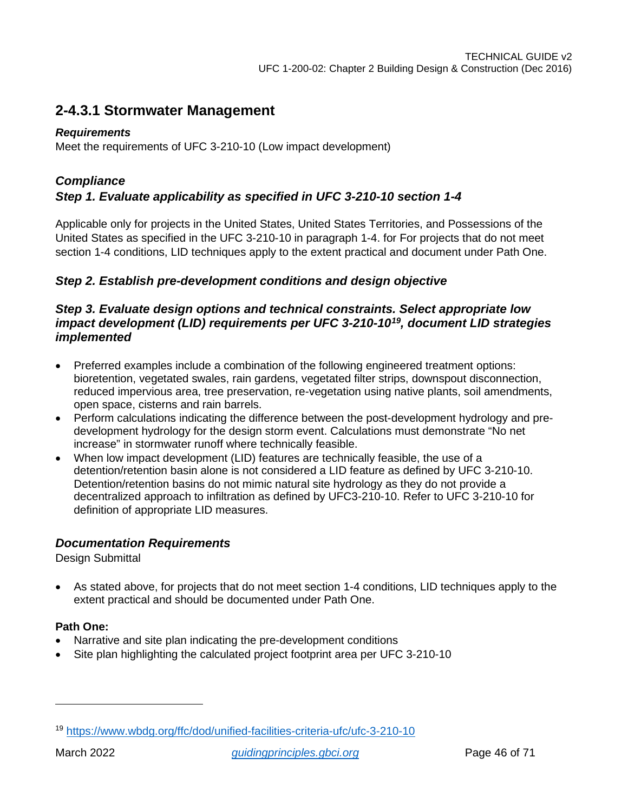### <span id="page-45-0"></span>**2-4.3.1 Stormwater Management**

### *Requirements*

Meet the requirements of UFC 3-210-10 (Low impact development)

### *Compliance*

### *Step 1. Evaluate applicability as specified in UFC 3-210-10 section 1-4*

Applicable only for projects in the United States, United States Territories, and Possessions of the United States as specified in the UFC 3-210-10 in paragraph 1-4. for For projects that do not meet section 1-4 conditions, LID techniques apply to the extent practical and document under Path One.

### *Step 2. Establish pre-development conditions and design objective*

### *Step 3. Evaluate design options and technical constraints. Select appropriate low impact development (LID) requirements per UFC 3-210-10[19,](#page-45-1) document LID strategies implemented*

- Preferred examples include a combination of the following engineered treatment options: bioretention, vegetated swales, rain gardens, vegetated filter strips, downspout disconnection, reduced impervious area, tree preservation, re-vegetation using native plants, soil amendments, open space, cisterns and rain barrels.
- Perform calculations indicating the difference between the post-development hydrology and predevelopment hydrology for the design storm event. Calculations must demonstrate "No net increase" in stormwater runoff where technically feasible.
- When low impact development (LID) features are technically feasible, the use of a detention/retention basin alone is not considered a LID feature as defined by UFC 3-210-10. Detention/retention basins do not mimic natural site hydrology as they do not provide a decentralized approach to infiltration as defined by UFC3-210-10. Refer to UFC 3-210-10 for definition of appropriate LID measures.

### *Documentation Requirements*

Design Submittal

• As stated above, for projects that do not meet section 1-4 conditions, LID techniques apply to the extent practical and should be documented under Path One.

### **Path One:**

- Narrative and site plan indicating the pre-development conditions
- Site plan highlighting the calculated project footprint area per UFC 3-210-10

<span id="page-45-1"></span><sup>19</sup> <https://www.wbdg.org/ffc/dod/unified-facilities-criteria-ufc/ufc-3-210-10>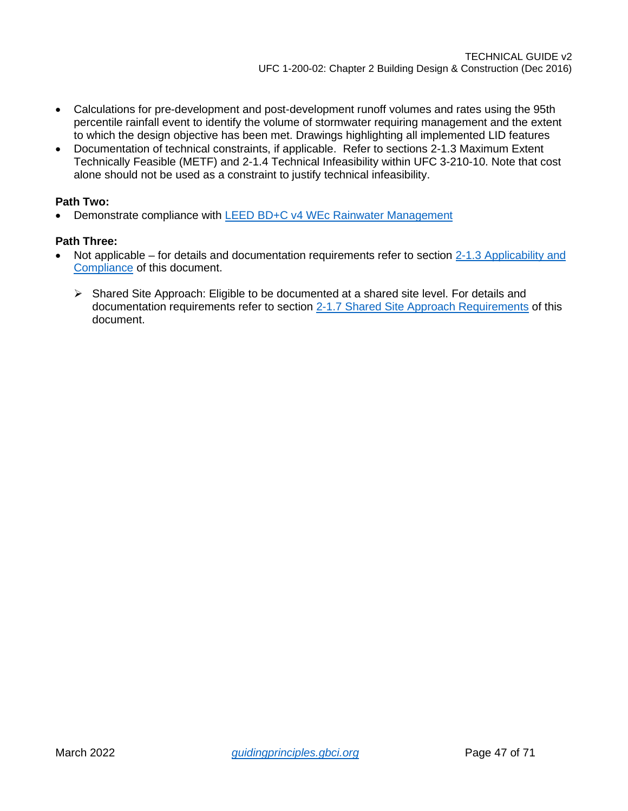- Calculations for pre-development and post-development runoff volumes and rates using the 95th percentile rainfall event to identify the volume of stormwater requiring management and the extent to which the design objective has been met. Drawings highlighting all implemented LID features
- Documentation of technical constraints, if applicable. Refer to sections 2-1.3 Maximum Extent Technically Feasible (METF) and 2-1.4 Technical Infeasibility within UFC 3-210-10. Note that cost alone should not be used as a constraint to justify technical infeasibility.

### **Path Two:**

• Demonstrate compliance with [LEED BD+C v4 WEc Rainwater Management](https://www.usgbc.org/node/2764291?return=/credits/new-construction/v4/sustainable-sites)

- Not applicable for details and documentation requirements refer to section [2-1.3 Applicability and](#page-4-4)  [Compliance](#page-4-4) of this document.
	- $\triangleright$  Shared Site Approach: Eligible to be documented at a shared site level. For details and documentation requirements refer to section [2-1.7 Shared Site Approach Requirements](#page-7-0) of this document.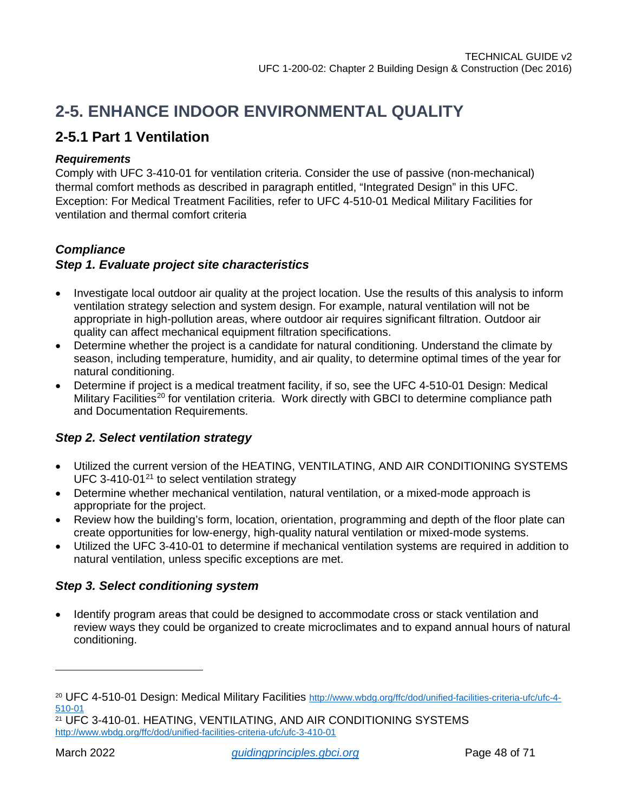# <span id="page-47-0"></span>**2-5. ENHANCE INDOOR ENVIRONMENTAL QUALITY**

### <span id="page-47-1"></span>**2-5.1 Part 1 Ventilation**

### *Requirements*

Comply with UFC 3-410-01 for ventilation criteria. Consider the use of passive (non-mechanical) thermal comfort methods as described in paragraph entitled, "Integrated Design" in this UFC. Exception: For Medical Treatment Facilities, refer to UFC 4-510-01 Medical Military Facilities for ventilation and thermal comfort criteria

### *Compliance*

### *Step 1. Evaluate project site characteristics*

- Investigate local outdoor air quality at the project location. Use the results of this analysis to inform ventilation strategy selection and system design. For example, natural ventilation will not be appropriate in high-pollution areas, where outdoor air requires significant filtration. Outdoor air quality can affect mechanical equipment filtration specifications.
- Determine whether the project is a candidate for natural conditioning. Understand the climate by season, including temperature, humidity, and air quality, to determine optimal times of the year for natural conditioning.
- Determine if project is a medical treatment facility, if so, see the UFC 4-510-01 Design: Medical Military Facilities<sup>[20](#page-47-2)</sup> for ventilation criteria. Work directly with GBCI to determine compliance path and Documentation Requirements.

### *Step 2. Select ventilation strategy*

- Utilized the current version of the HEATING, VENTILATING, AND AIR CONDITIONING SYSTEMS UFC 3-410-01 $21$  to select ventilation strategy
- Determine whether mechanical ventilation, natural ventilation, or a mixed-mode approach is appropriate for the project.
- Review how the building's form, location, orientation, programming and depth of the floor plate can create opportunities for low-energy, high-quality natural ventilation or mixed-mode systems.
- Utilized the UFC 3-410-01 to determine if mechanical ventilation systems are required in addition to natural ventilation, unless specific exceptions are met.

### *Step 3. Select conditioning system*

• Identify program areas that could be designed to accommodate cross or stack ventilation and review ways they could be organized to create microclimates and to expand annual hours of natural conditioning.

<span id="page-47-2"></span><sup>&</sup>lt;sup>20</sup> UFC 4-510-01 Design: Medical Military Facilities [http://www.wbdg.org/ffc/dod/unified-facilities-criteria-ufc/ufc-4-](http://www.wbdg.org/ffc/dod/unified-facilities-criteria-ufc/ufc-4-510-01)<br>510-01

<span id="page-47-3"></span><sup>&</sup>lt;sup>21</sup> UFC 3-410-01. HEATING, VENTILATING, AND AIR CONDITIONING SYSTEMS <http://www.wbdg.org/ffc/dod/unified-facilities-criteria-ufc/ufc-3-410-01>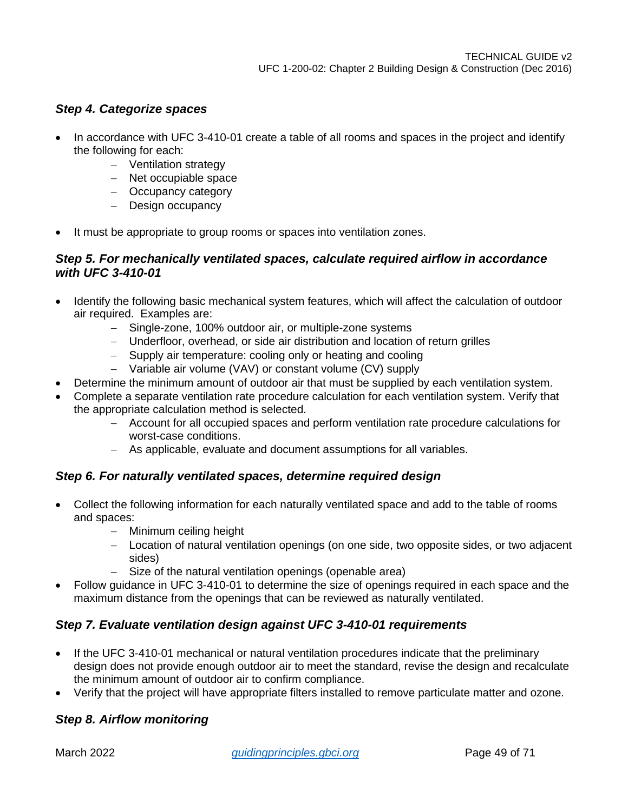### *Step 4. Categorize spaces*

- In accordance with UFC 3-410-01 create a table of all rooms and spaces in the project and identify the following for each:
	- − Ventilation strategy
	- − Net occupiable space
	- − Occupancy category
	- − Design occupancy
- It must be appropriate to group rooms or spaces into ventilation zones.

### *Step 5. For mechanically ventilated spaces, calculate required airflow in accordance with UFC 3-410-01*

- Identify the following basic mechanical system features, which will affect the calculation of outdoor air required. Examples are:
	- − Single-zone, 100% outdoor air, or multiple-zone systems
	- − Underfloor, overhead, or side air distribution and location of return grilles
	- − Supply air temperature: cooling only or heating and cooling
	- − Variable air volume (VAV) or constant volume (CV) supply
- Determine the minimum amount of outdoor air that must be supplied by each ventilation system.
- Complete a separate ventilation rate procedure calculation for each ventilation system. Verify that the appropriate calculation method is selected.
	- − Account for all occupied spaces and perform ventilation rate procedure calculations for worst-case conditions.
	- − As applicable, evaluate and document assumptions for all variables.

### *Step 6. For naturally ventilated spaces, determine required design*

- Collect the following information for each naturally ventilated space and add to the table of rooms and spaces:
	- − Minimum ceiling height
	- − Location of natural ventilation openings (on one side, two opposite sides, or two adjacent sides)
	- − Size of the natural ventilation openings (openable area)
- Follow guidance in UFC 3-410-01 to determine the size of openings required in each space and the maximum distance from the openings that can be reviewed as naturally ventilated.

### *Step 7. Evaluate ventilation design against UFC 3-410-01 requirements*

- If the UFC 3-410-01 mechanical or natural ventilation procedures indicate that the preliminary design does not provide enough outdoor air to meet the standard, revise the design and recalculate the minimum amount of outdoor air to confirm compliance.
- Verify that the project will have appropriate filters installed to remove particulate matter and ozone.

### *Step 8. Airflow monitoring*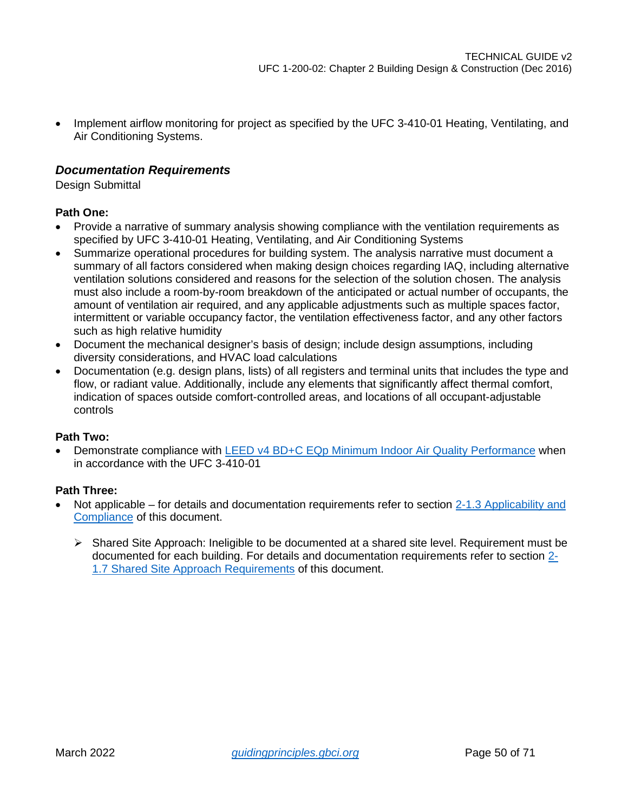• Implement airflow monitoring for project as specified by the UFC 3-410-01 Heating, Ventilating, and Air Conditioning Systems.

### *Documentation Requirements*

Design Submittal

### **Path One:**

- Provide a narrative of summary analysis showing compliance with the ventilation requirements as specified by UFC 3-410-01 Heating, Ventilating, and Air Conditioning Systems
- Summarize operational procedures for building system. The analysis narrative must document a summary of all factors considered when making design choices regarding IAQ, including alternative ventilation solutions considered and reasons for the selection of the solution chosen. The analysis must also include a room-by-room breakdown of the anticipated or actual number of occupants, the amount of ventilation air required, and any applicable adjustments such as multiple spaces factor, intermittent or variable occupancy factor, the ventilation effectiveness factor, and any other factors such as high relative humidity
- Document the mechanical designer's basis of design; include design assumptions, including diversity considerations, and HVAC load calculations
- Documentation (e.g. design plans, lists) of all registers and terminal units that includes the type and flow, or radiant value. Additionally, include any elements that significantly affect thermal comfort, indication of spaces outside comfort-controlled areas, and locations of all occupant-adjustable controls

### **Path Two:**

• Demonstrate compliance with [LEED v4 BD+C EQp Minimum Indoor Air Quality Performance](https://www.usgbc.org/node/2612594?return=/credits/new-construction/v4/indoor-environmental-quality) when in accordance with the UFC 3-410-01

- Not applicable for details and documentation requirements refer to section 2-1.3 Applicability and [Compliance](#page-4-4) of this document.
	- $\triangleright$  Shared Site Approach: Ineligible to be documented at a shared site level. Requirement must be documented for each building. For details and documentation requirements refer to section [2-](#page-7-0) [1.7 Shared Site Approach Requirements](#page-7-0) of this document.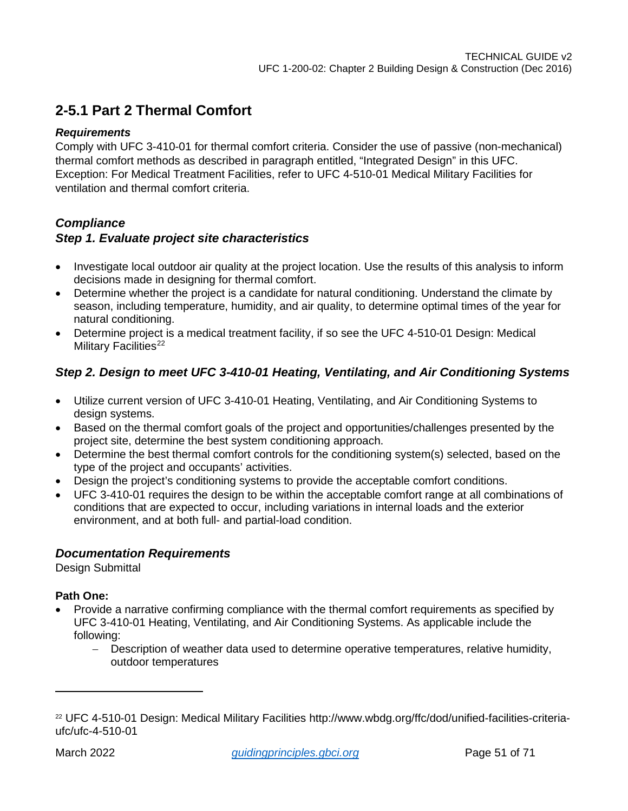### <span id="page-50-0"></span>**2-5.1 Part 2 Thermal Comfort**

### *Requirements*

Comply with UFC 3-410-01 for thermal comfort criteria. Consider the use of passive (non-mechanical) thermal comfort methods as described in paragraph entitled, "Integrated Design" in this UFC. Exception: For Medical Treatment Facilities, refer to UFC 4-510-01 Medical Military Facilities for ventilation and thermal comfort criteria.

### *Compliance*

### *Step 1. Evaluate project site characteristics*

- Investigate local outdoor air quality at the project location. Use the results of this analysis to inform decisions made in designing for thermal comfort.
- Determine whether the project is a candidate for natural conditioning. Understand the climate by season, including temperature, humidity, and air quality, to determine optimal times of the year for natural conditioning.
- Determine project is a medical treatment facility, if so see the UFC 4-510-01 Design: Medical Military Facilities<sup>22</sup>

### *Step 2. Design to meet UFC 3-410-01 Heating, Ventilating, and Air Conditioning Systems*

- Utilize current version of UFC 3-410-01 Heating, Ventilating, and Air Conditioning Systems to design systems.
- Based on the thermal comfort goals of the project and opportunities/challenges presented by the project site, determine the best system conditioning approach.
- Determine the best thermal comfort controls for the conditioning system(s) selected, based on the type of the project and occupants' activities.
- Design the project's conditioning systems to provide the acceptable comfort conditions.
- UFC 3-410-01 requires the design to be within the acceptable comfort range at all combinations of conditions that are expected to occur, including variations in internal loads and the exterior environment, and at both full- and partial-load condition.

### *Documentation Requirements*

Design Submittal

### **Path One:**

- Provide a narrative confirming compliance with the thermal comfort requirements as specified by UFC 3-410-01 Heating, Ventilating, and Air Conditioning Systems. As applicable include the following:
	- − Description of weather data used to determine operative temperatures, relative humidity, outdoor temperatures

<span id="page-50-1"></span><sup>22</sup> UFC 4-510-01 Design: Medical Military Facilities http://www.wbdg.org/ffc/dod/unified-facilities-criteriaufc/ufc-4-510-01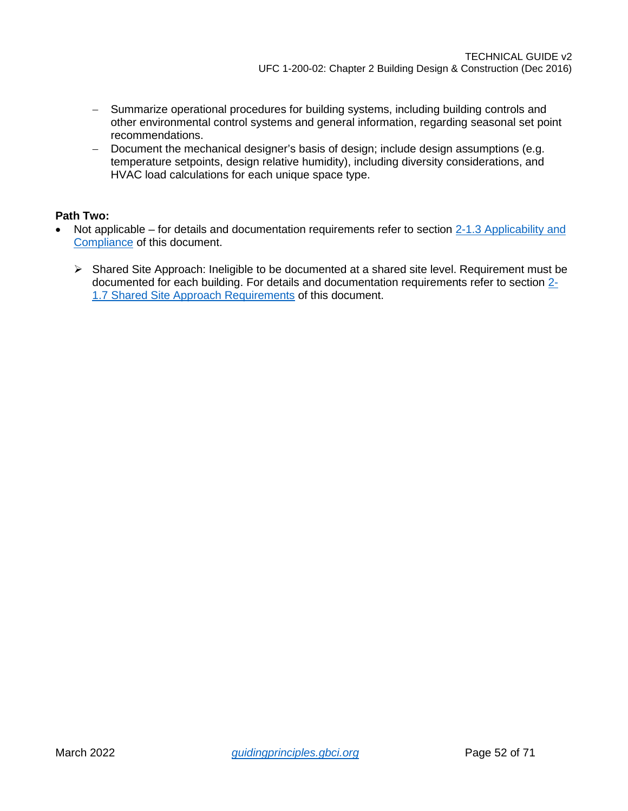- − Summarize operational procedures for building systems, including building controls and other environmental control systems and general information, regarding seasonal set point recommendations.
- − Document the mechanical designer's basis of design; include design assumptions (e.g. temperature setpoints, design relative humidity), including diversity considerations, and HVAC load calculations for each unique space type.

- Not applicable for details and documentation requirements refer to section 2-1.3 Applicability and [Compliance](#page-4-4) of this document.
	- Shared Site Approach: Ineligible to be documented at a shared site level. Requirement must be documented for each building. For details and documentation requirements refer to section [2-](#page-7-0) [1.7 Shared Site Approach Requirements](#page-7-0) of this document.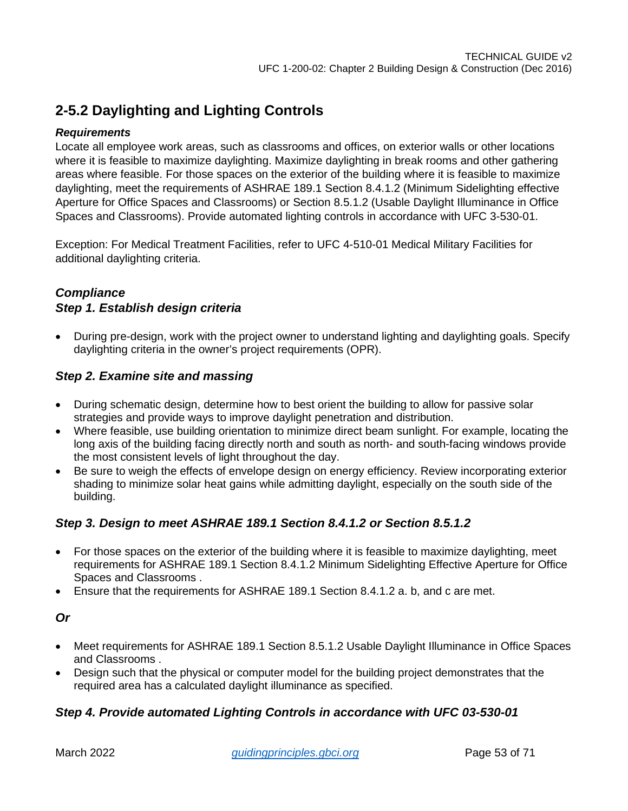### <span id="page-52-0"></span>**2-5.2 Daylighting and Lighting Controls**

### *Requirements*

Locate all employee work areas, such as classrooms and offices, on exterior walls or other locations where it is feasible to maximize daylighting. Maximize daylighting in break rooms and other gathering areas where feasible. For those spaces on the exterior of the building where it is feasible to maximize daylighting, meet the requirements of ASHRAE 189.1 Section 8.4.1.2 (Minimum Sidelighting effective Aperture for Office Spaces and Classrooms) or Section 8.5.1.2 (Usable Daylight Illuminance in Office Spaces and Classrooms). Provide automated lighting controls in accordance with UFC 3-530-01.

Exception: For Medical Treatment Facilities, refer to UFC 4-510-01 Medical Military Facilities for additional daylighting criteria.

### *Compliance Step 1. Establish design criteria*

• During pre-design, work with the project owner to understand lighting and daylighting goals. Specify daylighting criteria in the owner's project requirements (OPR).

### *Step 2. Examine site and massing*

- During schematic design, determine how to best orient the building to allow for passive solar strategies and provide ways to improve daylight penetration and distribution.
- Where feasible, use building orientation to minimize direct beam sunlight. For example, locating the long axis of the building facing directly north and south as north- and south-facing windows provide the most consistent levels of light throughout the day.
- Be sure to weigh the effects of envelope design on energy efficiency. Review incorporating exterior shading to minimize solar heat gains while admitting daylight, especially on the south side of the building.

### *Step 3. Design to meet ASHRAE 189.1 Section 8.4.1.2 or Section 8.5.1.2*

- For those spaces on the exterior of the building where it is feasible to maximize daylighting, meet requirements for ASHRAE 189.1 Section 8.4.1.2 Minimum Sidelighting Effective Aperture for Office Spaces and Classrooms .
- Ensure that the requirements for ASHRAE 189.1 Section 8.4.1.2 a. b, and c are met.

### *Or*

- Meet requirements for ASHRAE 189.1 Section 8.5.1.2 Usable Daylight Illuminance in Office Spaces and Classrooms .
- Design such that the physical or computer model for the building project demonstrates that the required area has a calculated daylight illuminance as specified.

### *Step 4. Provide automated Lighting Controls in accordance with UFC 03-530-01*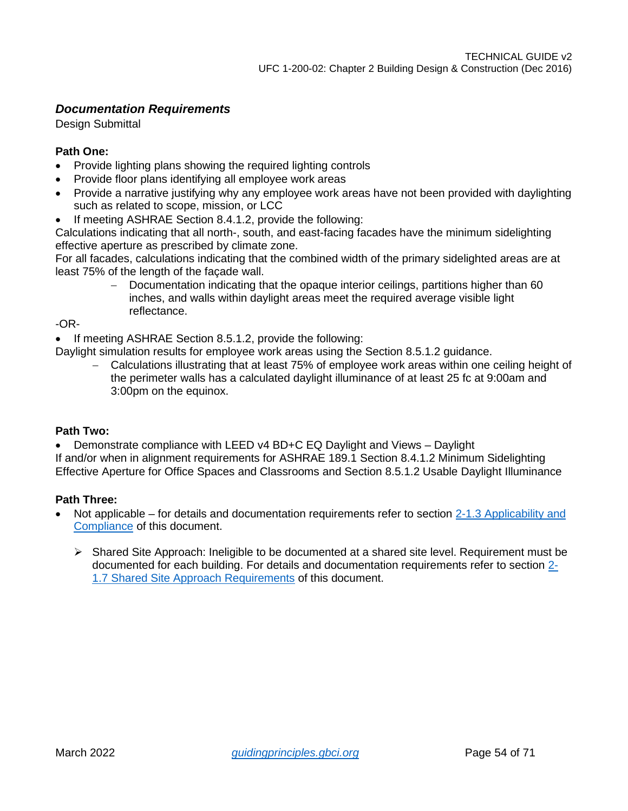### *Documentation Requirements*

Design Submittal

### **Path One:**

- Provide lighting plans showing the required lighting controls
- Provide floor plans identifying all employee work areas
- Provide a narrative justifying why any employee work areas have not been provided with daylighting such as related to scope, mission, or LCC
- If meeting ASHRAE Section 8.4.1.2, provide the following:

Calculations indicating that all north-, south, and east-facing facades have the minimum sidelighting effective aperture as prescribed by climate zone.

For all facades, calculations indicating that the combined width of the primary sidelighted areas are at least 75% of the length of the façade wall.

− Documentation indicating that the opaque interior ceilings, partitions higher than 60 inches, and walls within daylight areas meet the required average visible light reflectance.

-OR-

• If meeting ASHRAE Section 8.5.1.2, provide the following:

Daylight simulation results for employee work areas using the Section 8.5.1.2 guidance.

− Calculations illustrating that at least 75% of employee work areas within one ceiling height of the perimeter walls has a calculated daylight illuminance of at least 25 fc at 9:00am and 3:00pm on the equinox.

### **Path Two:**

• Demonstrate compliance with [LEED v4 BD+C EQ Daylight and Views –](https://www.usgbc.org/node/1732569?return=/credits/new-construction/v2009/indoor-environmental-quality) Daylight If and/or when in alignment requirements for ASHRAE 189.1 Section 8.4.1.2 Minimum Sidelighting Effective Aperture for Office Spaces and Classrooms and Section 8.5.1.2 Usable Daylight Illuminance

- Not applicable for details and documentation requirements refer to section 2-1.3 Applicability and [Compliance](#page-4-4) of this document.
	- $\triangleright$  Shared Site Approach: Ineligible to be documented at a shared site level. Requirement must be documented for each building. For details and documentation requirements refer to section [2-](#page-7-0) [1.7 Shared Site Approach Requirements](#page-7-0) of this document.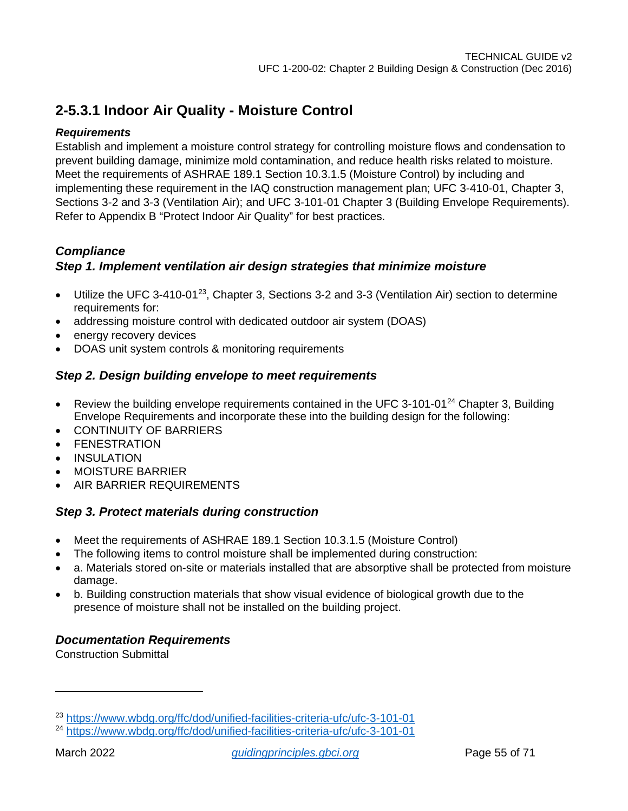### <span id="page-54-0"></span>**2-5.3.1 Indoor Air Quality - Moisture Control**

### *Requirements*

Establish and implement a moisture control strategy for controlling moisture flows and condensation to prevent building damage, minimize mold contamination, and reduce health risks related to moisture. Meet the requirements of ASHRAE 189.1 Section 10.3.1.5 (Moisture Control) by including and implementing these requirement in the IAQ construction management plan; UFC 3-410-01, Chapter 3, Sections 3-2 and 3-3 (Ventilation Air); and UFC 3-101-01 Chapter 3 (Building Envelope Requirements). Refer to Appendix B "Protect Indoor Air Quality" for best practices.

### *Compliance*

### *Step 1. Implement ventilation air design strategies that minimize moisture*

- Utilize the UFC 3-410-01<sup>[23](#page-54-1)</sup>, Chapter 3, Sections 3-2 and 3-3 (Ventilation Air) section to determine requirements for:
- addressing moisture control with dedicated outdoor air system (DOAS)
- energy recovery devices
- DOAS unit system controls & monitoring requirements

### *Step 2. Design building envelope to meet requirements*

- Review the building envelope requirements contained in the UFC 3-101-01<sup>[24](#page-54-2)</sup> Chapter 3, Building Envelope Requirements and incorporate these into the building design for the following:
- CONTINUITY OF BARRIERS
- **FENESTRATION**
- INSULATION
- MOISTURE BARRIER
- AIR BARRIER REQUIREMENTS

### *Step 3. Protect materials during construction*

- Meet the requirements of ASHRAE 189.1 Section 10.3.1.5 (Moisture Control)
- The following items to control moisture shall be implemented during construction:
- a. Materials stored on-site or materials installed that are absorptive shall be protected from moisture damage.
- b. Building construction materials that show visual evidence of biological growth due to the presence of moisture shall not be installed on the building project.

### *Documentation Requirements*

Construction Submittal

<span id="page-54-1"></span><sup>23</sup> <https://www.wbdg.org/ffc/dod/unified-facilities-criteria-ufc/ufc-3-101-01>

<span id="page-54-2"></span><sup>24</sup> <https://www.wbdg.org/ffc/dod/unified-facilities-criteria-ufc/ufc-3-101-01>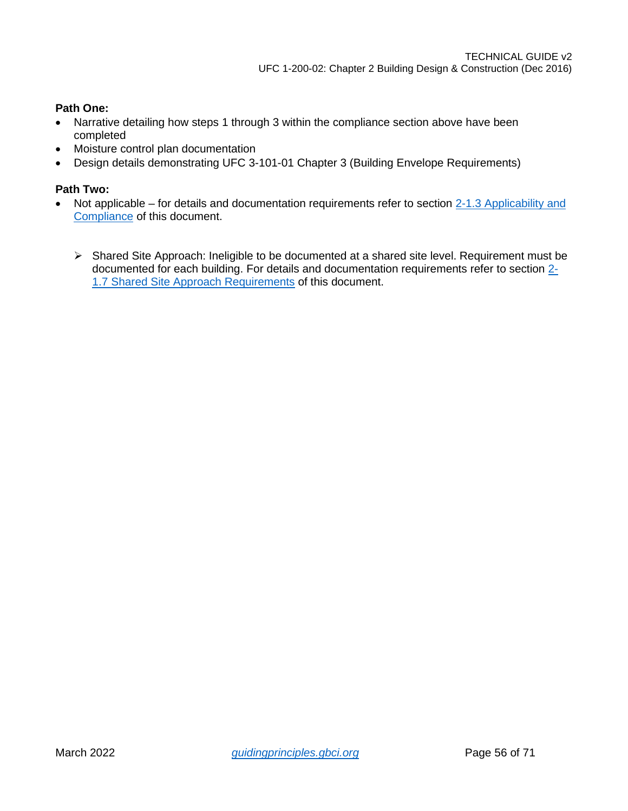### **Path One:**

- Narrative detailing how steps 1 through 3 within the compliance section above have been completed
- Moisture control plan documentation
- Design details demonstrating UFC 3-101-01 Chapter 3 (Building Envelope Requirements)

- Not applicable for details and documentation requirements refer to section 2-1.3 Applicability and [Compliance](#page-4-4) of this document.
	- $\triangleright$  Shared Site Approach: Ineligible to be documented at a shared site level. Requirement must be documented for each building. For details and documentation requirements refer to section [2-](#page-7-0) [1.7 Shared Site Approach Requirements](#page-7-0) of this document.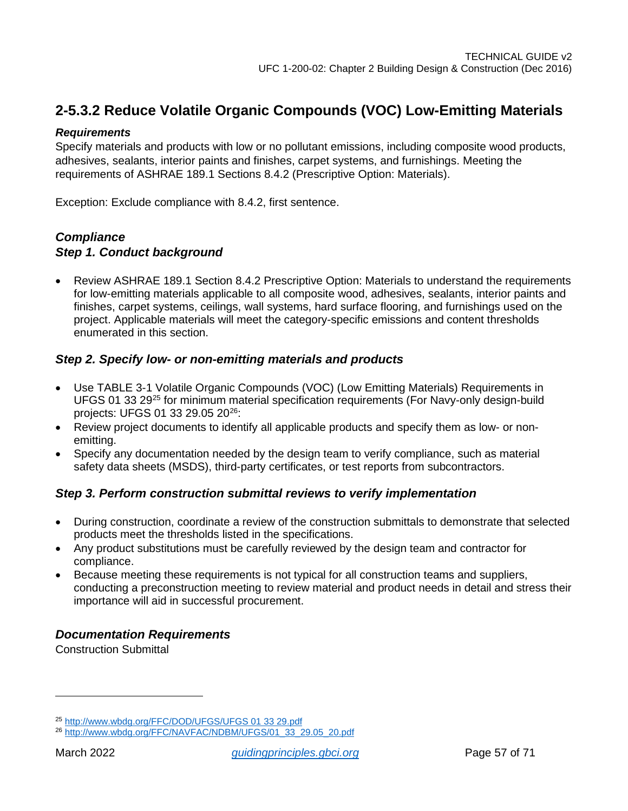### <span id="page-56-0"></span>**2-5.3.2 Reduce Volatile Organic Compounds (VOC) Low-Emitting Materials**

### *Requirements*

Specify materials and products with low or no pollutant emissions, including composite wood products, adhesives, sealants, interior paints and finishes, carpet systems, and furnishings. Meeting the requirements of ASHRAE 189.1 Sections 8.4.2 (Prescriptive Option: Materials).

Exception: Exclude compliance with 8.4.2, first sentence.

### *Compliance Step 1. Conduct background*

• Review ASHRAE 189.1 Section 8.4.2 Prescriptive Option: Materials to understand the requirements for low-emitting materials applicable to all composite wood, adhesives, sealants, interior paints and finishes, carpet systems, ceilings, wall systems, hard surface flooring, and furnishings used on the project. Applicable materials will meet the category-specific emissions and content thresholds enumerated in this section.

### *Step 2. Specify low- or non-emitting materials and products*

- Use TABLE 3-1 Volatile Organic Compounds (VOC) (Low Emitting Materials) Requirements in UFGS 01 33 29[25](#page-56-1) for minimum material specification requirements (For Navy-only design-build projects: UFGS 01 33 29.05 20[26:](#page-56-2)
- Review project documents to identify all applicable products and specify them as low- or nonemitting.
- Specify any documentation needed by the design team to verify compliance, such as material safety data sheets (MSDS), third-party certificates, or test reports from subcontractors.

### *Step 3. Perform construction submittal reviews to verify implementation*

- During construction, coordinate a review of the construction submittals to demonstrate that selected products meet the thresholds listed in the specifications.
- Any product substitutions must be carefully reviewed by the design team and contractor for compliance.
- Because meeting these requirements is not typical for all construction teams and suppliers, conducting a preconstruction meeting to review material and product needs in detail and stress their importance will aid in successful procurement.

### *Documentation Requirements*

Construction Submittal

<span id="page-56-1"></span><sup>25</sup> [http://www.wbdg.org/FFC/DOD/UFGS/UFGS 01 33 29.pdf](http://www.wbdg.org/FFC/DOD/UFGS/UFGS%2001%2033%2029.pdf)

<span id="page-56-2"></span><sup>26</sup> [http://www.wbdg.org/FFC/NAVFAC/NDBM/UFGS/01\\_33\\_29.05\\_20.pdf](http://www.wbdg.org/FFC/NAVFAC/NDBM/UFGS/01_33_29.05_20.pdf)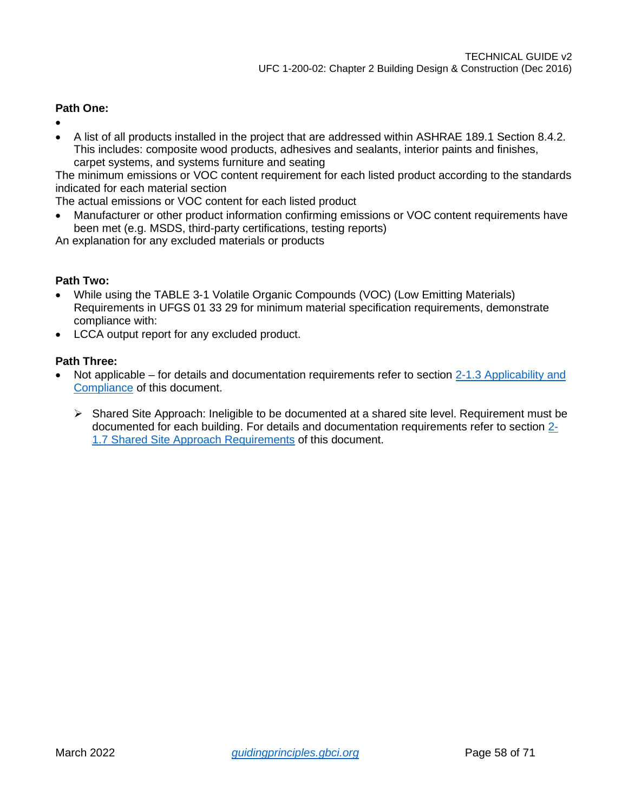### **Path One:**

- •
- A list of all products installed in the project that are addressed within ASHRAE 189.1 Section 8.4.2. This includes: composite wood products, adhesives and sealants, interior paints and finishes, carpet systems, and systems furniture and seating

The minimum emissions or VOC content requirement for each listed product according to the standards indicated for each material section

The actual emissions or VOC content for each listed product

• Manufacturer or other product information confirming emissions or VOC content requirements have been met (e.g. MSDS, third-party certifications, testing reports)

An explanation for any excluded materials or products

### **Path Two:**

- While using the TABLE 3-1 Volatile Organic Compounds (VOC) (Low Emitting Materials) Requirements in UFGS 01 33 29 for minimum material specification requirements, demonstrate compliance with:
- LCCA output report for any excluded product.

- Not applicable for details and documentation requirements refer to section [2-1.3 Applicability and](#page-4-4)  [Compliance](#page-4-4) of this document.
	- $\triangleright$  Shared Site Approach: Ineligible to be documented at a shared site level. Requirement must be documented for each building. For details and documentation requirements refer to section [2-](#page-7-0) [1.7 Shared Site Approach Requirements](#page-7-0) of this document.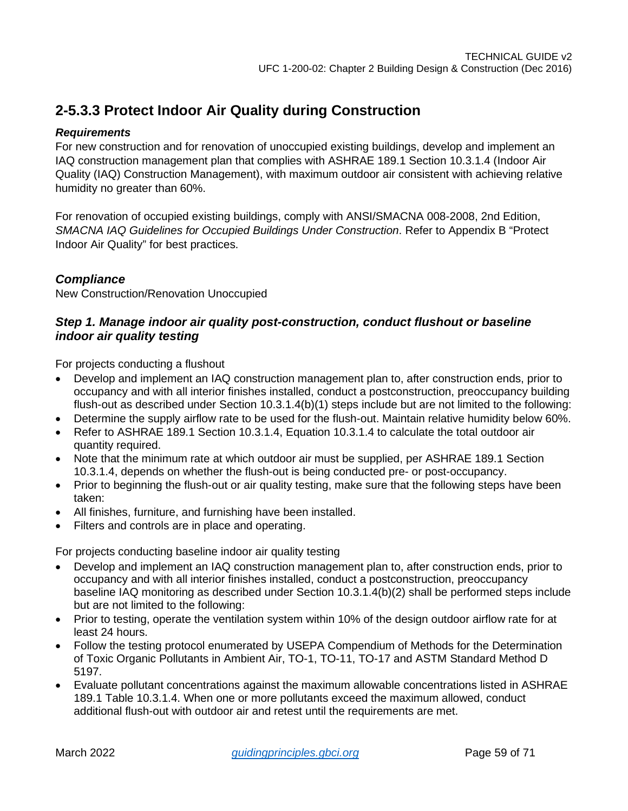### <span id="page-58-0"></span>**2-5.3.3 Protect Indoor Air Quality during Construction**

### *Requirements*

For new construction and for renovation of unoccupied existing buildings, develop and implement an IAQ construction management plan that complies with ASHRAE 189.1 Section 10.3.1.4 (Indoor Air Quality (IAQ) Construction Management), with maximum outdoor air consistent with achieving relative humidity no greater than 60%.

For renovation of occupied existing buildings, comply with ANSI/SMACNA 008-2008, 2nd Edition, *SMACNA IAQ Guidelines for Occupied Buildings Under Construction*. Refer to Appendix B "Protect Indoor Air Quality" for best practices.

### *Compliance*

New Construction/Renovation Unoccupied

### *Step 1. Manage indoor air quality post-construction, conduct flushout or baseline indoor air quality testing*

For projects conducting a flushout

- Develop and implement an IAQ construction management plan to, after construction ends, prior to occupancy and with all interior finishes installed, conduct a postconstruction, preoccupancy building flush-out as described under Section 10.3.1.4(b)(1) steps include but are not limited to the following:
- Determine the supply airflow rate to be used for the flush-out. Maintain relative humidity below 60%.
- Refer to ASHRAE 189.1 Section 10.3.1.4, Equation 10.3.1.4 to calculate the total outdoor air quantity required.
- Note that the minimum rate at which outdoor air must be supplied, per ASHRAE 189.1 Section 10.3.1.4, depends on whether the flush-out is being conducted pre- or post-occupancy.
- Prior to beginning the flush-out or air quality testing, make sure that the following steps have been taken:
- All finishes, furniture, and furnishing have been installed.
- Filters and controls are in place and operating.

For projects conducting baseline indoor air quality testing

- Develop and implement an IAQ construction management plan to, after construction ends, prior to occupancy and with all interior finishes installed, conduct a postconstruction, preoccupancy baseline IAQ monitoring as described under Section 10.3.1.4(b)(2) shall be performed steps include but are not limited to the following:
- Prior to testing, operate the ventilation system within 10% of the design outdoor airflow rate for at least 24 hours.
- Follow the testing protocol enumerated by USEPA Compendium of Methods for the Determination of Toxic Organic Pollutants in Ambient Air, TO-1, TO-11, TO-17 and ASTM Standard Method D 5197.
- Evaluate pollutant concentrations against the maximum allowable concentrations listed in ASHRAE 189.1 Table 10.3.1.4. When one or more pollutants exceed the maximum allowed, conduct additional flush-out with outdoor air and retest until the requirements are met.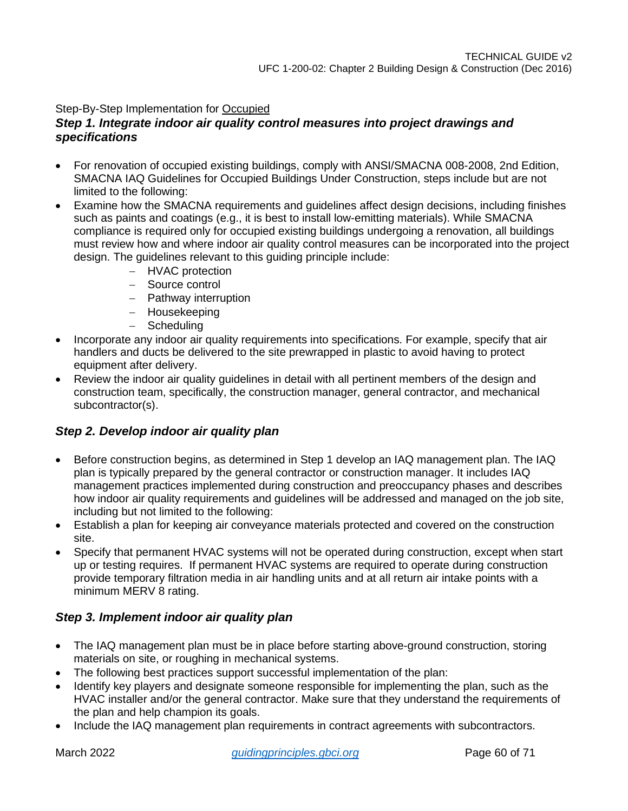### Step-By-Step Implementation for Occupied

### *Step 1. Integrate indoor air quality control measures into project drawings and specifications*

- For renovation of occupied existing buildings, comply with ANSI/SMACNA 008-2008, 2nd Edition, SMACNA IAQ Guidelines for Occupied Buildings Under Construction, steps include but are not limited to the following:
- Examine how the SMACNA requirements and guidelines affect design decisions, including finishes such as paints and coatings (e.g., it is best to install low-emitting materials). While SMACNA compliance is required only for occupied existing buildings undergoing a renovation, all buildings must review how and where indoor air quality control measures can be incorporated into the project design. The guidelines relevant to this guiding principle include:
	- − HVAC protection
	- − Source control
	- − Pathway interruption
	- − Housekeeping
	- − Scheduling
- Incorporate any indoor air quality requirements into specifications. For example, specify that air handlers and ducts be delivered to the site prewrapped in plastic to avoid having to protect equipment after delivery.
- Review the indoor air quality guidelines in detail with all pertinent members of the design and construction team, specifically, the construction manager, general contractor, and mechanical subcontractor(s).

### *Step 2. Develop indoor air quality plan*

- Before construction begins, as determined in Step 1 develop an IAQ management plan. The IAQ plan is typically prepared by the general contractor or construction manager. It includes IAQ management practices implemented during construction and preoccupancy phases and describes how indoor air quality requirements and guidelines will be addressed and managed on the job site, including but not limited to the following:
- Establish a plan for keeping air conveyance materials protected and covered on the construction site.
- Specify that permanent HVAC systems will not be operated during construction, except when start up or testing requires. If permanent HVAC systems are required to operate during construction provide temporary filtration media in air handling units and at all return air intake points with a minimum MERV 8 rating.

### *Step 3. Implement indoor air quality plan*

- The IAQ management plan must be in place before starting above-ground construction, storing materials on site, or roughing in mechanical systems.
- The following best practices support successful implementation of the plan:
- Identify key players and designate someone responsible for implementing the plan, such as the HVAC installer and/or the general contractor. Make sure that they understand the requirements of the plan and help champion its goals.
- Include the IAQ management plan requirements in contract agreements with subcontractors.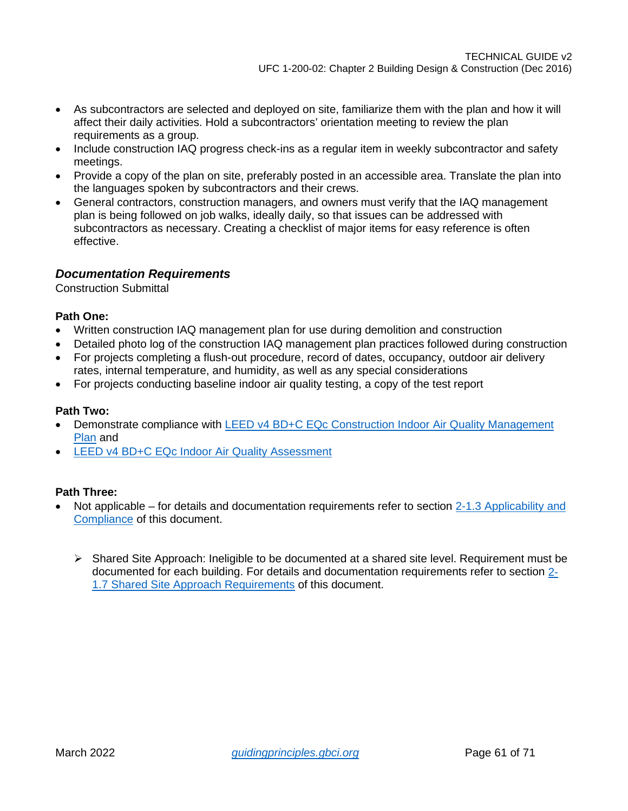- As subcontractors are selected and deployed on site, familiarize them with the plan and how it will affect their daily activities. Hold a subcontractors' orientation meeting to review the plan requirements as a group.
- Include construction IAQ progress check-ins as a regular item in weekly subcontractor and safety meetings.
- Provide a copy of the plan on site, preferably posted in an accessible area. Translate the plan into the languages spoken by subcontractors and their crews.
- General contractors, construction managers, and owners must verify that the IAQ management plan is being followed on job walks, ideally daily, so that issues can be addressed with subcontractors as necessary. Creating a checklist of major items for easy reference is often effective.

### *Documentation Requirements*

Construction Submittal

### **Path One:**

- Written construction IAQ management plan for use during demolition and construction
- Detailed photo log of the construction IAQ management plan practices followed during construction
- For projects completing a flush-out procedure, record of dates, occupancy, outdoor air delivery rates, internal temperature, and humidity, as well as any special considerations
- For projects conducting baseline indoor air quality testing, a copy of the test report

#### **Path Two:**

- Demonstrate compliance with [LEED v4 BD+C EQc Construction Indoor Air Quality Management](https://www.usgbc.org/node/2615033?return=/credits/new-construction/v4/indoor-environmental-quality)  [Plan](https://www.usgbc.org/node/2615033?return=/credits/new-construction/v4/indoor-environmental-quality) and
- [LEED v4 BD+C EQc Indoor Air Quality Assessment](https://www.usgbc.org/node/2614245?return=/credits/new-construction/v4/indoor-environmental-quality)

- Not applicable for details and documentation requirements refer to section 2-1.3 Applicability and [Compliance](#page-4-4) of this document.
	- $\triangleright$  Shared Site Approach: Ineligible to be documented at a shared site level. Requirement must be documented for each building. For details and documentation requirements refer to section [2-](#page-7-0) [1.7 Shared Site Approach Requirements](#page-7-0) of this document.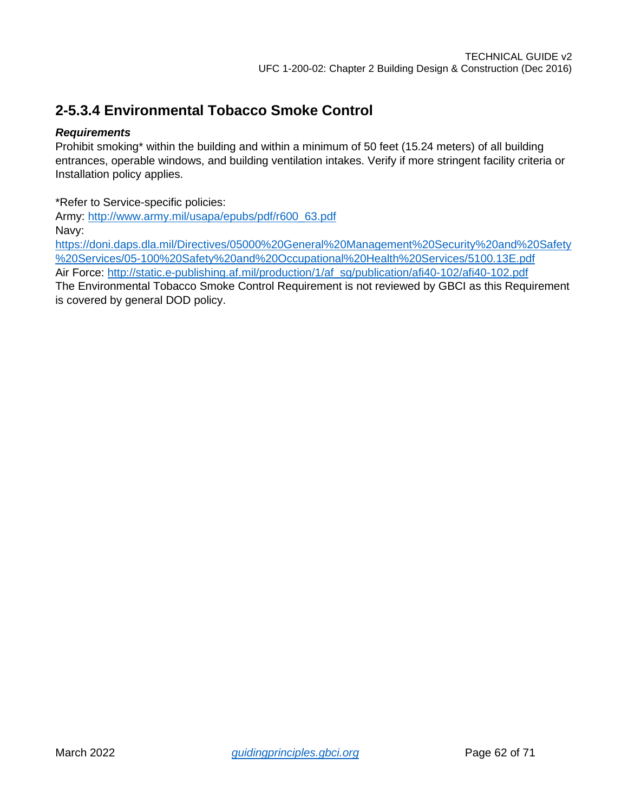### <span id="page-61-0"></span>**2-5.3.4 Environmental Tobacco Smoke Control**

### *Requirements*

Prohibit smoking\* within the building and within a minimum of 50 feet (15.24 meters) of all building entrances, operable windows, and building ventilation intakes. Verify if more stringent facility criteria or Installation policy applies.

\*Refer to Service-specific policies:

Army: [http://www.army.mil/usapa/epubs/pdf/r600\\_63.pdf](http://www.army.mil/usapa/epubs/pdf/r600_63.pdf) Navy:

[https://doni.daps.dla.mil/Directives/05000%20General%20Management%20Security%20and%20Safety](https://doni.daps.dla.mil/Directives/05000%20General%20Management%20Security%20and%20Safety%20Services/05-100%20Safety%20and%20Occupational%20Health%20Services/5100.13E.pdf) [%20Services/05-100%20Safety%20and%20Occupational%20Health%20Services/5100.13E.pdf](https://doni.daps.dla.mil/Directives/05000%20General%20Management%20Security%20and%20Safety%20Services/05-100%20Safety%20and%20Occupational%20Health%20Services/5100.13E.pdf) Air Force: [http://static.e-publishing.af.mil/production/1/af\\_sg/publication/afi40-102/afi40-102.pdf](http://static.e-publishing.af.mil/production/1/af_sg/publication/afi40-102/afi40-102.pdf)

The Environmental Tobacco Smoke Control Requirement is not reviewed by GBCI as this Requirement is covered by general DOD policy.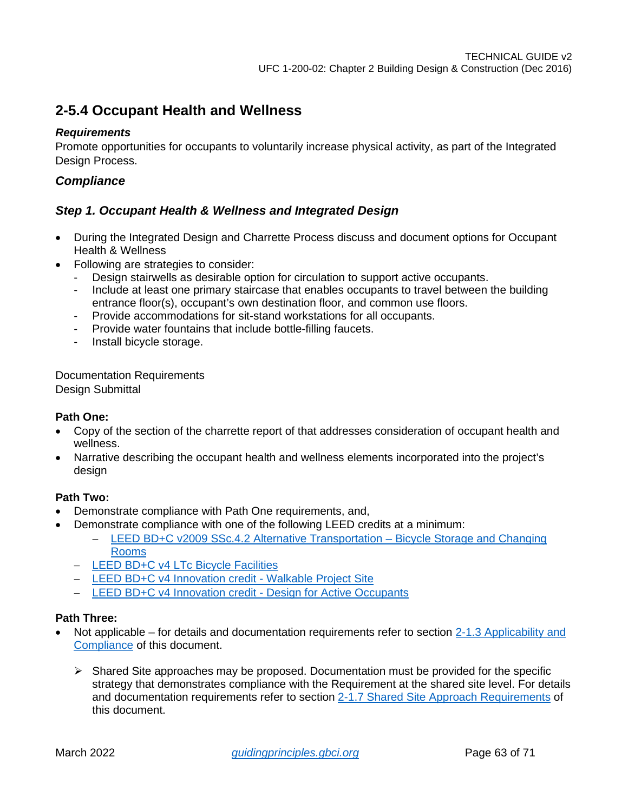### <span id="page-62-0"></span>**2-5.4 Occupant Health and Wellness**

### *Requirements*

Promote opportunities for occupants to voluntarily increase physical activity, as part of the Integrated Design Process.

### *Compliance*

### *Step 1. Occupant Health & Wellness and Integrated Design*

- During the Integrated Design and Charrette Process discuss and document options for Occupant Health & Wellness
- Following are strategies to consider:
	- Design stairwells as desirable option for circulation to support active occupants.
	- Include at least one primary staircase that enables occupants to travel between the building entrance floor(s), occupant's own destination floor, and common use floors.
	- Provide accommodations for sit-stand workstations for all occupants.
	- Provide water fountains that include bottle-filling faucets.
	- Install bicycle storage.

Documentation Requirements Design Submittal

### **Path One:**

- Copy of the section of the charrette report of that addresses consideration of occupant health and wellness.
- Narrative describing the occupant health and wellness elements incorporated into the project's design

### **Path Two:**

- Demonstrate compliance with Path One requirements, and,
- Demonstrate compliance with one of the following LEED credits at a minimum:
	- − [LEED BD+C v2009 SSc.4.2 Alternative Transportation –](https://www.usgbc.org/node/1731996?return=/credits/new-construction/v2009/sustainable-sites) Bicycle Storage and Changing [Rooms](https://www.usgbc.org/node/1731996?return=/credits/new-construction/v2009/sustainable-sites)
	- − [LEED BD+C v4 LTc Bicycle Facilities](https://www.usgbc.org/node/2614413?return=/credits/new-construction/v4/location-%26amp%3B-transportation)
	- − [LEED BD+C v4 Innovation credit -](https://www.usgbc.org/node/10561165?return=/innovationcatalog/new-construction/v4) Walkable Project Site
	- − [LEED BD+C v4 Innovation credit -](https://www.usgbc.org/node/10592104?return=/innovationcatalog/new-construction/v4) Design for Active Occupants

- Not applicable for details and documentation requirements refer to section 2-1.3 Applicability and [Compliance](#page-4-4) of this document.
	- $\triangleright$  Shared Site approaches may be proposed. Documentation must be provided for the specific strategy that demonstrates compliance with the Requirement at the shared site level. For details and documentation requirements refer to section [2-1.7 Shared Site Approach Requirements](#page-7-0) of this document.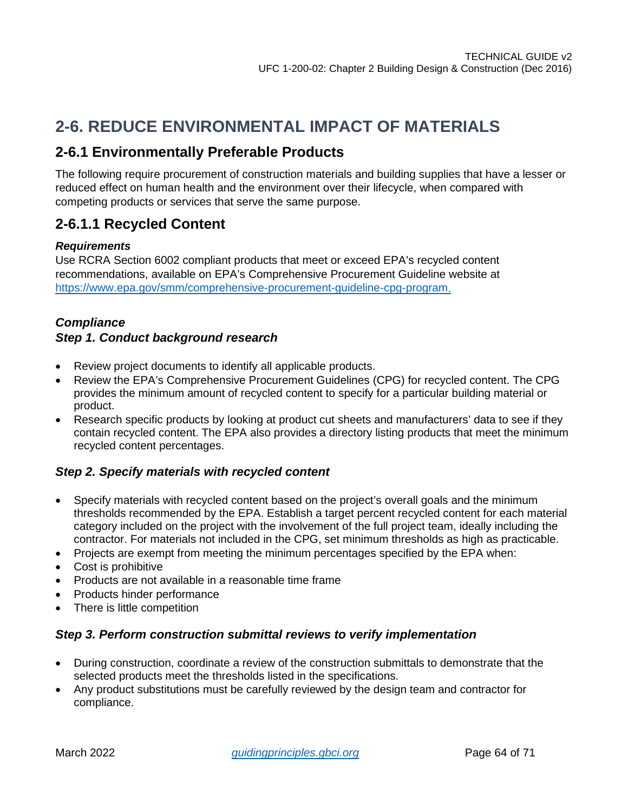# <span id="page-63-0"></span>**2-6. REDUCE ENVIRONMENTAL IMPACT OF MATERIALS**

### <span id="page-63-1"></span>**2-6.1 Environmentally Preferable Products**

The following require procurement of construction materials and building supplies that have a lesser or reduced effect on human health and the environment over their lifecycle, when compared with competing products or services that serve the same purpose.

### <span id="page-63-2"></span>**2-6.1.1 Recycled Content**

### *Requirements*

Use RCRA Section 6002 compliant products that meet or exceed EPA's recycled content recommendations, available on EPA's Comprehensive Procurement Guideline website at [https://www.epa.gov/smm/comprehensive-procurement-guideline-cpg-program.](https://www.epa.gov/smm/comprehensive-procurement-guideline-cpg-program)

### *Compliance Step 1. Conduct background research*

- Review project documents to identify all applicable products.
- Review the EPA's Comprehensive Procurement Guidelines (CPG) for recycled content. The CPG provides the minimum amount of recycled content to specify for a particular building material or product.
- Research specific products by looking at product cut sheets and manufacturers' data to see if they contain recycled content. The EPA also provides a directory listing products that meet the minimum recycled content percentages.

### *Step 2. Specify materials with recycled content*

- Specify materials with recycled content based on the project's overall goals and the minimum thresholds recommended by the EPA. Establish a target percent recycled content for each material category included on the project with the involvement of the full project team, ideally including the contractor. For materials not included in the CPG, set minimum thresholds as high as practicable.
- Projects are exempt from meeting the minimum percentages specified by the EPA when:
- Cost is prohibitive
- Products are not available in a reasonable time frame
- Products hinder performance
- There is little competition

### *Step 3. Perform construction submittal reviews to verify implementation*

- During construction, coordinate a review of the construction submittals to demonstrate that the selected products meet the thresholds listed in the specifications.
- Any product substitutions must be carefully reviewed by the design team and contractor for compliance.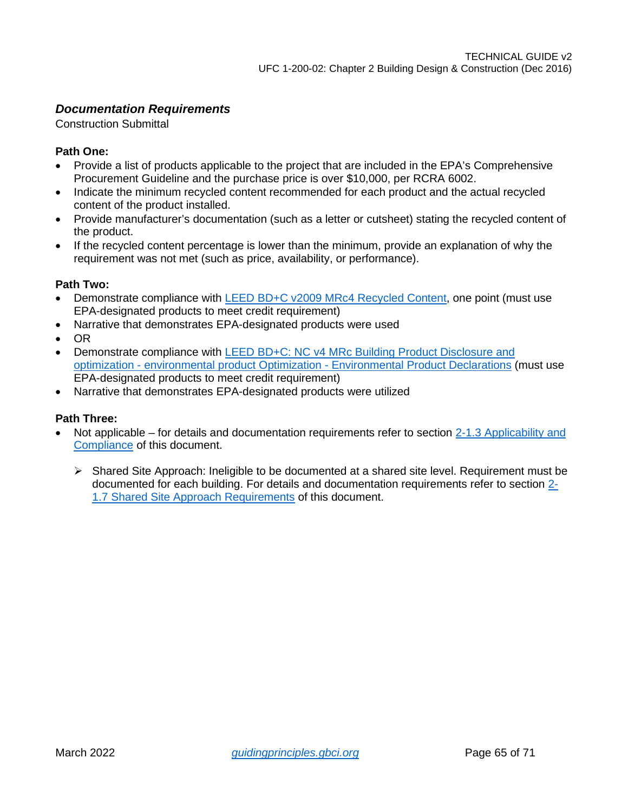### *Documentation Requirements*

Construction Submittal

### **Path One:**

- Provide a list of products applicable to the project that are included in the EPA's Comprehensive Procurement Guideline and the purchase price is over \$10,000, per RCRA 6002.
- Indicate the minimum recycled content recommended for each product and the actual recycled content of the product installed.
- Provide manufacturer's documentation (such as a letter or cutsheet) stating the recycled content of the product.
- If the recycled content percentage is lower than the minimum, provide an explanation of why the requirement was not met (such as price, availability, or performance).

### **Path Two:**

- Demonstrate compliance with [LEED BD+C v2009 MRc4 Recycled Content,](https://www.usgbc.org/node/1731024?return=/credits/new-construction/v2009/material-%26amp%3B-resources) one point (must use EPA-designated products to meet credit requirement)
- Narrative that demonstrates EPA-designated products were used
- OR
- Demonstrate compliance with [LEED BD+C: NC v4 MRc Building Product Disclosure and](https://www.usgbc.org/node/2616376?return=/credits/new-construction/v4/material-%26amp%3B-resources)  optimization - [environmental product Optimization -](https://www.usgbc.org/node/2616376?return=/credits/new-construction/v4/material-%26amp%3B-resources) Environmental Product Declarations (must use EPA-designated products to meet credit requirement)
- Narrative that demonstrates EPA-designated products were utilized

- Not applicable for details and documentation requirements refer to section 2-1.3 Applicability and [Compliance](#page-4-4) of this document.
	- $\triangleright$  Shared Site Approach: Ineligible to be documented at a shared site level. Requirement must be documented for each building. For details and documentation requirements refer to section [2-](#page-7-0) [1.7 Shared Site Approach Requirements](#page-7-0) of this document.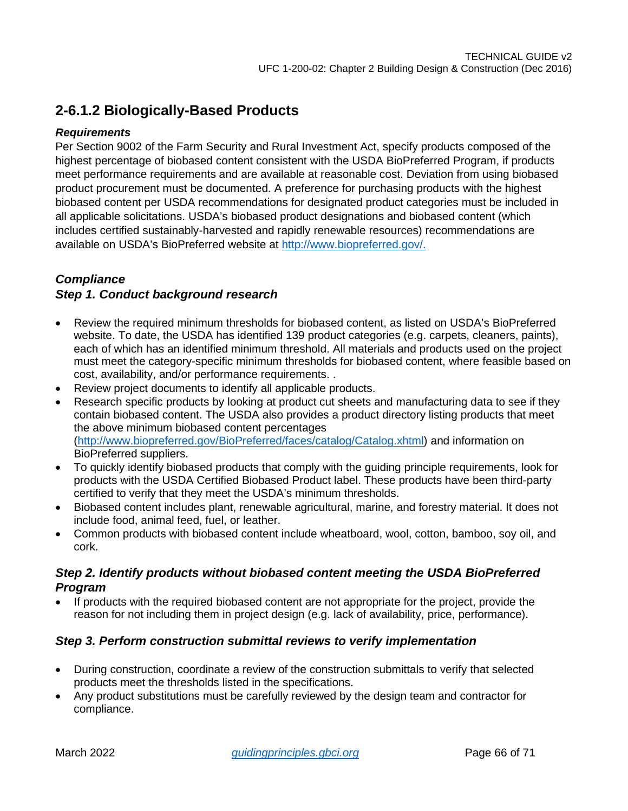### <span id="page-65-0"></span>**2-6.1.2 Biologically-Based Products**

### *Requirements*

Per Section 9002 of the Farm Security and Rural Investment Act, specify products composed of the highest percentage of biobased content consistent with the USDA BioPreferred Program, if products meet performance requirements and are available at reasonable cost. Deviation from using biobased product procurement must be documented. A preference for purchasing products with the highest biobased content per USDA recommendations for designated product categories must be included in all applicable solicitations. USDA's biobased product designations and biobased content (which includes certified sustainably-harvested and rapidly renewable resources) recommendations are available on USDA's BioPreferred website at<http://www.biopreferred.gov/>.

### *Compliance*

### *Step 1. Conduct background research*

- Review the required minimum thresholds for biobased content, as listed on USDA's BioPreferred website. To date, the USDA has identified 139 product categories (e.g. carpets, cleaners, paints), each of which has an identified minimum threshold. All materials and products used on the project must meet the category-specific minimum thresholds for biobased content, where feasible based on cost, availability, and/or performance requirements. .
- Review project documents to identify all applicable products.
- Research specific products by looking at product cut sheets and manufacturing data to see if they contain biobased content. The USDA also provides a product directory listing products that meet the above minimum biobased content percentages [\(http://www.biopreferred.gov/BioPreferred/faces/catalog/Catalog.xhtml\)](http://www.biopreferred.gov/BioPreferred/faces/catalog/Catalog.xhtml) and information on BioPreferred suppliers.
- To quickly identify biobased products that comply with the guiding principle requirements, look for products with the USDA Certified Biobased Product label. These products have been third-party certified to verify that they meet the USDA's minimum thresholds.
- Biobased content includes plant, renewable agricultural, marine, and forestry material. It does not include food, animal feed, fuel, or leather.
- Common products with biobased content include wheatboard, wool, cotton, bamboo, soy oil, and cork.

### *Step 2. Identify products without biobased content meeting the USDA BioPreferred Program*

• If products with the required biobased content are not appropriate for the project, provide the reason for not including them in project design (e.g. lack of availability, price, performance).

### *Step 3. Perform construction submittal reviews to verify implementation*

- During construction, coordinate a review of the construction submittals to verify that selected products meet the thresholds listed in the specifications.
- Any product substitutions must be carefully reviewed by the design team and contractor for compliance.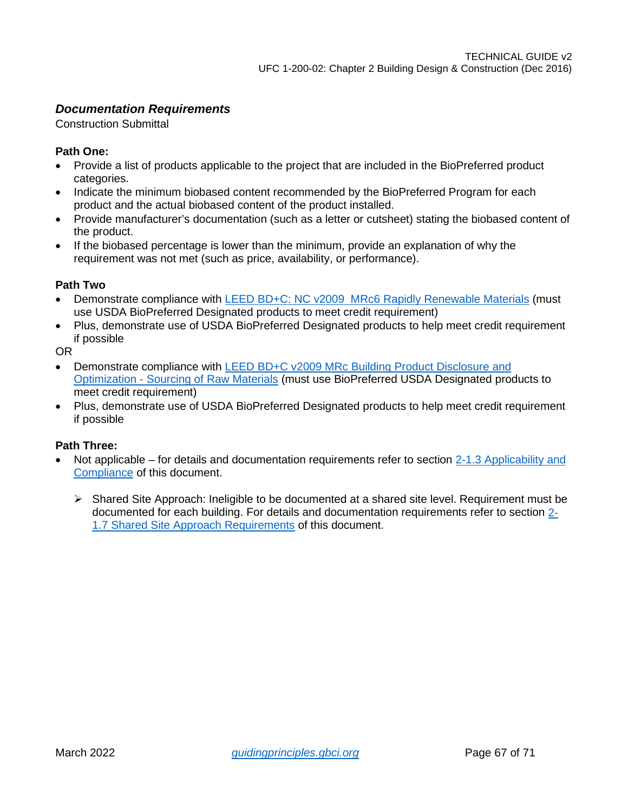### *Documentation Requirements*

Construction Submittal

### **Path One:**

- Provide a list of products applicable to the project that are included in the BioPreferred product categories.
- Indicate the minimum biobased content recommended by the BioPreferred Program for each product and the actual biobased content of the product installed.
- Provide manufacturer's documentation (such as a letter or cutsheet) stating the biobased content of the product.
- If the biobased percentage is lower than the minimum, provide an explanation of why the requirement was not met (such as price, availability, or performance).

#### **Path Two**

- Demonstrate compliance with [LEED BD+C: NC v2009 MRc6 Rapidly Renewable Materials](https://www.usgbc.org/node/1731030?return=/credits/new-construction/v2009/material-%26amp%3B-resources) (must use USDA BioPreferred Designated products to meet credit requirement)
- Plus, demonstrate use of USDA BioPreferred Designated products to help meet credit requirement if possible

OR

- Demonstrate compliance with LEED BD+C v2009 MRc Building Product Disclosure and Optimization - [Sourcing of Raw Materials](https://www.usgbc.org/node/2616388?return=/credits/new-construction/v4/material-%26amp%3B-resources) (must use BioPreferred USDA Designated products to meet credit requirement)
- Plus, demonstrate use of USDA BioPreferred Designated products to help meet credit requirement if possible

- Not applicable for details and documentation requirements refer to section 2-1.3 Applicability and [Compliance](#page-4-4) of this document.
	- $\triangleright$  Shared Site Approach: Ineligible to be documented at a shared site level. Requirement must be documented for each building. For details and documentation requirements refer to section [2-](#page-7-0) [1.7 Shared Site Approach Requirements](#page-7-0) of this document.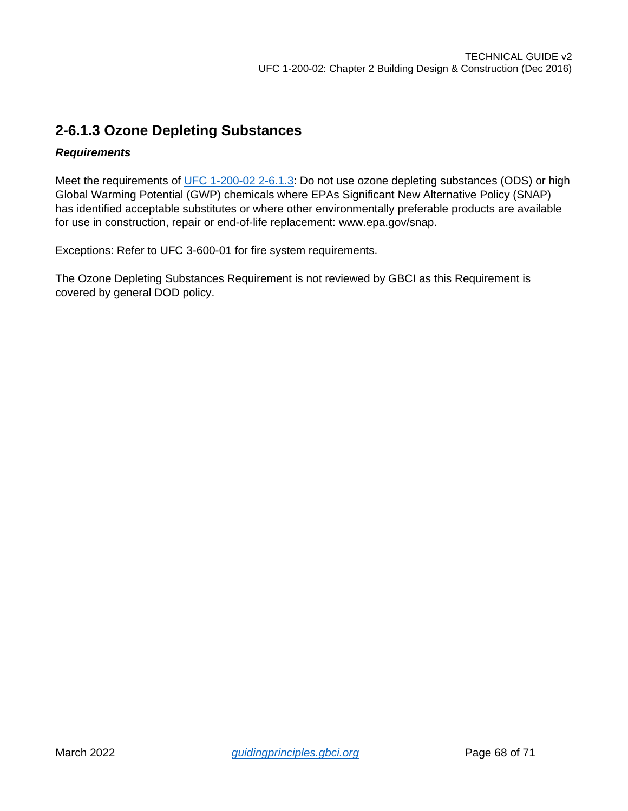### <span id="page-67-0"></span>**2-6.1.3 Ozone Depleting Substances**

### *Requirements*

Meet the requirements of UFC 1-200-02 2-6.1.3: Do not use ozone depleting substances (ODS) or high Global Warming Potential (GWP) chemicals where EPAs Significant New Alternative Policy (SNAP) has identified acceptable substitutes or where other environmentally preferable products are available for use in construction, repair or end-of-life replacement: www.epa.gov/snap.

Exceptions: Refer to UFC 3-600-01 for fire system requirements.

The Ozone Depleting Substances Requirement is not reviewed by GBCI as this Requirement is covered by general DOD policy.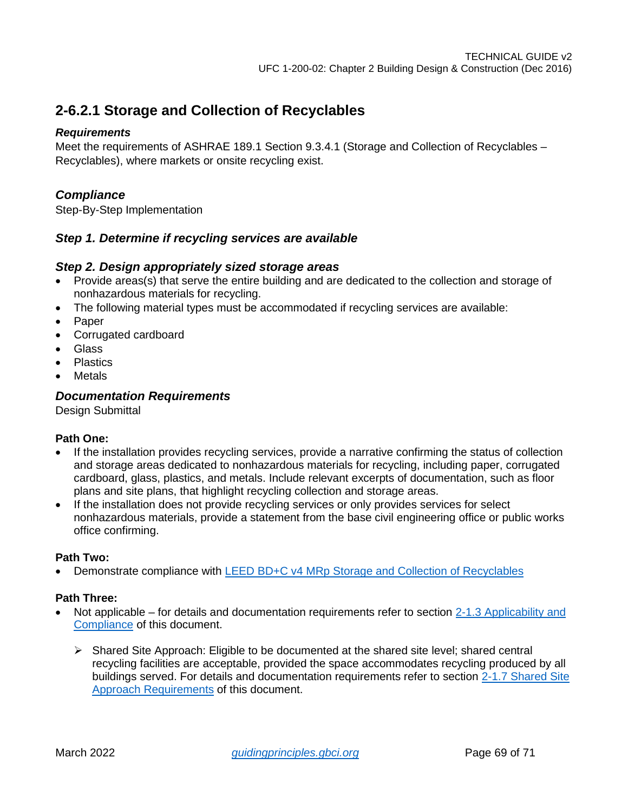### <span id="page-68-0"></span>**2-6.2.1 Storage and Collection of Recyclables**

### *Requirements*

Meet the requirements of ASHRAE 189.1 Section 9.3.4.1 (Storage and Collection of Recyclables – Recyclables), where markets or onsite recycling exist.

### *Compliance*

Step-By-Step Implementation

### *Step 1. Determine if recycling services are available*

### *Step 2. Design appropriately sized storage areas*

- Provide areas(s) that serve the entire building and are dedicated to the collection and storage of nonhazardous materials for recycling.
- The following material types must be accommodated if recycling services are available:
- **Paper**
- Corrugated cardboard
- Glass
- Plastics
- Metals

### *Documentation Requirements*

Design Submittal

### **Path One:**

- If the installation provides recycling services, provide a narrative confirming the status of collection and storage areas dedicated to nonhazardous materials for recycling, including paper, corrugated cardboard, glass, plastics, and metals. Include relevant excerpts of documentation, such as floor plans and site plans, that highlight recycling collection and storage areas.
- If the installation does not provide recycling services or only provides services for select nonhazardous materials, provide a statement from the base civil engineering office or public works office confirming.

### **Path Two:**

• Demonstrate compliance with [LEED BD+C v4 MRp Storage and Collection of Recyclables](https://www.usgbc.org/node/2614336?return=/credits/new-construction/v4/material-%26amp%3B-resources)

- Not applicable for details and documentation requirements refer to section 2-1.3 Applicability and [Compliance](#page-4-4) of this document.
	- $\triangleright$  Shared Site Approach: Eligible to be documented at the shared site level; shared central recycling facilities are acceptable, provided the space accommodates recycling produced by all buildings served. For details and documentation requirements refer to section [2-1.7 Shared Site](#page-7-0)  [Approach Requirements](#page-7-0) of this document.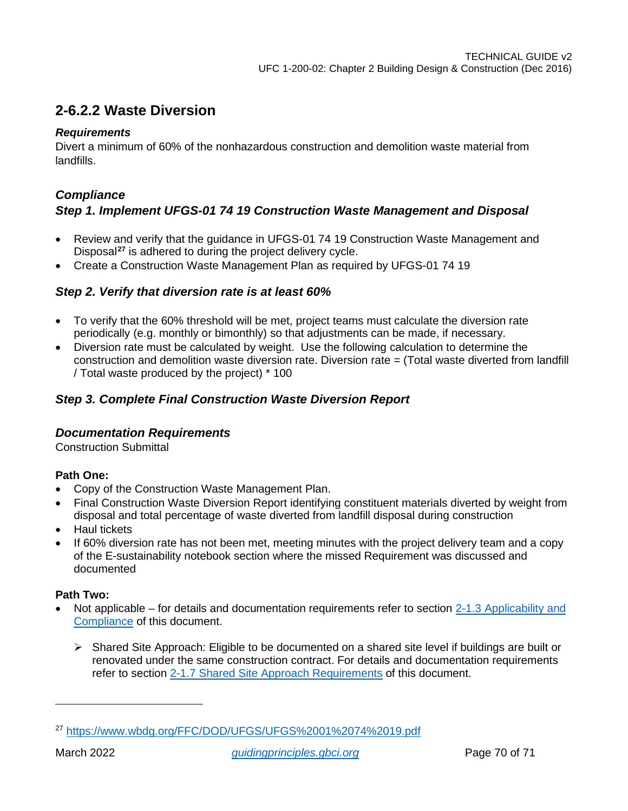### <span id="page-69-0"></span>**2-6.2.2 Waste Diversion**

### *Requirements*

Divert a minimum of 60% of the nonhazardous construction and demolition waste material from landfills.

### *Compliance*

### *Step 1. Implement UFGS-01 74 19 Construction Waste Management and Disposal*

- Review and verify that the guidance in UFGS-01 74 19 Construction Waste Management and Disposal**[27](#page-69-1)** is adhered to during the project delivery cycle.
- Create a Construction Waste Management Plan as required by UFGS-01 74 19

### *Step 2. Verify that diversion rate is at least 60%*

- To verify that the 60% threshold will be met, project teams must calculate the diversion rate periodically (e.g. monthly or bimonthly) so that adjustments can be made, if necessary.
- Diversion rate must be calculated by weight. Use the following calculation to determine the construction and demolition waste diversion rate. Diversion rate = (Total waste diverted from landfill / Total waste produced by the project) \* 100

### *Step 3. Complete Final Construction Waste Diversion Report*

### *Documentation Requirements*

Construction Submittal

### **Path One:**

- Copy of the Construction Waste Management Plan.
- Final Construction Waste Diversion Report identifying constituent materials diverted by weight from disposal and total percentage of waste diverted from landfill disposal during construction
- Haul tickets
- If 60% diversion rate has not been met, meeting minutes with the project delivery team and a copy of the E-sustainability notebook section where the missed Requirement was discussed and documented

- Not applicable for details and documentation requirements refer to section 2-1.3 Applicability and [Compliance](#page-4-4) of this document.
	- Shared Site Approach: Eligible to be documented on a shared site level if buildings are built or renovated under the same construction contract. For details and documentation requirements refer to section [2-1.7 Shared Site Approach Requirements](#page-7-0) of this document.

<span id="page-69-1"></span><sup>27</sup> <https://www.wbdg.org/FFC/DOD/UFGS/UFGS%2001%2074%2019.pdf>